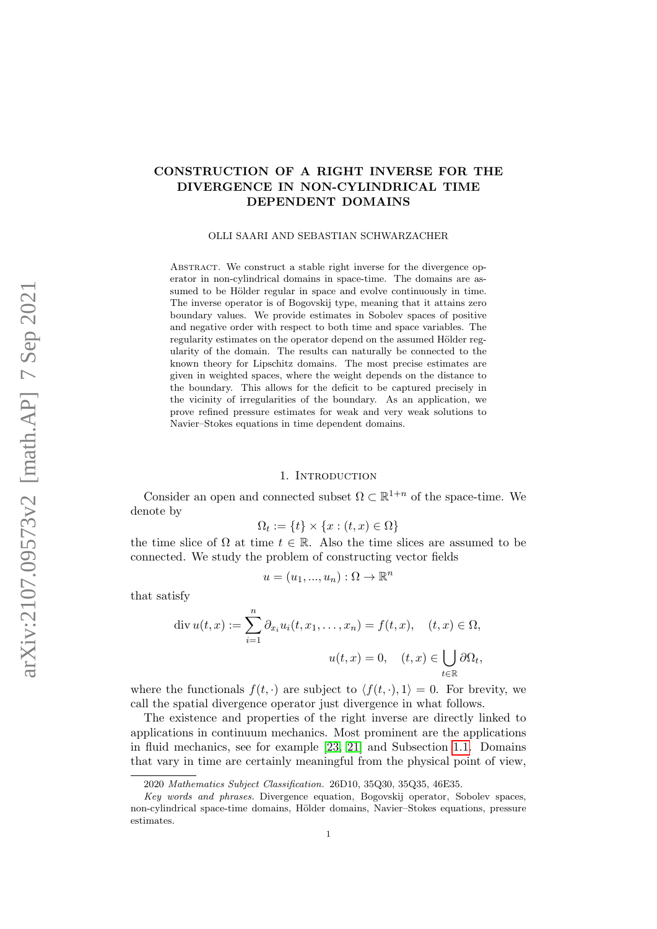# CONSTRUCTION OF A RIGHT INVERSE FOR THE DIVERGENCE IN NON-CYLINDRICAL TIME DEPENDENT DOMAINS

### OLLI SAARI AND SEBASTIAN SCHWARZACHER

ABSTRACT. We construct a stable right inverse for the divergence operator in non-cylindrical domains in space-time. The domains are assumed to be Hölder regular in space and evolve continuously in time. The inverse operator is of Bogovskij type, meaning that it attains zero boundary values. We provide estimates in Sobolev spaces of positive and negative order with respect to both time and space variables. The regularity estimates on the operator depend on the assumed Hölder regularity of the domain. The results can naturally be connected to the known theory for Lipschitz domains. The most precise estimates are given in weighted spaces, where the weight depends on the distance to the boundary. This allows for the deficit to be captured precisely in the vicinity of irregularities of the boundary. As an application, we prove refined pressure estimates for weak and very weak solutions to Navier–Stokes equations in time dependent domains.

#### 1. Introduction

Consider an open and connected subset  $\Omega \subset \mathbb{R}^{1+n}$  of the space-time. We denote by

$$
\Omega_t := \{t\} \times \{x : (t, x) \in \Omega\}
$$

the time slice of  $\Omega$  at time  $t \in \mathbb{R}$ . Also the time slices are assumed to be connected. We study the problem of constructing vector fields

$$
u = (u_1, ..., u_n) : \Omega \to \mathbb{R}^n
$$

that satisfy

$$
\operatorname{div} u(t, x) := \sum_{i=1}^{n} \partial_{x_i} u_i(t, x_1, \dots, x_n) = f(t, x), \quad (t, x) \in \Omega,
$$

$$
u(t, x) = 0, \quad (t, x) \in \bigcup_{t \in \mathbb{R}} \partial \Omega_t,
$$

where the functionals  $f(t, \cdot)$  are subject to  $\langle f(t, \cdot), 1 \rangle = 0$ . For brevity, we call the spatial divergence operator just divergence in what follows.

The existence and properties of the right inverse are directly linked to applications in continuum mechanics. Most prominent are the applications in fluid mechanics, see for example [\[23,](#page-42-0) [21\]](#page-42-1) and Subsection [1.1.](#page-5-0) Domains that vary in time are certainly meaningful from the physical point of view,

<sup>2020</sup> Mathematics Subject Classification. 26D10, 35Q30, 35Q35, 46E35.

Key words and phrases. Divergence equation, Bogovskij operator, Sobolev spaces, non-cylindrical space-time domains, Hölder domains, Navier–Stokes equations, pressure estimates.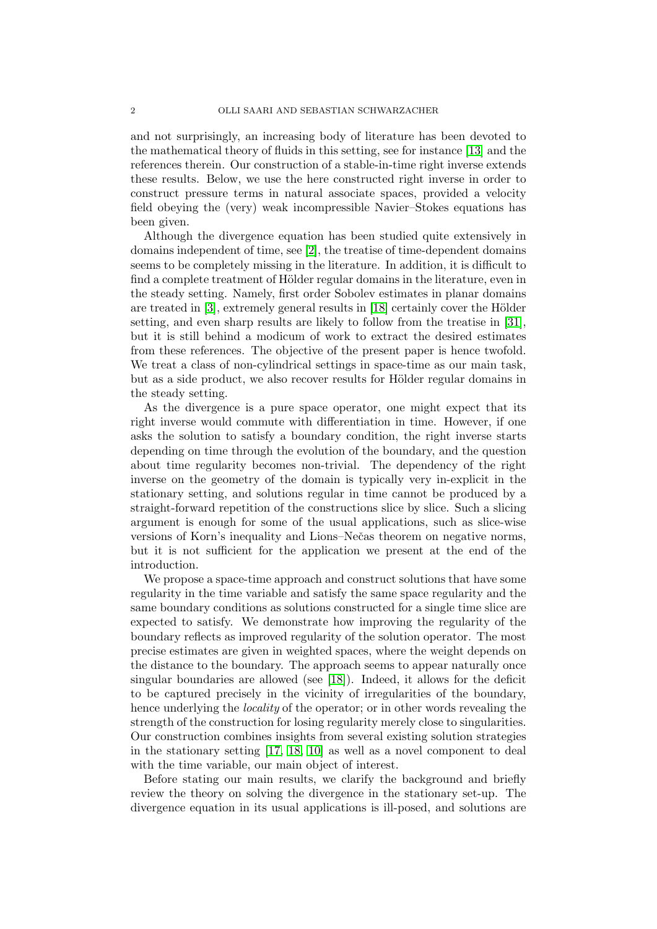and not surprisingly, an increasing body of literature has been devoted to the mathematical theory of fluids in this setting, see for instance [\[13\]](#page-42-2) and the references therein. Our construction of a stable-in-time right inverse extends these results. Below, we use the here constructed right inverse in order to construct pressure terms in natural associate spaces, provided a velocity field obeying the (very) weak incompressible Navier–Stokes equations has been given.

Although the divergence equation has been studied quite extensively in domains independent of time, see [\[2\]](#page-41-0), the treatise of time-dependent domains seems to be completely missing in the literature. In addition, it is difficult to find a complete treatment of Hölder regular domains in the literature, even in the steady setting. Namely, first order Sobolev estimates in planar domains are treated in  $[3]$ , extremely general results in  $[18]$  certainly cover the Hölder setting, and even sharp results are likely to follow from the treatise in [\[31\]](#page-42-4), but it is still behind a modicum of work to extract the desired estimates from these references. The objective of the present paper is hence twofold. We treat a class of non-cylindrical settings in space-time as our main task, but as a side product, we also recover results for Hölder regular domains in the steady setting.

As the divergence is a pure space operator, one might expect that its right inverse would commute with differentiation in time. However, if one asks the solution to satisfy a boundary condition, the right inverse starts depending on time through the evolution of the boundary, and the question about time regularity becomes non-trivial. The dependency of the right inverse on the geometry of the domain is typically very in-explicit in the stationary setting, and solutions regular in time cannot be produced by a straight-forward repetition of the constructions slice by slice. Such a slicing argument is enough for some of the usual applications, such as slice-wise versions of Korn's inequality and Lions–Nečas theorem on negative norms, but it is not sufficient for the application we present at the end of the introduction.

We propose a space-time approach and construct solutions that have some regularity in the time variable and satisfy the same space regularity and the same boundary conditions as solutions constructed for a single time slice are expected to satisfy. We demonstrate how improving the regularity of the boundary reflects as improved regularity of the solution operator. The most precise estimates are given in weighted spaces, where the weight depends on the distance to the boundary. The approach seems to appear naturally once singular boundaries are allowed (see [\[18\]](#page-42-3)). Indeed, it allows for the deficit to be captured precisely in the vicinity of irregularities of the boundary, hence underlying the *locality* of the operator; or in other words revealing the strength of the construction for losing regularity merely close to singularities. Our construction combines insights from several existing solution strategies in the stationary setting [\[17,](#page-42-5) [18,](#page-42-3) [10\]](#page-42-6) as well as a novel component to deal with the time variable, our main object of interest.

Before stating our main results, we clarify the background and briefly review the theory on solving the divergence in the stationary set-up. The divergence equation in its usual applications is ill-posed, and solutions are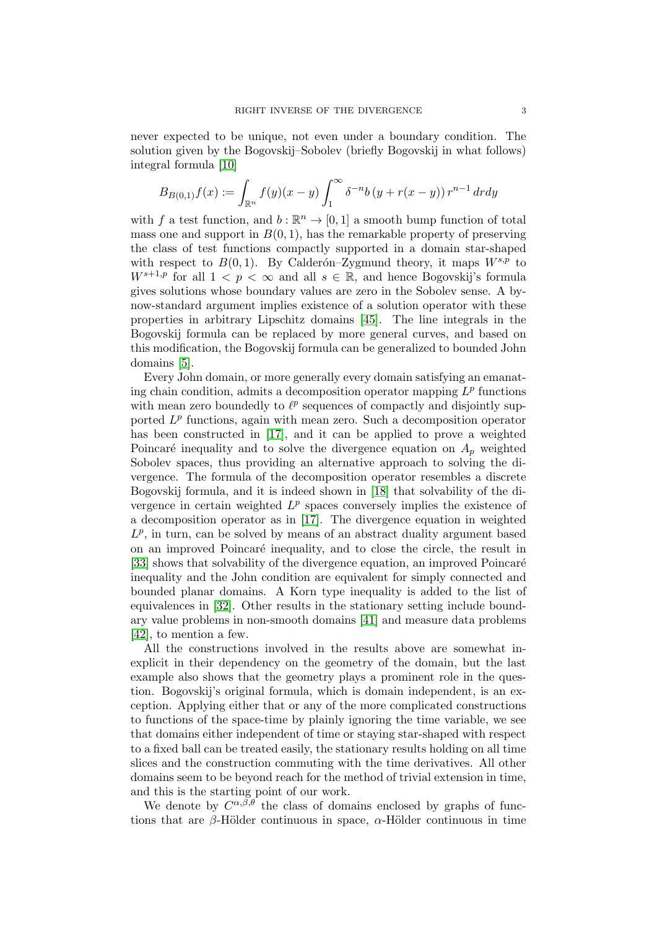never expected to be unique, not even under a boundary condition. The solution given by the Bogovskij–Sobolev (briefly Bogovskij in what follows) integral formula [\[10\]](#page-42-6)

$$
B_{B(0,1)}f(x) := \int_{\mathbb{R}^n} f(y)(x - y) \int_1^{\infty} \delta^{-n} b(y + r(x - y)) r^{n-1} dr dy
$$

with f a test function, and  $b : \mathbb{R}^n \to [0, 1]$  a smooth bump function of total mass one and support in  $B(0, 1)$ , has the remarkable property of preserving the class of test functions compactly supported in a domain star-shaped with respect to  $B(0, 1)$ . By Calderón–Zygmund theory, it maps  $W^{s,p}$  to  $W^{s+1,p}$  for all  $1 < p < \infty$  and all  $s \in \mathbb{R}$ , and hence Bogovskij's formula gives solutions whose boundary values are zero in the Sobolev sense. A bynow-standard argument implies existence of a solution operator with these properties in arbitrary Lipschitz domains [\[45\]](#page-43-0). The line integrals in the Bogovskij formula can be replaced by more general curves, and based on this modification, the Bogovskij formula can be generalized to bounded John domains [\[5\]](#page-41-2).

Every John domain, or more generally every domain satisfying an emanating chain condition, admits a decomposition operator mapping  $L^p$  functions with mean zero boundedly to  $\ell^p$  sequences of compactly and disjointly supported  $L^p$  functions, again with mean zero. Such a decomposition operator has been constructed in [\[17\]](#page-42-5), and it can be applied to prove a weighted Poincaré inequality and to solve the divergence equation on  $A_p$  weighted Sobolev spaces, thus providing an alternative approach to solving the divergence. The formula of the decomposition operator resembles a discrete Bogovskij formula, and it is indeed shown in [\[18\]](#page-42-3) that solvability of the divergence in certain weighted  $L^p$  spaces conversely implies the existence of a decomposition operator as in [\[17\]](#page-42-5). The divergence equation in weighted  $L^p$ , in turn, can be solved by means of an abstract duality argument based on an improved Poincaré inequality, and to close the circle, the result in [\[33\]](#page-43-1) shows that solvability of the divergence equation, an improved Poincaré inequality and the John condition are equivalent for simply connected and bounded planar domains. A Korn type inequality is added to the list of equivalences in [\[32\]](#page-43-2). Other results in the stationary setting include boundary value problems in non-smooth domains [\[41\]](#page-43-3) and measure data problems [\[42\]](#page-43-4), to mention a few.

All the constructions involved in the results above are somewhat inexplicit in their dependency on the geometry of the domain, but the last example also shows that the geometry plays a prominent role in the question. Bogovskij's original formula, which is domain independent, is an exception. Applying either that or any of the more complicated constructions to functions of the space-time by plainly ignoring the time variable, we see that domains either independent of time or staying star-shaped with respect to a fixed ball can be treated easily, the stationary results holding on all time slices and the construction commuting with the time derivatives. All other domains seem to be beyond reach for the method of trivial extension in time, and this is the starting point of our work.

We denote by  $C^{\alpha,\beta,\theta}$  the class of domains enclosed by graphs of functions that are β-Hölder continuous in space,  $\alpha$ -Hölder continuous in time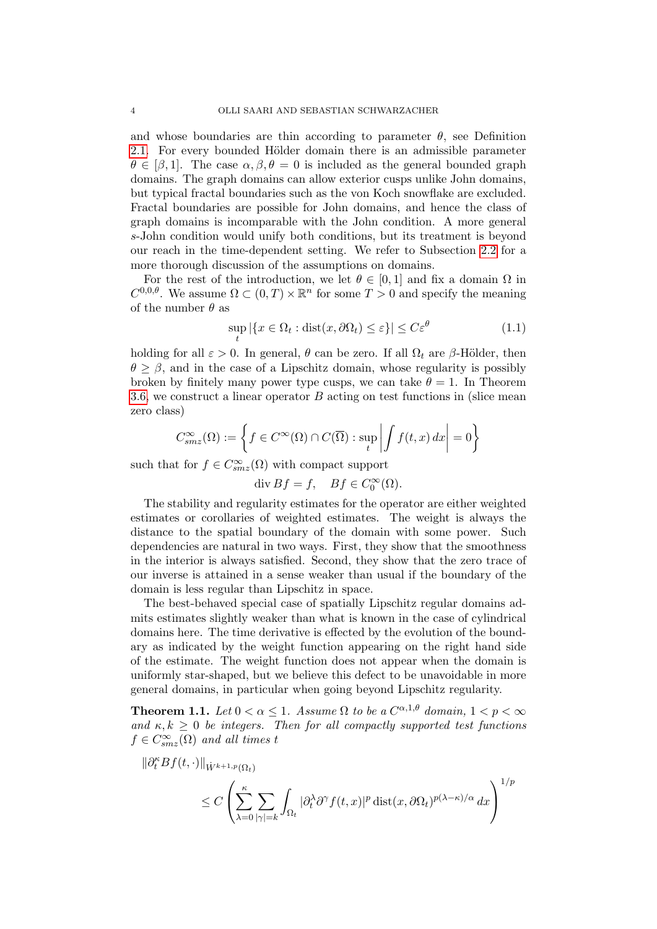and whose boundaries are thin according to parameter  $\theta$ , see Definition [2.1.](#page-10-0) For every bounded Hölder domain there is an admissible parameter  $\theta \in [\beta, 1]$ . The case  $\alpha, \beta, \theta = 0$  is included as the general bounded graph domains. The graph domains can allow exterior cusps unlike John domains, but typical fractal boundaries such as the von Koch snowflake are excluded. Fractal boundaries are possible for John domains, and hence the class of graph domains is incomparable with the John condition. A more general s-John condition would unify both conditions, but its treatment is beyond our reach in the time-dependent setting. We refer to Subsection [2.2](#page-9-0) for a more thorough discussion of the assumptions on domains.

For the rest of the introduction, we let  $\theta \in [0,1]$  and fix a domain  $\Omega$  in  $C^{0,0,\theta}$ . We assume  $\Omega \subset (0,T) \times \mathbb{R}^n$  for some  $T > 0$  and specify the meaning of the number  $\theta$  as

<span id="page-3-0"></span>
$$
\sup_{t} |\{x \in \Omega_t : \text{dist}(x, \partial \Omega_t) \le \varepsilon\}| \le C\varepsilon^{\theta} \tag{1.1}
$$

holding for all  $\varepsilon > 0$ . In general,  $\theta$  can be zero. If all  $\Omega_t$  are  $\beta$ -Hölder, then  $\theta \geq \beta$ , and in the case of a Lipschitz domain, whose regularity is possibly broken by finitely many power type cusps, we can take  $\theta = 1$ . In Theorem [3.6,](#page-19-0) we construct a linear operator  $B$  acting on test functions in (slice mean zero class)

$$
C_{smz}^{\infty}(\Omega) := \left\{ f \in C^{\infty}(\Omega) \cap C(\overline{\Omega}) : \sup_{t} \left| \int f(t, x) dx \right| = 0 \right\}
$$

such that for  $f \in C_{smz}^{\infty}(\Omega)$  with compact support

 $\text{div } Bf = f, \quad Bf \in C_0^{\infty}(\Omega).$ 

The stability and regularity estimates for the operator are either weighted estimates or corollaries of weighted estimates. The weight is always the distance to the spatial boundary of the domain with some power. Such dependencies are natural in two ways. First, they show that the smoothness in the interior is always satisfied. Second, they show that the zero trace of our inverse is attained in a sense weaker than usual if the boundary of the domain is less regular than Lipschitz in space.

The best-behaved special case of spatially Lipschitz regular domains admits estimates slightly weaker than what is known in the case of cylindrical domains here. The time derivative is effected by the evolution of the boundary as indicated by the weight function appearing on the right hand side of the estimate. The weight function does not appear when the domain is uniformly star-shaped, but we believe this defect to be unavoidable in more general domains, in particular when going beyond Lipschitz regularity.

**Theorem 1.1.** Let  $0 < \alpha \leq 1$ . Assume  $\Omega$  to be a  $C^{\alpha,1,\theta}$  domain,  $1 < p < \infty$ and  $\kappa, k \geq 0$  be integers. Then for all compactly supported test functions  $f \in C_{smz}^{\infty}(\Omega)$  and all times t

$$
\|\partial_t^{\kappa} Bf(t, \cdot)\|_{\dot{W}^{k+1, p}(\Omega_t)}\n\leq C \left( \sum_{\lambda=0}^{\kappa} \sum_{|\gamma|=k} \int_{\Omega_t} |\partial_t^{\lambda} \partial^{\gamma} f(t, x)|^p \operatorname{dist}(x, \partial \Omega_t)^{p(\lambda - \kappa)/\alpha} dx \right)^{1/p}
$$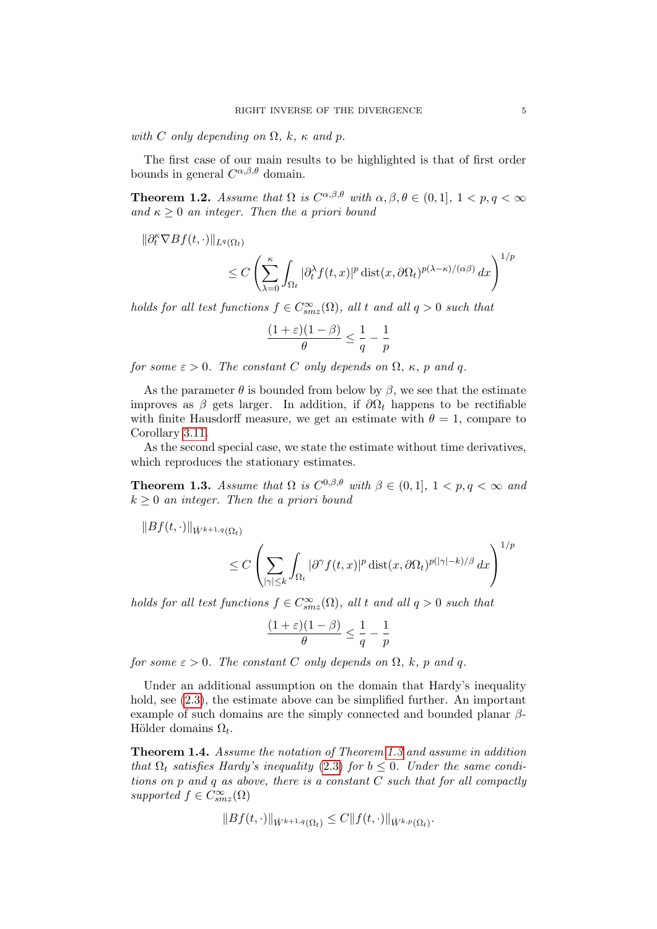with C only depending on  $\Omega$ , k,  $\kappa$  and p.

 $\|\partial_t^{\kappa}$ 

The first case of our main results to be highlighted is that of first order bounds in general  $C^{\alpha,\beta,\theta}$  domain.

**Theorem 1.2.** Assume that  $\Omega$  is  $C^{\alpha,\beta,\theta}$  with  $\alpha,\beta,\theta \in (0,1], 1 < p,q < \infty$ and  $\kappa \geq 0$  an integer. Then the a priori bound

$$
\langle Bf(t, \cdot) \|_{L^q(\Omega_t)} \leq C \left( \sum_{\lambda=0}^{\kappa} \int_{\Omega_t} |\partial_t^{\lambda} f(t, x)|^p \operatorname{dist}(x, \partial \Omega_t)^{p(\lambda - \kappa)/(\alpha \beta)} dx \right)^{1/p}
$$

holds for all test functions  $f \in C_{smz}^{\infty}(\Omega)$ , all t and all  $q > 0$  such that

$$
\frac{(1+\varepsilon)(1-\beta)}{\theta} \le \frac{1}{q} - \frac{1}{p}
$$

for some  $\varepsilon > 0$ . The constant C only depends on  $\Omega$ ,  $\kappa$ , p and q.

As the parameter  $\theta$  is bounded from below by  $\beta$ , we see that the estimate improves as  $\beta$  gets larger. In addition, if  $\partial\Omega_t$  happens to be rectifiable with finite Hausdorff measure, we get an estimate with  $\theta = 1$ , compare to Corollary [3.11.](#page-26-0)

As the second special case, we state the estimate without time derivatives, which reproduces the stationary estimates.

<span id="page-4-0"></span>**Theorem 1.3.** Assume that  $\Omega$  is  $C^{0,\beta,\theta}$  with  $\beta \in (0,1], 1 < p, q < \infty$  and  $k \geq 0$  an integer. Then the a priori bound

$$
||Bf(t, \cdot)||_{\dot{W}^{k+1,q}(\Omega_t)}
$$
  

$$
\leq C \left( \sum \int_{\Omega} |\partial^{\gamma} f(t,x)|^p \operatorname{dist}(x, \partial \Omega_t)^{p(|\gamma|-k)/\beta} dx \right)
$$

holds for all test functions  $f \in C_{smz}^{\infty}(\Omega)$ , all t and all  $q > 0$  such that

$$
\frac{(1+\varepsilon)(1-\beta)}{\theta} \leq \frac{1}{q} - \frac{1}{p}
$$

for some  $\varepsilon > 0$ . The constant C only depends on  $\Omega$ , k, p and q.

 $|\overline{\gamma|\leq k} \, \int \Omega_t$ 

Under an additional assumption on the domain that Hardy's inequality hold, see  $(2.3)$ , the estimate above can be simplified further. An important example of such domains are the simply connected and bounded planar  $\beta$ -Hölder domains  $\Omega_t$ .

Theorem 1.4. Assume the notation of Theorem [1.3](#page-4-0) and assume in addition that  $\Omega_t$  satisfies Hardy's inequality [\(2.3\)](#page-13-0) for  $b \leq 0$ . Under the same conditions on p and q as above, there is a constant C such that for all compactly supported  $f \in C_{smz}^{\infty}(\Omega)$ 

$$
||Bf(t, \cdot)||_{\dot{W}^{k+1,q}(\Omega_t)} \leq C ||f(t, \cdot)||_{\dot{W}^{k,p}(\Omega_t)}.
$$

 $\setminus$  $\overline{1}$ 

 $1/p$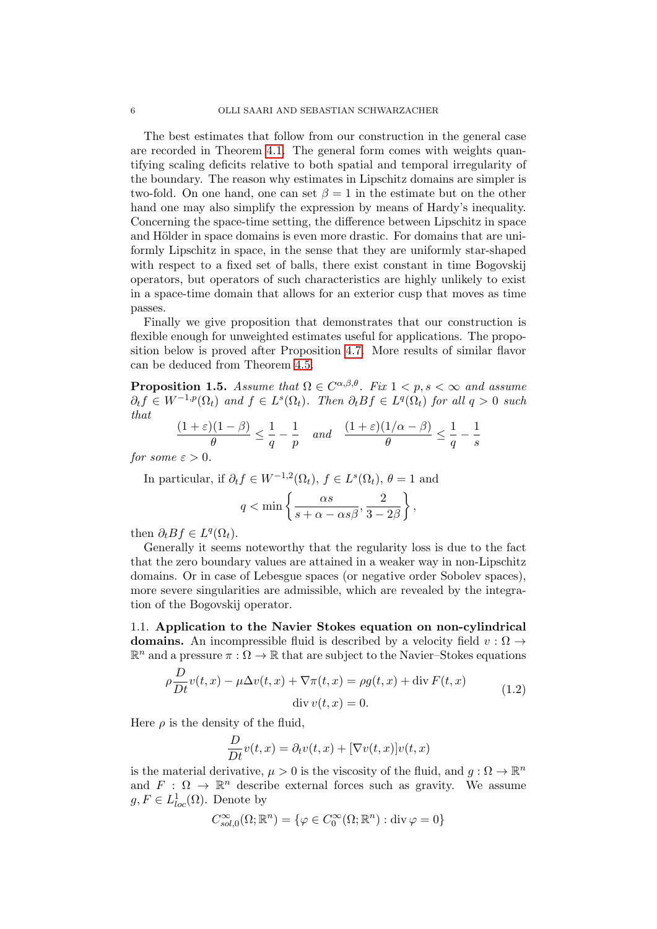The best estimates that follow from our construction in the general case are recorded in Theorem [4.1.](#page-27-0) The general form comes with weights quantifying scaling deficits relative to both spatial and temporal irregularity of the boundary. The reason why estimates in Lipschitz domains are simpler is two-fold. On one hand, one can set  $\beta = 1$  in the estimate but on the other hand one may also simplify the expression by means of Hardy's inequality. Concerning the space-time setting, the difference between Lipschitz in space and Hölder in space domains is even more drastic. For domains that are uniformly Lipschitz in space, in the sense that they are uniformly star-shaped with respect to a fixed set of balls, there exist constant in time Bogovskij operators, but operators of such characteristics are highly unlikely to exist in a space-time domain that allows for an exterior cusp that moves as time passes.

Finally we give proposition that demonstrates that our construction is flexible enough for unweighted estimates useful for applications. The proposition below is proved after Proposition [4.7.](#page-31-0) More results of similar flavor can be deduced from Theorem [4.5.](#page-29-0)

<span id="page-5-1"></span>**Proposition 1.5.** Assume that  $\Omega \in C^{\alpha,\beta,\theta}$ . Fix  $1 < p, s < \infty$  and assume  $\partial_t f \in W^{-1,p}(\Omega_t)$  and  $f \in L^s(\Omega_t)$ . Then  $\partial_t Bf \in L^q(\Omega_t)$  for all  $q > 0$  such that

$$
\frac{(1+\varepsilon)(1-\beta)}{\theta} \le \frac{1}{q} - \frac{1}{p} \quad and \quad \frac{(1+\varepsilon)(1/\alpha-\beta)}{\theta} \le \frac{1}{q} - \frac{1}{s}
$$

for some  $\varepsilon > 0$ .

In particular, if  $\partial_t f \in W^{-1,2}(\Omega_t)$ ,  $f \in L^s(\Omega_t)$ ,  $\theta = 1$  and  $q < \min \left\{ \frac{\alpha s}{s + \alpha - \alpha s \beta}, \frac{2}{3 - \alpha s} \right\}$  $3-2\beta$  $\left.\right\}$ 

then  $\partial_t Bf \in L^q(\Omega_t)$ .

Generally it seems noteworthy that the regularity loss is due to the fact that the zero boundary values are attained in a weaker way in non-Lipschitz domains. Or in case of Lebesgue spaces (or negative order Sobolev spaces), more severe singularities are admissible, which are revealed by the integration of the Bogovskij operator.

<span id="page-5-0"></span>1.1. Application to the Navier Stokes equation on non-cylindrical domains. An incompressible fluid is described by a velocity field  $v : \Omega \rightarrow$  $\mathbb{R}^n$  and a pressure  $\pi : \Omega \to \mathbb{R}$  that are subject to the Navier–Stokes equations

$$
\rho \frac{D}{Dt} v(t, x) - \mu \Delta v(t, x) + \nabla \pi(t, x) = \rho g(t, x) + \text{div } F(t, x)
$$
\n
$$
\text{div } v(t, x) = 0.
$$
\n(1.2)

Here  $\rho$  is the density of the fluid,

<span id="page-5-2"></span>
$$
\frac{D}{Dt}v(t,x) = \partial_t v(t,x) + [\nabla v(t,x)]v(t,x)
$$

is the material derivative,  $\mu > 0$  is the viscosity of the fluid, and  $g : \Omega \to \mathbb{R}^n$ and  $F : \Omega \to \mathbb{R}^n$  describe external forces such as gravity. We assume  $g, F \in L^1_{loc}(\Omega)$ . Denote by

$$
C^{\infty}_{sol,0}(\Omega; \mathbb{R}^n) = \{ \varphi \in C^{\infty}_0(\Omega; \mathbb{R}^n) : \text{div}\,\varphi = 0 \}
$$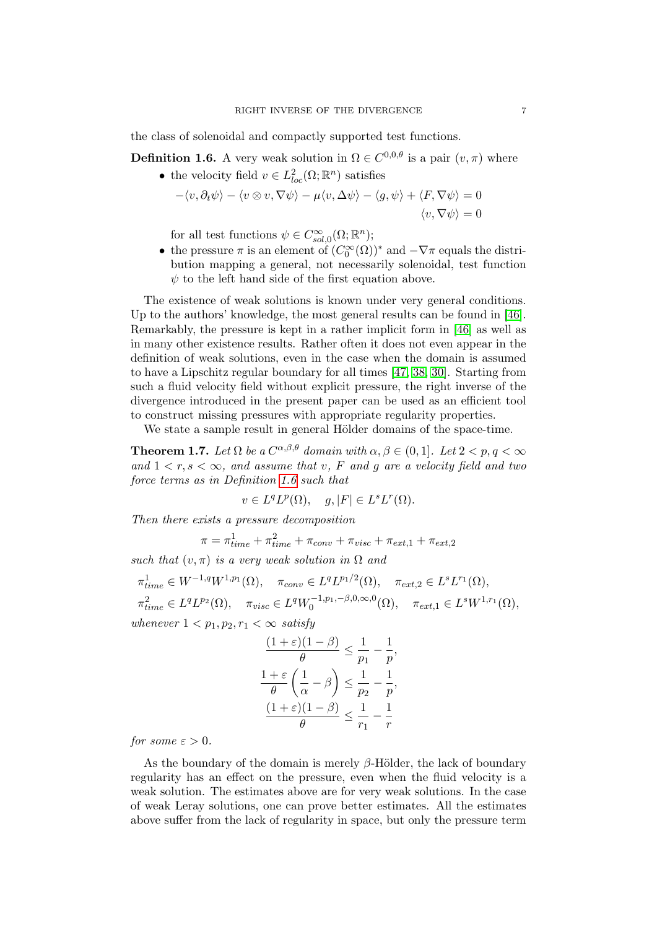the class of solenoidal and compactly supported test functions.

<span id="page-6-0"></span>**Definition 1.6.** A very weak solution in  $\Omega \in C^{0,0,\theta}$  is a pair  $(v, \pi)$  where

• the velocity field  $v \in L^2_{loc}(\Omega;\mathbb{R}^n)$  satisfies

$$
-\langle v, \partial_t \psi \rangle - \langle v \otimes v, \nabla \psi \rangle - \mu \langle v, \Delta \psi \rangle - \langle g, \psi \rangle + \langle F, \nabla \psi \rangle = 0
$$
  

$$
\langle v, \nabla \psi \rangle = 0
$$

for all test functions  $\psi \in C^{\infty}_{sol,0}(\Omega; \mathbb{R}^n);$ 

• the pressure  $\pi$  is an element of  $(C_0^{\infty}(\Omega))^*$  and  $-\nabla \pi$  equals the distribution mapping a general, not necessarily solenoidal, test function  $\psi$  to the left hand side of the first equation above.

The existence of weak solutions is known under very general conditions. Up to the authors' knowledge, the most general results can be found in [\[46\]](#page-43-5). Remarkably, the pressure is kept in a rather implicit form in [\[46\]](#page-43-5) as well as in many other existence results. Rather often it does not even appear in the definition of weak solutions, even in the case when the domain is assumed to have a Lipschitz regular boundary for all times [\[47,](#page-43-6) [38,](#page-43-7) [30\]](#page-42-7). Starting from such a fluid velocity field without explicit pressure, the right inverse of the divergence introduced in the present paper can be used as an efficient tool to construct missing pressures with appropriate regularity properties.

We state a sample result in general Hölder domains of the space-time.

<span id="page-6-1"></span>**Theorem 1.7.** Let  $\Omega$  be a  $C^{\alpha,\beta,\theta}$  domain with  $\alpha,\beta \in (0,1]$ . Let  $2 < p,q < \infty$ and  $1 < r, s < \infty$ , and assume that v, F and g are a velocity field and two force terms as in Definition [1.6](#page-6-0) such that

$$
v \in L^q L^p(\Omega), \quad g, |F| \in L^s L^r(\Omega).
$$

Then there exists a pressure decomposition

$$
\pi = \pi_{time}^1 + \pi_{time}^2 + \pi_{conv} + \pi_{visc} + \pi_{ext,1} + \pi_{ext,2}
$$

such that  $(v, \pi)$  is a very weak solution in  $\Omega$  and

$$
\pi_{time}^1 \in W^{-1,q}W^{1,p_1}(\Omega), \quad \pi_{conv} \in L^qL^{p_1/2}(\Omega), \quad \pi_{ext,2} \in L^sL^{r_1}(\Omega),
$$
  
\n
$$
\pi_{time}^2 \in L^qL^{p_2}(\Omega), \quad \pi_{visc} \in L^qW_0^{-1,p_1,-\beta,0,\infty,0}(\Omega), \quad \pi_{ext,1} \in L^sW^{1,r_1}(\Omega),
$$
  
\nwhenever  $1 < p_1, p_2, r_1 < \infty$  satisfy

$$
\frac{(1+\varepsilon)(1-\beta)}{\theta} \le \frac{1}{p_1} - \frac{1}{p},
$$
  

$$
\frac{1+\varepsilon}{\theta} \left(\frac{1}{\alpha} - \beta\right) \le \frac{1}{p_2} - \frac{1}{p},
$$
  

$$
\frac{(1+\varepsilon)(1-\beta)}{\theta} \le \frac{1}{r_1} - \frac{1}{r}
$$

for some  $\varepsilon > 0$ .

As the boundary of the domain is merely  $\beta$ -Hölder, the lack of boundary regularity has an effect on the pressure, even when the fluid velocity is a weak solution. The estimates above are for very weak solutions. In the case of weak Leray solutions, one can prove better estimates. All the estimates above suffer from the lack of regularity in space, but only the pressure term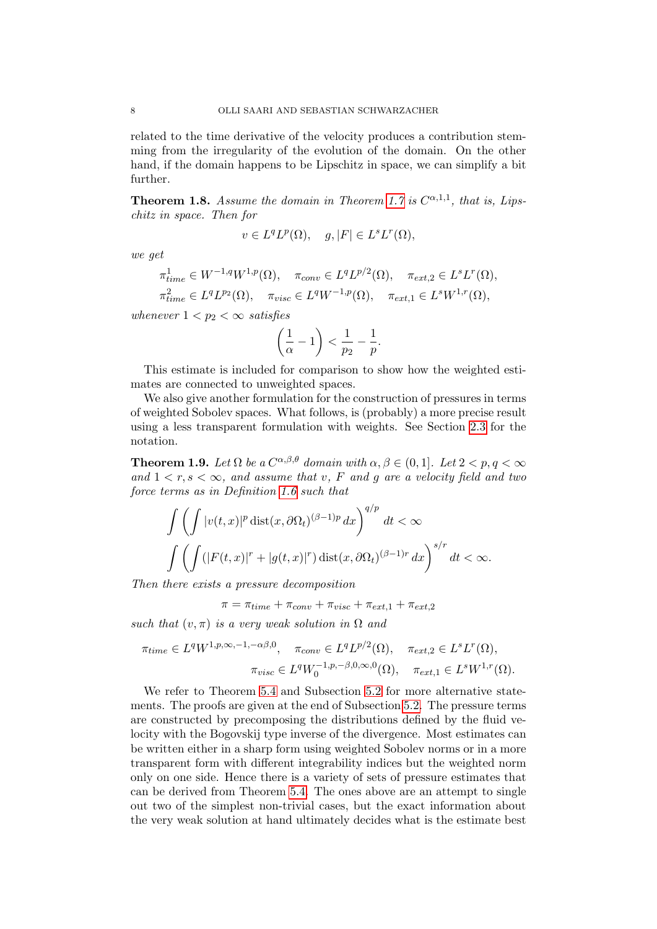related to the time derivative of the velocity produces a contribution stemming from the irregularity of the evolution of the domain. On the other hand, if the domain happens to be Lipschitz in space, we can simplify a bit further.

<span id="page-7-1"></span>**Theorem 1.8.** Assume the domain in Theorem [1.7](#page-6-1) is  $C^{\alpha,1,1}$ , that is, Lipschitz in space. Then for

$$
v \in L^q L^p(\Omega), \quad g, |F| \in L^s L^r(\Omega),
$$

we get

$$
\pi_{time}^1 \in W^{-1,q}W^{1,p}(\Omega), \quad \pi_{conv} \in L^qL^{p/2}(\Omega), \quad \pi_{ext,2} \in L^sL^r(\Omega),
$$
  

$$
\pi_{time}^2 \in L^qL^{p_2}(\Omega), \quad \pi_{visc} \in L^qW^{-1,p}(\Omega), \quad \pi_{ext,1} \in L^sW^{1,r}(\Omega),
$$

whenever  $1 < p_2 < \infty$  satisfies

$$
\left(\frac{1}{\alpha} - 1\right) < \frac{1}{p_2} - \frac{1}{p}.
$$

This estimate is included for comparison to show how the weighted estimates are connected to unweighted spaces.

We also give another formulation for the construction of pressures in terms of weighted Sobolev spaces. What follows, is (probably) a more precise result using a less transparent formulation with weights. See Section [2.3](#page-11-0) for the notation.

<span id="page-7-0"></span>**Theorem 1.9.** Let  $\Omega$  be a  $C^{\alpha,\beta,\theta}$  domain with  $\alpha,\beta \in (0,1]$ . Let  $2 < p,q < \infty$ and  $1 < r, s < \infty$ , and assume that v, F and g are a velocity field and two force terms as in Definition [1.6](#page-6-0) such that

$$
\int \left( \int |v(t,x)|^p \operatorname{dist}(x, \partial \Omega_t)^{(\beta - 1)p} dx \right)^{q/p} dt < \infty
$$
  

$$
\int \left( \int (|F(t,x)|^r + |g(t,x)|^r) \operatorname{dist}(x, \partial \Omega_t)^{(\beta - 1)r} dx \right)^{s/r} dt < \infty.
$$

Then there exists a pressure decomposition

 $\pi = \pi_{time} + \pi_{conv} + \pi_{visc} + \pi_{ext,1} + \pi_{ext,2}$ 

such that  $(v, \pi)$  is a very weak solution in  $\Omega$  and

$$
\pi_{time} \in L^q W^{1,p,\infty,-1,-\alpha\beta,0}, \quad \pi_{conv} \in L^q L^{p/2}(\Omega), \quad \pi_{ext,2} \in L^s L^r(\Omega),
$$

$$
\pi_{visc} \in L^q W_0^{-1,p,-\beta,0,\infty,0}(\Omega), \quad \pi_{ext,1} \in L^s W^{1,r}(\Omega).
$$

We refer to Theorem [5.4](#page-38-0) and Subsection [5.2](#page-38-1) for more alternative statements. The proofs are given at the end of Subsection [5.2.](#page-38-1) The pressure terms are constructed by precomposing the distributions defined by the fluid velocity with the Bogovskij type inverse of the divergence. Most estimates can be written either in a sharp form using weighted Sobolev norms or in a more transparent form with different integrability indices but the weighted norm only on one side. Hence there is a variety of sets of pressure estimates that can be derived from Theorem [5.4.](#page-38-0) The ones above are an attempt to single out two of the simplest non-trivial cases, but the exact information about the very weak solution at hand ultimately decides what is the estimate best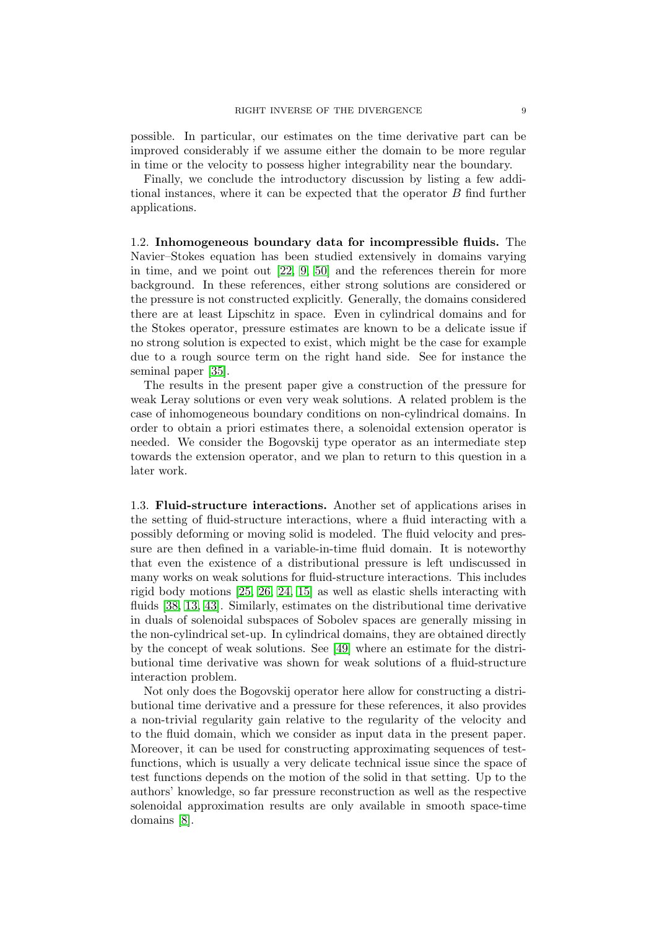possible. In particular, our estimates on the time derivative part can be improved considerably if we assume either the domain to be more regular in time or the velocity to possess higher integrability near the boundary.

Finally, we conclude the introductory discussion by listing a few additional instances, where it can be expected that the operator B find further applications.

1.2. Inhomogeneous boundary data for incompressible fluids. The Navier–Stokes equation has been studied extensively in domains varying in time, and we point out [\[22,](#page-42-8) [9,](#page-41-3) [50\]](#page-43-8) and the references therein for more background. In these references, either strong solutions are considered or the pressure is not constructed explicitly. Generally, the domains considered there are at least Lipschitz in space. Even in cylindrical domains and for the Stokes operator, pressure estimates are known to be a delicate issue if no strong solution is expected to exist, which might be the case for example due to a rough source term on the right hand side. See for instance the seminal paper [\[35\]](#page-43-9).

The results in the present paper give a construction of the pressure for weak Leray solutions or even very weak solutions. A related problem is the case of inhomogeneous boundary conditions on non-cylindrical domains. In order to obtain a priori estimates there, a solenoidal extension operator is needed. We consider the Bogovskij type operator as an intermediate step towards the extension operator, and we plan to return to this question in a later work.

1.3. Fluid-structure interactions. Another set of applications arises in the setting of fluid-structure interactions, where a fluid interacting with a possibly deforming or moving solid is modeled. The fluid velocity and pressure are then defined in a variable-in-time fluid domain. It is noteworthy that even the existence of a distributional pressure is left undiscussed in many works on weak solutions for fluid-structure interactions. This includes rigid body motions [\[25,](#page-42-9) [26,](#page-42-10) [24,](#page-42-11) [15\]](#page-42-12) as well as elastic shells interacting with fluids [\[38,](#page-43-7) [13,](#page-42-2) [43\]](#page-43-10). Similarly, estimates on the distributional time derivative in duals of solenoidal subspaces of Sobolev spaces are generally missing in the non-cylindrical set-up. In cylindrical domains, they are obtained directly by the concept of weak solutions. See [\[49\]](#page-43-11) where an estimate for the distributional time derivative was shown for weak solutions of a fluid-structure interaction problem.

Not only does the Bogovskij operator here allow for constructing a distributional time derivative and a pressure for these references, it also provides a non-trivial regularity gain relative to the regularity of the velocity and to the fluid domain, which we consider as input data in the present paper. Moreover, it can be used for constructing approximating sequences of testfunctions, which is usually a very delicate technical issue since the space of test functions depends on the motion of the solid in that setting. Up to the authors' knowledge, so far pressure reconstruction as well as the respective solenoidal approximation results are only available in smooth space-time domains [\[8\]](#page-41-4).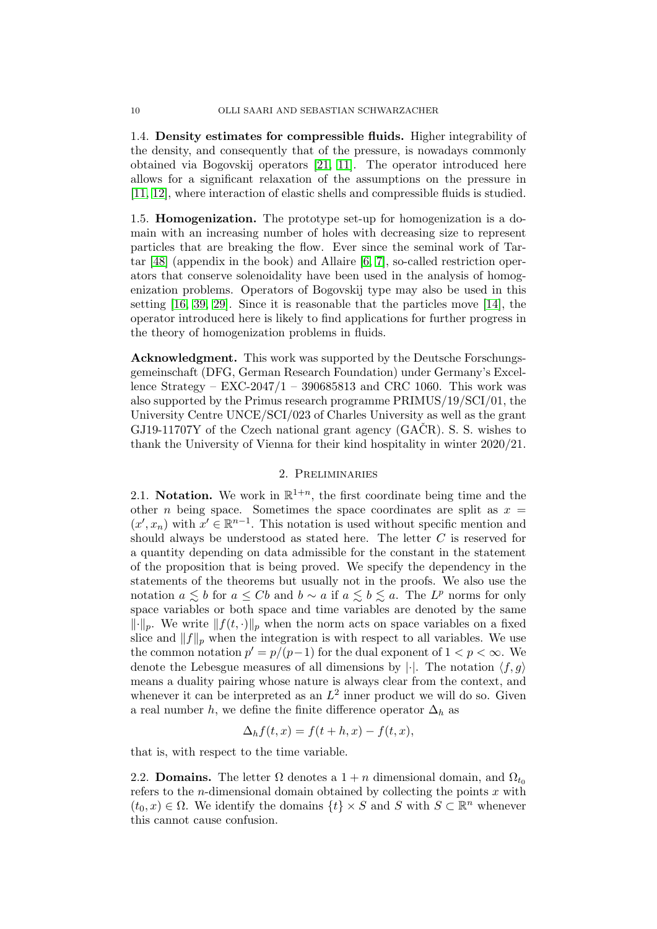1.4. Density estimates for compressible fluids. Higher integrability of the density, and consequently that of the pressure, is nowadays commonly obtained via Bogovskij operators [\[21,](#page-42-1) [11\]](#page-42-13). The operator introduced here allows for a significant relaxation of the assumptions on the pressure in [\[11,](#page-42-13) [12\]](#page-42-14), where interaction of elastic shells and compressible fluids is studied.

1.5. Homogenization. The prototype set-up for homogenization is a domain with an increasing number of holes with decreasing size to represent particles that are breaking the flow. Ever since the seminal work of Tartar [\[48\]](#page-43-12) (appendix in the book) and Allaire [\[6,](#page-41-5) [7\]](#page-41-6), so-called restriction operators that conserve solenoidality have been used in the analysis of homogenization problems. Operators of Bogovskij type may also be used in this setting [\[16,](#page-42-15) [39,](#page-43-13) [29\]](#page-42-16). Since it is reasonable that the particles move [\[14\]](#page-42-17), the operator introduced here is likely to find applications for further progress in the theory of homogenization problems in fluids.

Acknowledgment. This work was supported by the Deutsche Forschungsgemeinschaft (DFG, German Research Foundation) under Germany's Excellence Strategy – EXC-2047/1 – 390685813 and CRC 1060. This work was also supported by the Primus research programme PRIMUS/19/SCI/01, the University Centre UNCE/SCI/023 of Charles University as well as the grant GJ19-11707Y of the Czech national grant agency  $(GA\dot{C}R)$ . S. S. wishes to thank the University of Vienna for their kind hospitality in winter 2020/21.

## 2. Preliminaries

2.1. Notation. We work in  $\mathbb{R}^{1+n}$ , the first coordinate being time and the other *n* being space. Sometimes the space coordinates are split as  $x =$  $(x', x_n)$  with  $x' \in \mathbb{R}^{n-1}$ . This notation is used without specific mention and should always be understood as stated here. The letter  $C$  is reserved for a quantity depending on data admissible for the constant in the statement of the proposition that is being proved. We specify the dependency in the statements of the theorems but usually not in the proofs. We also use the notation  $a \leq b$  for  $a \leq Cb$  and  $b \sim a$  if  $a \leq b \leq a$ . The  $L^p$  norms for only space variables or both space and time variables are denoted by the same  $\lVert \cdot \rVert_p$ . We write  $\lVert f(t, \cdot) \rVert_p$  when the norm acts on space variables on a fixed slice and  $||f||_p$  when the integration is with respect to all variables. We use the common notation  $p' = p/(p-1)$  for the dual exponent of  $1 < p < \infty$ . We denote the Lebesgue measures of all dimensions by  $|\cdot|$ . The notation  $\langle f, g \rangle$ means a duality pairing whose nature is always clear from the context, and whenever it can be interpreted as an  $L^2$  inner product we will do so. Given a real number h, we define the finite difference operator  $\Delta_h$  as

$$
\Delta_h f(t, x) = f(t + h, x) - f(t, x),
$$

that is, with respect to the time variable.

<span id="page-9-0"></span>2.2. **Domains.** The letter  $\Omega$  denotes a  $1 + n$  dimensional domain, and  $\Omega_{t_0}$ refers to the *n*-dimensional domain obtained by collecting the points  $x$  with  $(t_0, x) \in \Omega$ . We identify the domains  $\{t\} \times S$  and S with  $S \subset \mathbb{R}^n$  whenever this cannot cause confusion.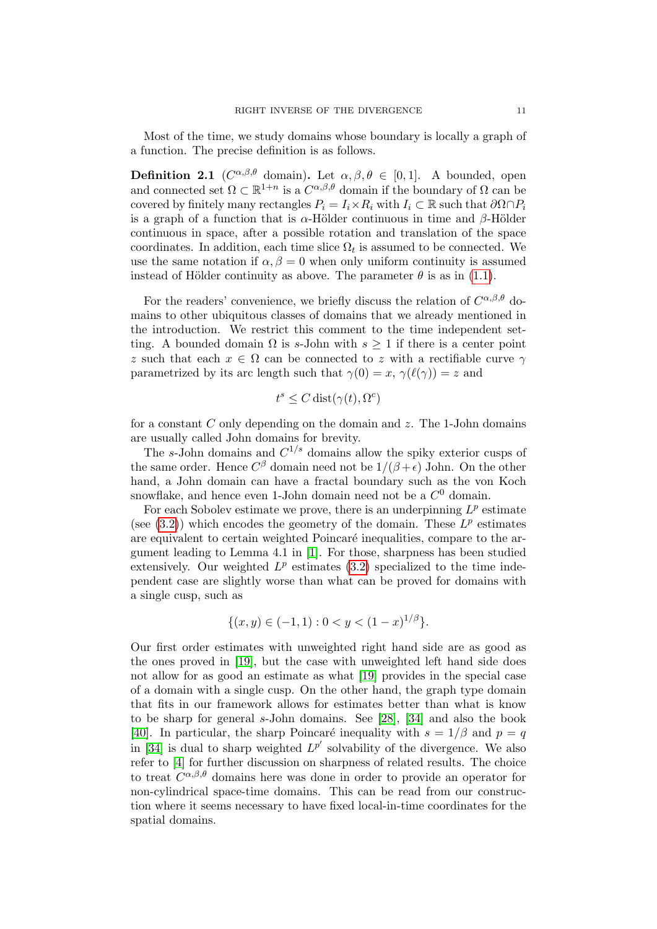Most of the time, we study domains whose boundary is locally a graph of a function. The precise definition is as follows.

<span id="page-10-0"></span>**Definition 2.1** ( $C^{\alpha,\beta,\theta}$  domain). Let  $\alpha,\beta,\theta \in [0,1]$ . A bounded, open and connected set  $\Omega \subset \mathbb{R}^{1+n}$  is a  $C^{\alpha,\beta,\theta}$  domain if the boundary of  $\Omega$  can be covered by finitely many rectangles  $P_i = I_i \times R_i$  with  $I_i \subset \mathbb{R}$  such that  $\partial \Omega \cap P_i$ is a graph of a function that is  $\alpha$ -Hölder continuous in time and  $\beta$ -Hölder continuous in space, after a possible rotation and translation of the space coordinates. In addition, each time slice  $\Omega_t$  is assumed to be connected. We use the same notation if  $\alpha, \beta = 0$  when only uniform continuity is assumed instead of Hölder continuity as above. The parameter  $\theta$  is as in [\(1.1\)](#page-3-0).

For the readers' convenience, we briefly discuss the relation of  $C^{\alpha,\beta,\theta}$  domains to other ubiquitous classes of domains that we already mentioned in the introduction. We restrict this comment to the time independent setting. A bounded domain  $\Omega$  is s-John with  $s \geq 1$  if there is a center point z such that each  $x \in \Omega$  can be connected to z with a rectifiable curve  $\gamma$ parametrized by its arc length such that  $\gamma(0) = x$ ,  $\gamma(\ell(\gamma)) = z$  and

$$
t^s \le C \operatorname{dist}(\gamma(t), \Omega^c)
$$

for a constant C only depending on the domain and  $z$ . The 1-John domains are usually called John domains for brevity.

The s-John domains and  $C^{1/s}$  domains allow the spiky exterior cusps of the same order. Hence  $C^{\beta}$  domain need not be  $1/(\beta + \epsilon)$  John. On the other hand, a John domain can have a fractal boundary such as the von Koch snowflake, and hence even 1-John domain need not be a  $C^0$  domain.

For each Sobolev estimate we prove, there is an underpinning  $L^p$  estimate (see  $(3.2)$ ) which encodes the geometry of the domain. These  $L^p$  estimates are equivalent to certain weighted Poincaré inequalities, compare to the argument leading to Lemma 4.1 in [\[1\]](#page-41-7). For those, sharpness has been studied extensively. Our weighted  $L^p$  estimates [\(3.2\)](#page-19-1) specialized to the time independent case are slightly worse than what can be proved for domains with a single cusp, such as

$$
\{(x,y)\in (-1,1): 0
$$

Our first order estimates with unweighted right hand side are as good as the ones proved in [\[19\]](#page-42-18), but the case with unweighted left hand side does not allow for as good an estimate as what [\[19\]](#page-42-18) provides in the special case of a domain with a single cusp. On the other hand, the graph type domain that fits in our framework allows for estimates better than what is know to be sharp for general s-John domains. See [\[28\]](#page-42-19), [\[34\]](#page-43-14) and also the book [\[40\]](#page-43-15). In particular, the sharp Poincaré inequality with  $s = 1/\beta$  and  $p = q$ in [\[34\]](#page-43-14) is dual to sharp weighted  $L^{p'}$  solvability of the divergence. We also refer to [\[4\]](#page-41-8) for further discussion on sharpness of related results. The choice to treat  $C^{\alpha,\beta,\theta}$  domains here was done in order to provide an operator for non-cylindrical space-time domains. This can be read from our construction where it seems necessary to have fixed local-in-time coordinates for the spatial domains.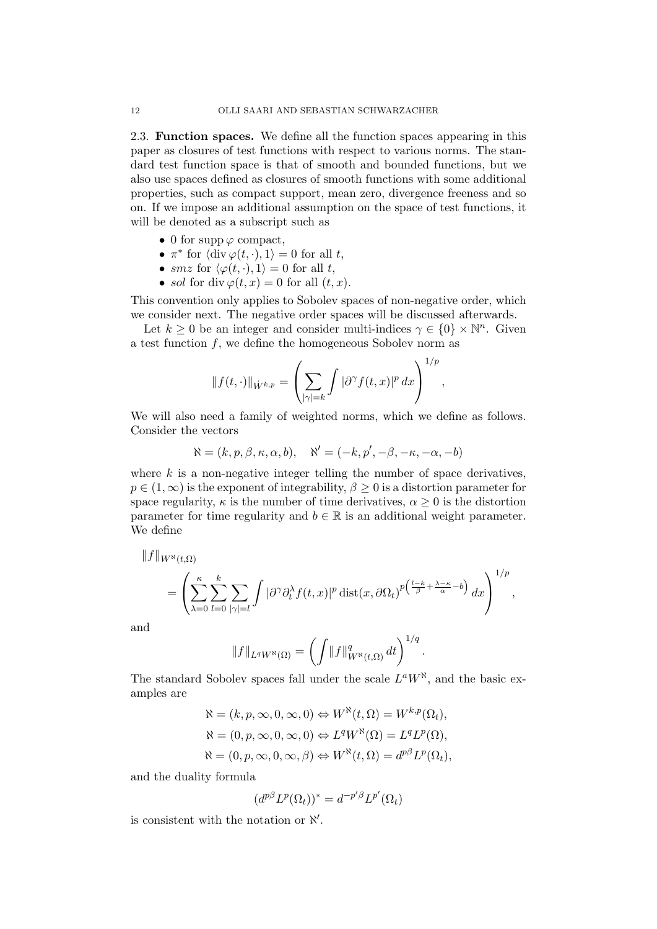<span id="page-11-0"></span>2.3. Function spaces. We define all the function spaces appearing in this paper as closures of test functions with respect to various norms. The standard test function space is that of smooth and bounded functions, but we also use spaces defined as closures of smooth functions with some additional properties, such as compact support, mean zero, divergence freeness and so on. If we impose an additional assumption on the space of test functions, it will be denoted as a subscript such as

- 0 for supp  $\varphi$  compact,
- $\pi^*$  for  $\langle \text{div } \varphi(t, \cdot), 1 \rangle = 0$  for all t,
- smz for  $\langle \varphi(t, \cdot), 1 \rangle = 0$  for all t,
- sol for div  $\varphi(t,x) = 0$  for all  $(t, x)$ .

This convention only applies to Sobolev spaces of non-negative order, which we consider next. The negative order spaces will be discussed afterwards.

Let  $k \geq 0$  be an integer and consider multi-indices  $\gamma \in \{0\} \times \mathbb{N}^n$ . Given a test function  $f$ , we define the homogeneous Sobolev norm as

$$
||f(t,\cdot)||_{\dot{W}^{k,p}} = \left(\sum_{|\gamma|=k} \int |\partial^{\gamma} f(t,x)|^p dx\right)^{1/p},
$$

We will also need a family of weighted norms, which we define as follows. Consider the vectors

$$
\aleph = (k, p, \beta, \kappa, \alpha, b), \quad \aleph' = (-k, p', -\beta, -\kappa, -\alpha, -b)
$$

where  $k$  is a non-negative integer telling the number of space derivatives,  $p \in (1,\infty)$  is the exponent of integrability,  $\beta \geq 0$  is a distortion parameter for space regularity,  $\kappa$  is the number of time derivatives,  $\alpha \geq 0$  is the distortion parameter for time regularity and  $b \in \mathbb{R}$  is an additional weight parameter. We define

$$
||f||_{W^{\aleph}(t,\Omega)}
$$
  
=  $\left(\sum_{\lambda=0}^{\kappa}\sum_{l=0}^{k}\sum_{|\gamma|=l}\int |\partial^{\gamma}\partial_{t}^{\lambda}f(t,x)|^{p} \operatorname{dist}(x,\partial\Omega_{t})^{p(\frac{l-k}{\beta}+\frac{\lambda-\kappa}{\alpha}-b)} dx\right)^{1/p},$ 

and

$$
||f||_{L^q W^{\aleph}(\Omega)} = \left(\int ||f||_{W^{\aleph}(t,\Omega)}^q dt\right)^{1/q}
$$

.

The standard Sobolev spaces fall under the scale  $L^a W^{\aleph}$ , and the basic examples are

$$
\mathcal{R} = (k, p, \infty, 0, \infty, 0) \Leftrightarrow W^{\aleph}(t, \Omega) = W^{k, p}(\Omega_t),
$$
  
\n
$$
\mathcal{R} = (0, p, \infty, 0, \infty, 0) \Leftrightarrow L^q W^{\aleph}(\Omega) = L^q L^p(\Omega),
$$
  
\n
$$
\mathcal{R} = (0, p, \infty, 0, \infty, \beta) \Leftrightarrow W^{\aleph}(t, \Omega) = d^{p\beta} L^p(\Omega_t),
$$

and the duality formula

$$
(d^{p\beta}L^p(\Omega_t))^* = d^{-p'\beta}L^{p'}(\Omega_t)
$$

is consistent with the notation or  $\aleph'$ .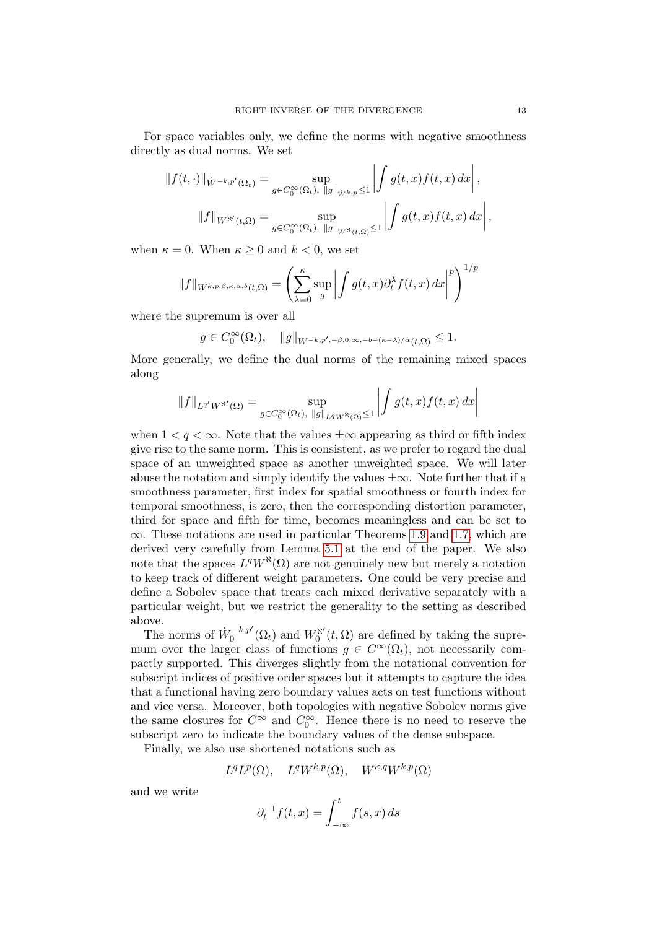For space variables only, we define the norms with negative smoothness directly as dual norms. We set

$$
||f(t, \cdot)||_{\dot{W}^{-k, p'}(\Omega_t)} = \sup_{g \in C_0^{\infty}(\Omega_t), ||g||_{\dot{W}^{k, p}} \le 1} \left| \int g(t, x) f(t, x) dx \right|,
$$
  

$$
||f||_{W^{\aleph'}(t, \Omega)} = \sup_{g \in C_0^{\infty}(\Omega_t), ||g||_{W^{\aleph}(t, \Omega)} \le 1} \left| \int g(t, x) f(t, x) dx \right|,
$$

when  $\kappa = 0$ . When  $\kappa \geq 0$  and  $k < 0$ , we set

$$
||f||_{W^{k,p,\beta,\kappa,\alpha,b}(t,\Omega)} = \left(\sum_{\lambda=0}^{\kappa} \sup_{g} \left| \int g(t,x) \partial_t^{\lambda} f(t,x) \, dx \right|^p \right)^{1/p}
$$

where the supremum is over all

$$
g\in C_0^\infty(\Omega_t),\quad \|g\|_{W^{-k,p',-\beta,0,\infty,-b-(\kappa-\lambda)/\alpha}(t,\Omega)}\leq 1.
$$

More generally, we define the dual norms of the remaining mixed spaces along

$$
||f||_{L^{q'}W^{\aleph'}(\Omega)} = \sup_{g \in C_0^{\infty}(\Omega_t), ||g||_{L^q W^{\aleph}(\Omega)} \le 1} \left| \int g(t, x) f(t, x) dx \right|
$$

when  $1 < q < \infty$ . Note that the values  $\pm \infty$  appearing as third or fifth index give rise to the same norm. This is consistent, as we prefer to regard the dual space of an unweighted space as another unweighted space. We will later abuse the notation and simply identify the values  $\pm \infty$ . Note further that if a smoothness parameter, first index for spatial smoothness or fourth index for temporal smoothness, is zero, then the corresponding distortion parameter, third for space and fifth for time, becomes meaningless and can be set to  $\infty$ . These notations are used in particular Theorems [1.9](#page-7-0) and [1.7,](#page-6-1) which are derived very carefully from Lemma [5.1](#page-35-0) at the end of the paper. We also note that the spaces  $L^q W^{\aleph}(\Omega)$  are not genuinely new but merely a notation to keep track of different weight parameters. One could be very precise and define a Sobolev space that treats each mixed derivative separately with a particular weight, but we restrict the generality to the setting as described above.

The norms of  $\dot{W}_0^{-k,p'}(\Omega_t)$  and  $W_0^{\aleph}$  $C_0^{\aleph'}(t,\Omega)$  are defined by taking the supremum over the larger class of functions  $q \in C^{\infty}(\Omega_t)$ , not necessarily compactly supported. This diverges slightly from the notational convention for subscript indices of positive order spaces but it attempts to capture the idea that a functional having zero boundary values acts on test functions without and vice versa. Moreover, both topologies with negative Sobolev norms give the same closures for  $C^{\infty}$  and  $C_0^{\infty}$ . Hence there is no need to reserve the subscript zero to indicate the boundary values of the dense subspace.

Finally, we also use shortened notations such as

$$
L^{q}L^{p}(\Omega), \quad L^{q}W^{k,p}(\Omega), \quad W^{\kappa,q}W^{k,p}(\Omega)
$$

and we write

$$
\partial_t^{-1} f(t, x) = \int_{-\infty}^t f(s, x) \, ds
$$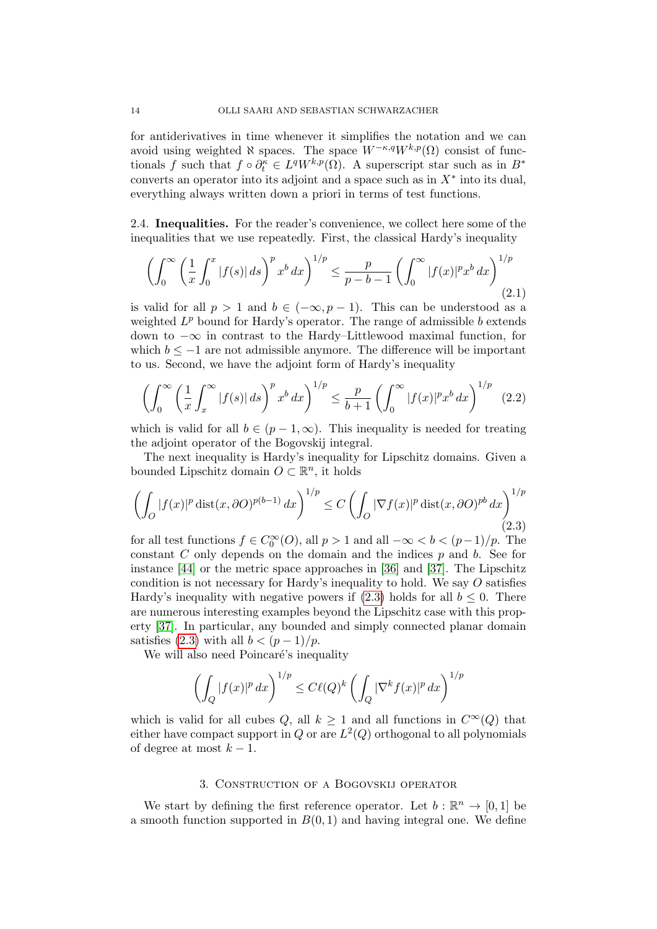for antiderivatives in time whenever it simplifies the notation and we can avoid using weighted  $\aleph$  spaces. The space  $W^{-\kappa,q}W^{k,p}(\Omega)$  consist of functionals f such that  $f \circ \partial_t^{\kappa} \in L^q W^{k,p}(\Omega)$ . A superscript star such as in  $B^*$ converts an operator into its adjoint and a space such as in  $X^*$  into its dual, everything always written down a priori in terms of test functions.

2.4. Inequalities. For the reader's convenience, we collect here some of the inequalities that we use repeatedly. First, the classical Hardy's inequality

<span id="page-13-1"></span>
$$
\left(\int_0^\infty \left(\frac{1}{x} \int_0^x |f(s)| \, ds\right)^p x^b \, dx\right)^{1/p} \le \frac{p}{p - b - 1} \left(\int_0^\infty |f(x)|^p x^b \, dx\right)^{1/p} \tag{2.1}
$$

is valid for all  $p > 1$  and  $b \in (-\infty, p-1)$ . This can be understood as a weighted  $L^p$  bound for Hardy's operator. The range of admissible b extends down to −∞ in contrast to the Hardy–Littlewood maximal function, for which  $b \leq -1$  are not admissible anymore. The difference will be important to us. Second, we have the adjoint form of Hardy's inequality

<span id="page-13-2"></span>
$$
\left(\int_0^\infty \left(\frac{1}{x}\int_x^\infty |f(s)|\,ds\right)^p x^b\,dx\right)^{1/p} \le \frac{p}{b+1} \left(\int_0^\infty |f(x)|^p x^b\,dx\right)^{1/p} \tag{2.2}
$$

which is valid for all  $b \in (p-1,\infty)$ . This inequality is needed for treating the adjoint operator of the Bogovskij integral.

The next inequality is Hardy's inequality for Lipschitz domains. Given a bounded Lipschitz domain  $O \subset \mathbb{R}^n$ , it holds

<span id="page-13-0"></span>
$$
\left(\int_{O} |f(x)|^p \operatorname{dist}(x, \partial O)^{p(b-1)} dx\right)^{1/p} \le C \left(\int_{O} |\nabla f(x)|^p \operatorname{dist}(x, \partial O)^{pb} dx\right)^{1/p} (2.3)
$$

for all test functions  $f \in C_0^{\infty}(O)$ , all  $p > 1$  and all  $-\infty < b < (p-1)/p$ . The constant  $C$  only depends on the domain and the indices  $p$  and  $b$ . See for instance [\[44\]](#page-43-16) or the metric space approaches in [\[36\]](#page-43-17) and [\[37\]](#page-43-18). The Lipschitz condition is not necessary for Hardy's inequality to hold. We say  $O$  satisfies Hardy's inequality with negative powers if  $(2.3)$  holds for all  $b \leq 0$ . There are numerous interesting examples beyond the Lipschitz case with this property [\[37\]](#page-43-18). In particular, any bounded and simply connected planar domain satisfies [\(2.3\)](#page-13-0) with all  $b < (p-1)/p$ .

We will also need Poincaré's inequality

$$
\left(\int_Q |f(x)|^p\,dx\right)^{1/p}\leq C\ell(Q)^k\left(\int_Q |\nabla^k f(x)|^p\,dx\right)^{1/p}
$$

which is valid for all cubes Q, all  $k \geq 1$  and all functions in  $C^{\infty}(Q)$  that either have compact support in Q or are  $L^2(Q)$  orthogonal to all polynomials of degree at most  $k-1$ .

## 3. Construction of a Bogovskij operator

We start by defining the first reference operator. Let  $b : \mathbb{R}^n \to [0,1]$  be a smooth function supported in  $B(0, 1)$  and having integral one. We define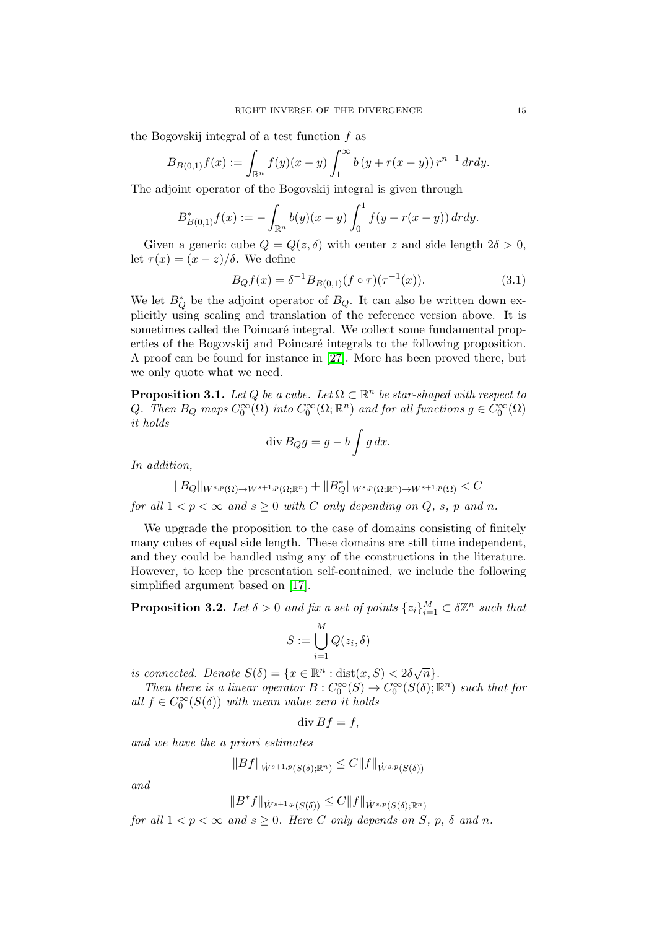the Bogovskij integral of a test function  $f$  as

$$
B_{B(0,1)}f(x) := \int_{\mathbb{R}^n} f(y)(x - y) \int_1^{\infty} b(y + r(x - y)) r^{n-1} dr dy.
$$

The adjoint operator of the Bogovskij integral is given through

$$
B_{B(0,1)}^* f(x) := -\int_{\mathbb{R}^n} b(y)(x-y) \int_0^1 f(y+r(x-y)) dr dy.
$$

Given a generic cube  $Q = Q(z, \delta)$  with center z and side length  $2\delta > 0$ , let  $\tau(x) = (x - z)/\delta$ . We define

<span id="page-14-2"></span>
$$
B_Q f(x) = \delta^{-1} B_{B(0,1)}(f \circ \tau)(\tau^{-1}(x)). \tag{3.1}
$$

We let  $B^*_{Q}$  be the adjoint operator of  $B_{Q}$ . It can also be written down explicitly using scaling and translation of the reference version above. It is sometimes called the Poincaré integral. We collect some fundamental properties of the Bogovskij and Poincaré integrals to the following proposition. A proof can be found for instance in [\[27\]](#page-42-20). More has been proved there, but we only quote what we need.

<span id="page-14-0"></span>**Proposition 3.1.** Let Q be a cube. Let  $\Omega \subset \mathbb{R}^n$  be star-shaped with respect to Q. Then  $B_Q$  maps  $C_0^{\infty}(\Omega)$  into  $C_0^{\infty}(\Omega;\mathbb{R}^n)$  and for all functions  $g \in C_0^{\infty}(\Omega)$ it holds

$$
\operatorname{div} B_Q g = g - b \int g \, dx.
$$

In addition,

$$
||B_Q||_{W^{s,p}(\Omega) \to W^{s+1,p}(\Omega; \mathbb{R}^n)} + ||B_Q^*||_{W^{s,p}(\Omega; \mathbb{R}^n) \to W^{s+1,p}(\Omega)} < C
$$
  
for all  $1 < p < \infty$  and  $s \ge 0$  with C only depending on Q, s, p and n.

We upgrade the proposition to the case of domains consisting of finitely many cubes of equal side length. These domains are still time independent, and they could be handled using any of the constructions in the literature. However, to keep the presentation self-contained, we include the following simplified argument based on [\[17\]](#page-42-5).

<span id="page-14-1"></span>**Proposition 3.2.** Let  $\delta > 0$  and fix a set of points  $\{z_i\}_{i=1}^M \subset \delta \mathbb{Z}^n$  such that

$$
S := \bigcup_{i=1}^{M} Q(z_i, \delta)
$$

is connected. Denote  $S(\delta) = \{x \in \mathbb{R}^n : dist(x, S) < 2\delta\sqrt{n}\}.$ 

Then there is a linear operator  $B: C_0^{\infty}(S) \to C_0^{\infty}(S(\delta); \mathbb{R}^n)$  such that for all  $f \in C_0^{\infty}(S(\delta))$  with mean value zero it holds

$$
\operatorname{div} Bf = f,
$$

and we have the a priori estimates

$$
||Bf||_{\dot{W}^{s+1,p}(S(\delta);\mathbb{R}^n)} \leq C||f||_{\dot{W}^{s,p}(S(\delta))}
$$

and

$$
||B^*f||_{\dot{W}^{s+1,p}(S(\delta))} \leq C||f||_{\dot{W}^{s,p}(S(\delta);\mathbb{R}^n)}
$$

for all  $1 < p < \infty$  and  $s \ge 0$ . Here C only depends on S, p,  $\delta$  and n.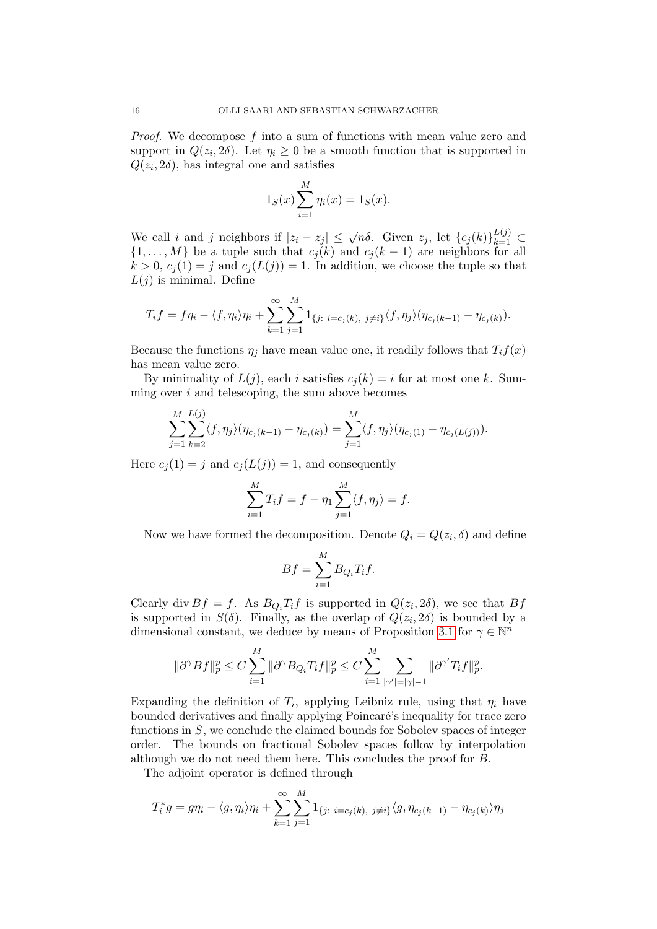*Proof.* We decompose  $f$  into a sum of functions with mean value zero and support in  $Q(z_i, 2\delta)$ . Let  $\eta_i \geq 0$  be a smooth function that is supported in  $Q(z_i, 2\delta)$ , has integral one and satisfies

$$
1_S(x) \sum_{i=1}^{M} \eta_i(x) = 1_S(x).
$$

We call i and j neighbors if  $|z_i - z_j| \leq \sqrt{n}\delta$ . Given  $z_j$ , let  $\{c_j(k)\}_{k=1}^{L(j)} \subset$  $\{1, \ldots, M\}$  be a tuple such that  $c_j(k)$  and  $c_j(k-1)$  are neighbors for all  $k > 0$ ,  $c_j(1) = j$  and  $c_j(L(j)) = 1$ . In addition, we choose the tuple so that  $L(j)$  is minimal. Define

$$
T_i f = f \eta_i - \langle f, \eta_i \rangle \eta_i + \sum_{k=1}^{\infty} \sum_{j=1}^{M} 1_{\{j: i = c_j(k), j \neq i\}} \langle f, \eta_j \rangle (\eta_{c_j(k-1)} - \eta_{c_j(k)}).
$$

Because the functions  $\eta_j$  have mean value one, it readily follows that  $T_i f(x)$ has mean value zero.

By minimality of  $L(j)$ , each i satisfies  $c_j(k) = i$  for at most one k. Summing over  $i$  and telescoping, the sum above becomes

$$
\sum_{j=1}^{M} \sum_{k=2}^{L(j)} \langle f, \eta_j \rangle (\eta_{c_j(k-1)} - \eta_{c_j(k)}) = \sum_{j=1}^{M} \langle f, \eta_j \rangle (\eta_{c_j(1)} - \eta_{c_j(L(j))}).
$$

Here  $c_i(1) = j$  and  $c_i(L(j)) = 1$ , and consequently

$$
\sum_{i=1}^{M} T_i f = f - \eta_1 \sum_{j=1}^{M} \langle f, \eta_j \rangle = f.
$$

Now we have formed the decomposition. Denote  $Q_i = Q(z_i, \delta)$  and define

$$
Bf = \sum_{i=1}^{M} B_{Q_i} T_i f.
$$

Clearly div  $Bf = f$ . As  $B_{Q_i}T_i f$  is supported in  $Q(z_i, 2\delta)$ , we see that  $Bf$ is supported in  $S(\delta)$ . Finally, as the overlap of  $Q(z_i, 2\delta)$  is bounded by a dimensional constant, we deduce by means of Proposition [3.1](#page-14-0) for  $\gamma \in \mathbb{N}^n$ 

$$
\|\partial^{\gamma}Bf\|_{p}^{p} \le C \sum_{i=1}^{M} \|\partial^{\gamma}B_{Q_{i}}T_{i}f\|_{p}^{p} \le C \sum_{i=1}^{M} \sum_{|\gamma'|=|\gamma|-1} \|\partial^{\gamma'}T_{i}f\|_{p}^{p}.
$$

Expanding the definition of  $T_i$ , applying Leibniz rule, using that  $\eta_i$  have bounded derivatives and finally applying Poincaré's inequality for trace zero functions in S, we conclude the claimed bounds for Sobolev spaces of integer order. The bounds on fractional Sobolev spaces follow by interpolation although we do not need them here. This concludes the proof for B.

The adjoint operator is defined through

$$
T_i^*g = g\eta_i - \langle g, \eta_i \rangle \eta_i + \sum_{k=1}^{\infty} \sum_{j=1}^M 1_{\{j: i = c_j(k), j \neq i\}} \langle g, \eta_{c_j(k-1)} - \eta_{c_j(k)} \rangle \eta_j
$$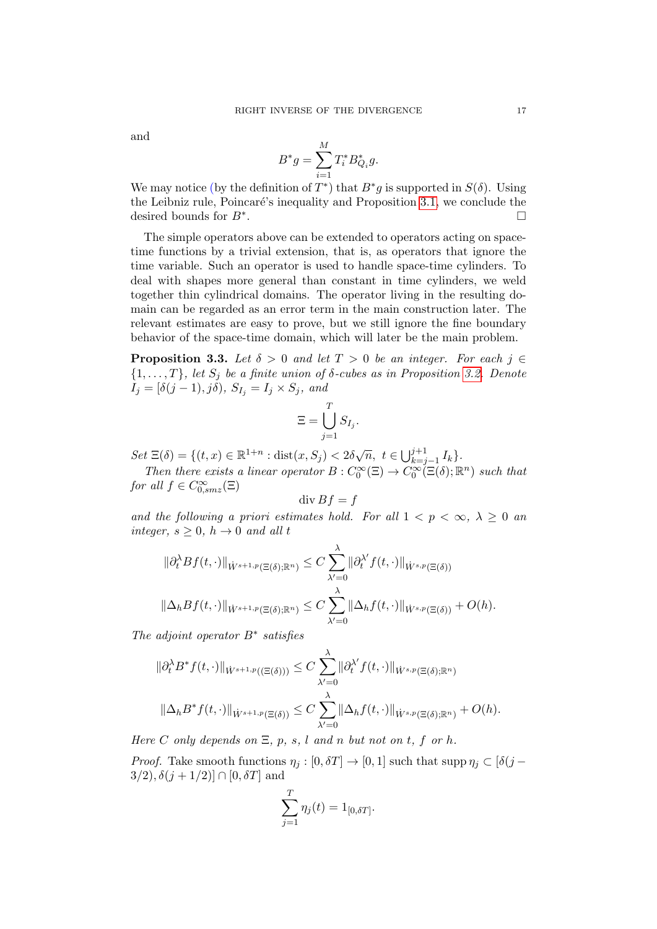and

$$
B^*g = \sum_{i=1}^M T_i^* B_{Q_i}^* g.
$$

We may notice (by the definition of  $T^*$ ) that  $B^*g$  is supported in  $S(\delta)$ . Using the Leibniz rule, Poincaré's inequality and Proposition [3.1,](#page-14-0) we conclude the desired bounds for  $B^*$ . .

The simple operators above can be extended to operators acting on spacetime functions by a trivial extension, that is, as operators that ignore the time variable. Such an operator is used to handle space-time cylinders. To deal with shapes more general than constant in time cylinders, we weld together thin cylindrical domains. The operator living in the resulting domain can be regarded as an error term in the main construction later. The relevant estimates are easy to prove, but we still ignore the fine boundary behavior of the space-time domain, which will later be the main problem.

<span id="page-16-0"></span>**Proposition 3.3.** Let  $\delta > 0$  and let  $T > 0$  be an integer. For each  $j \in$  $\{1,\ldots,T\}$ , let  $S_i$  be a finite union of  $\delta$ -cubes as in Proposition [3.2.](#page-14-1) Denote  $I_j = [\delta(j-1), j\delta), S_{I_j} = I_j \times S_j, and$ 

$$
\Xi = \bigcup_{j=1}^T S_{I_j}.
$$

Set  $\Xi(\delta) = \{(t, x) \in \mathbb{R}^{1+n} : \text{dist}(x, S_j) < 2\delta\sqrt{n}, t \in \bigcup_{k=j-1}^{j+1} I_k\}.$ 

Then there exists a linear operator  $B: C_0^{\infty}(\Xi) \to C_0^{\infty}(\Xi(\delta); \mathbb{R}^n)$  such that for all  $f \in C_{0,smz}^{\infty}(\Xi)$ 

$$
\operatorname{div} Bf = f
$$

and the following a priori estimates hold. For all  $1 < p < \infty$ ,  $\lambda \geq 0$  and integer,  $s \geq 0$ ,  $h \to 0$  and all t

$$
\|\partial_t^{\lambda} Bf(t,\cdot)\|_{\dot{W}^{s+1,p}(\Xi(\delta);\mathbb{R}^n)} \leq C \sum_{\lambda'=0}^{\lambda} \|\partial_t^{\lambda'} f(t,\cdot)\|_{\dot{W}^{s,p}(\Xi(\delta))}
$$
  

$$
\|\Delta_h Bf(t,\cdot)\|_{\dot{W}^{s+1,p}(\Xi(\delta);\mathbb{R}^n)} \leq C \sum_{\lambda'=0}^{\lambda} \|\Delta_h f(t,\cdot)\|_{\dot{W}^{s,p}(\Xi(\delta))} + O(h).
$$

The adjoint operator  $B^*$  satisfies

$$
\|\partial_t^{\lambda} B^* f(t, \cdot)\|_{\dot{W}^{s+1,p}((\Xi(\delta)))} \leq C \sum_{\lambda'=0}^{\lambda} \|\partial_t^{\lambda'} f(t, \cdot)\|_{\dot{W}^{s,p}(\Xi(\delta); \mathbb{R}^n)}
$$

$$
\|\Delta_h B^* f(t, \cdot)\|_{\dot{W}^{s+1,p}(\Xi(\delta))} \leq C \sum_{\lambda'=0}^{\lambda} \|\Delta_h f(t, \cdot)\|_{\dot{W}^{s,p}(\Xi(\delta); \mathbb{R}^n)} + O(h).
$$

Here C only depends on  $\Xi$ , p, s, l and n but not on t, f or h.

*Proof.* Take smooth functions  $\eta_i : [0, \delta T] \to [0, 1]$  such that supp  $\eta_i \subset [\delta(j 3/2$ ,  $\delta(j + 1/2)$ ]  $\cap$  [0,  $\delta T$ ] and

$$
\sum_{j=1}^{T} \eta_j(t) = 1_{[0,\delta T]}.
$$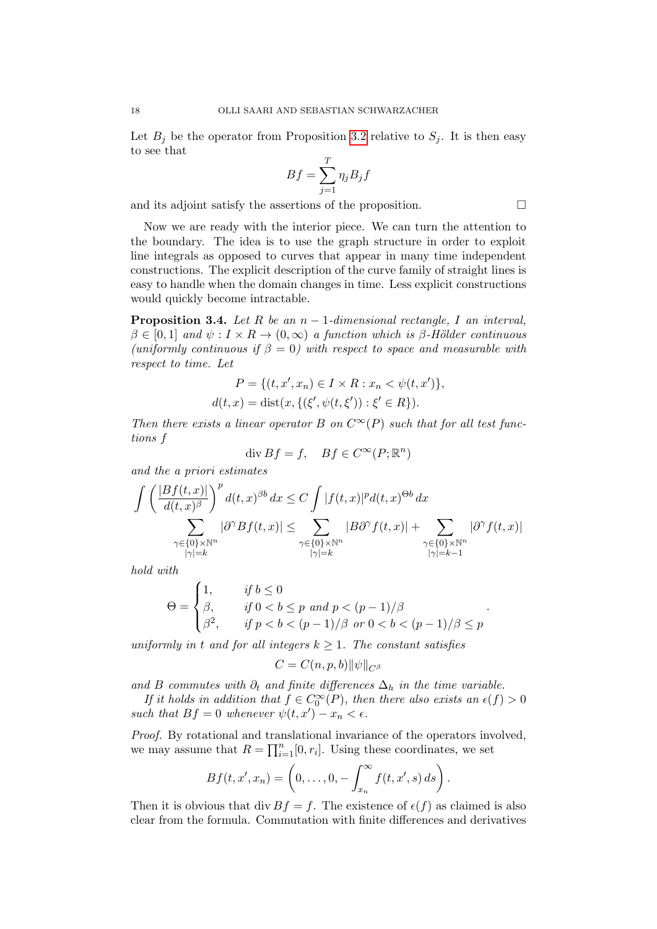Let  $B_j$  be the operator from Proposition [3.2](#page-14-1) relative to  $S_j$ . It is then easy to see that

$$
Bf = \sum_{j=1}^{T} \eta_j B_j f
$$

and its adjoint satisfy the assertions of the proposition.  $\Box$ 

Now we are ready with the interior piece. We can turn the attention to the boundary. The idea is to use the graph structure in order to exploit line integrals as opposed to curves that appear in many time independent constructions. The explicit description of the curve family of straight lines is easy to handle when the domain changes in time. Less explicit constructions would quickly become intractable.

<span id="page-17-0"></span>**Proposition 3.4.** Let R be an  $n-1$ -dimensional rectangle, I an interval,  $\beta \in [0,1]$  and  $\psi: I \times R \to (0,\infty)$  a function which is  $\beta$ -Hölder continuous (uniformly continuous if  $\beta = 0$ ) with respect to space and measurable with respect to time. Let

$$
P = \{(t, x', x_n) \in I \times R : x_n < \psi(t, x')\},\newline d(t, x) = \text{dist}(x, \{(\xi', \psi(t, \xi')) : \xi' \in R\}).
$$

Then there exists a linear operator B on  $C^{\infty}(P)$  such that for all test functions f

$$
\operatorname{div} Bf = f, \quad Bf \in C^{\infty}(P; \mathbb{R}^n)
$$

and the a priori estimates

$$
\int \left( \frac{|Bf(t,x)|}{d(t,x)^{\beta}} \right)^p d(t,x)^{\beta b} dx \le C \int |f(t,x)|^p d(t,x)^{\Theta b} dx
$$
  

$$
\sum_{\substack{\gamma \in \{0\} \times \mathbb{N}^n \\ |\gamma| = k}} |\partial^{\gamma} Bf(t,x)| \le \sum_{\substack{\gamma \in \{0\} \times \mathbb{N}^n \\ |\gamma| = k}} |B\partial^{\gamma} f(t,x)| + \sum_{\substack{\gamma \in \{0\} \times \mathbb{N}^n \\ |\gamma| = k - 1}} |\partial^{\gamma} f(t,x)|
$$

hold with

$$
\Theta = \begin{cases} 1, & \text{if } b \le 0 \\ \beta, & \text{if } 0 < b \le p \text{ and } p < (p-1)/\beta \\ \beta^2, & \text{if } p < b < (p-1)/\beta \text{ or } 0 < b < (p-1)/\beta \le p \end{cases}.
$$

uniformly in t and for all integers  $k \geq 1$ . The constant satisfies

$$
C=C(n,p,b)\|\psi\|_{C^\beta}
$$

and B commutes with  $\partial_t$  and finite differences  $\Delta_h$  in the time variable.

If it holds in addition that  $f \in C_0^{\infty}(P)$ , then there also exists an  $\epsilon(f) > 0$ such that  $Bf = 0$  whenever  $\psi(t, x') - x_n < \epsilon$ .

Proof. By rotational and translational invariance of the operators involved, we may assume that  $R = \prod_{i=1}^{n} [0, r_i]$ . Using these coordinates, we set

$$
Bf(t,x',x_n)=\left(0,\ldots,0,-\int_{x_n}^{\infty}f(t,x',s)\,ds\right).
$$

Then it is obvious that div  $Bf = f$ . The existence of  $\epsilon(f)$  as claimed is also clear from the formula. Commutation with finite differences and derivatives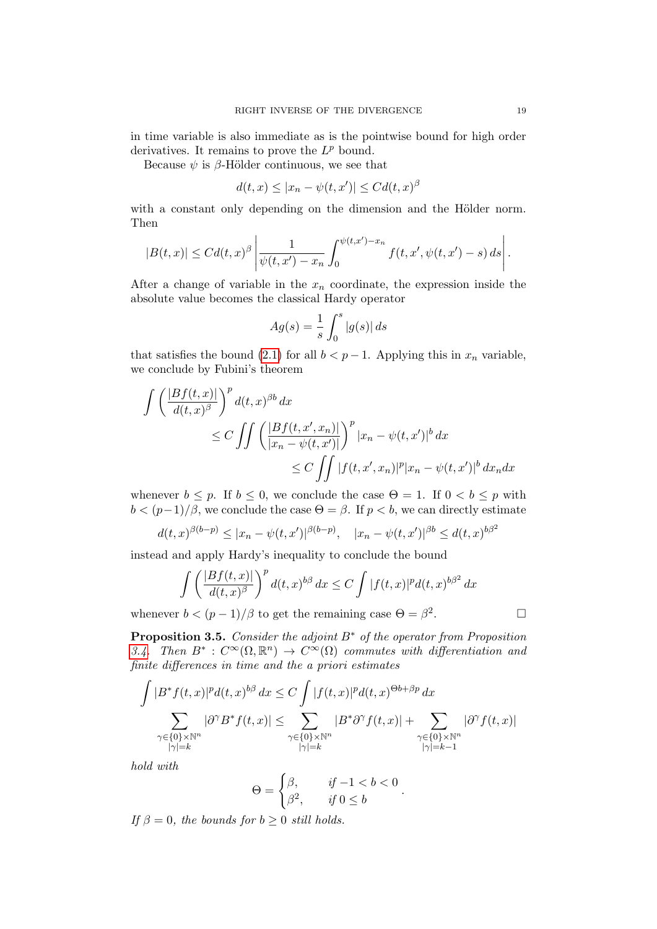in time variable is also immediate as is the pointwise bound for high order derivatives. It remains to prove the  $L^p$  bound.

Because  $\psi$  is  $\beta$ -Hölder continuous, we see that

$$
d(t,x) \le |x_n - \psi(t,x')| \le C d(t,x)^\beta
$$

with a constant only depending on the dimension and the Hölder norm. Then

$$
|B(t,x)| \leq C d(t,x)^{\beta} \left| \frac{1}{\psi(t,x') - x_n} \int_0^{\psi(t,x') - x_n} f(t,x',\psi(t,x') - s) ds \right|.
$$

After a change of variable in the  $x_n$  coordinate, the expression inside the absolute value becomes the classical Hardy operator

$$
Ag(s) = \frac{1}{s} \int_0^s |g(s)| ds
$$

that satisfies the bound [\(2.1\)](#page-13-1) for all  $b < p-1$ . Applying this in  $x_n$  variable, we conclude by Fubini's theorem

$$
\int \left( \frac{|Bf(t,x)|}{d(t,x)^{\beta}} \right)^{p} d(t,x)^{\beta b} dx
$$
\n
$$
\leq C \iint \left( \frac{|Bf(t,x',x_n)|}{|x_n - \psi(t,x')|} \right)^{p} |x_n - \psi(t,x')|^b dx
$$
\n
$$
\leq C \iint |f(t,x',x_n)|^{p} |x_n - \psi(t,x')|^b dx_n dx
$$

whenever  $b \leq p$ . If  $b \leq 0$ , we conclude the case  $\Theta = 1$ . If  $0 < b \leq p$  with  $b < (p-1)/\beta$ , we conclude the case  $\Theta = \beta$ . If  $p < b$ , we can directly estimate

$$
d(t,x)^{\beta(b-p)} \le |x_n - \psi(t,x')|^{\beta(b-p)}, \quad |x_n - \psi(t,x')|^{\beta b} \le d(t,x)^{b\beta^2}
$$

instead and apply Hardy's inequality to conclude the bound

$$
\int \left( \frac{|Bf(t,x)|}{d(t,x)^{\beta}} \right)^p d(t,x)^{b\beta} dx \le C \int |f(t,x)|^p d(t,x)^{b\beta^2} dx
$$
  
 
$$
b < (p-1)/\beta
$$
 to get the remaining case  $\Theta = \beta^2$ .

whenever  $b < (p-1)/\beta$  to get the remaining case  $\Theta = \beta^2$ 

<span id="page-18-0"></span>**Proposition 3.5.** Consider the adjoint  $B^*$  of the operator from Proposition [3.4.](#page-17-0) Then  $B^*: C^{\infty}(\Omega, \mathbb{R}^n) \to C^{\infty}(\Omega)$  commutes with differentiation and finite differences in time and the a priori estimates

$$
\int |B^* f(t,x)|^p d(t,x)^{b\beta} dx \le C \int |f(t,x)|^p d(t,x)^{\Theta b + \beta p} dx
$$
  

$$
\sum_{\substack{\gamma \in \{0\} \times \mathbb{N}^n \\ |\gamma| = k}} |\partial^{\gamma} B^* f(t,x)| \le \sum_{\substack{\gamma \in \{0\} \times \mathbb{N}^n \\ |\gamma| = k}} |B^* \partial^{\gamma} f(t,x)| + \sum_{\substack{\gamma \in \{0\} \times \mathbb{N}^n \\ |\gamma| = k - 1}} |\partial^{\gamma} f(t,x)|
$$

hold with

$$
\Theta = \begin{cases} \beta, & \text{if } -1 < b < 0 \\ \beta^2, & \text{if } 0 \le b \end{cases}.
$$

If  $\beta = 0$ , the bounds for  $b \geq 0$  still holds.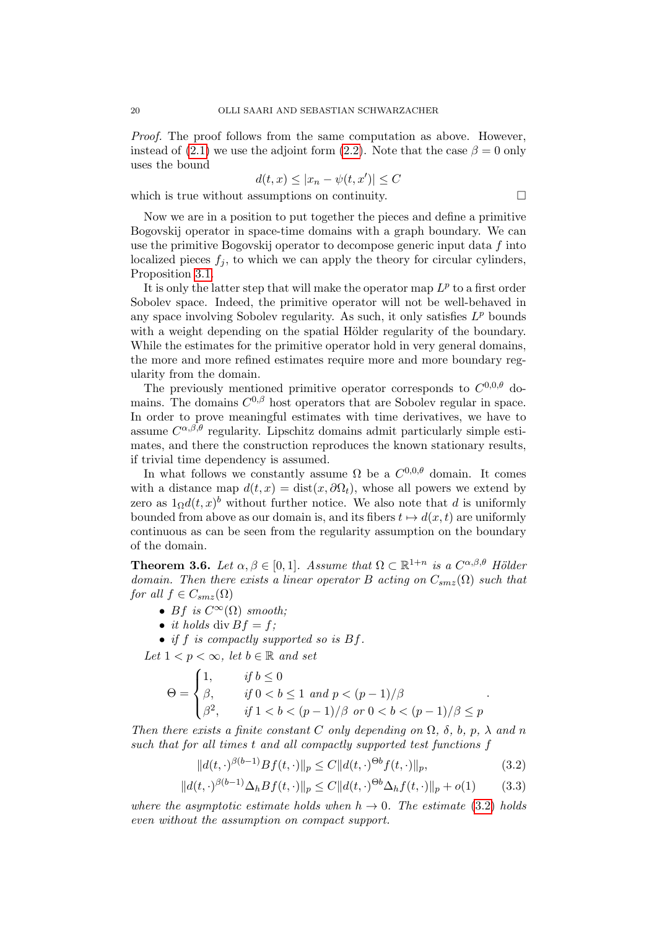Proof. The proof follows from the same computation as above. However, instead of [\(2.1\)](#page-13-1) we use the adjoint form [\(2.2\)](#page-13-2). Note that the case  $\beta = 0$  only uses the bound

$$
d(t, x) \le |x_n - \psi(t, x')| \le C
$$

which is true without assumptions on continuity.  $\Box$ 

Now we are in a position to put together the pieces and define a primitive Bogovskij operator in space-time domains with a graph boundary. We can use the primitive Bogovskij operator to decompose generic input data  $f$  into localized pieces  $f_i$ , to which we can apply the theory for circular cylinders, Proposition [3.1.](#page-14-0)

It is only the latter step that will make the operator map  $L^p$  to a first order Sobolev space. Indeed, the primitive operator will not be well-behaved in any space involving Sobolev regularity. As such, it only satisfies  $L^p$  bounds with a weight depending on the spatial Hölder regularity of the boundary. While the estimates for the primitive operator hold in very general domains, the more and more refined estimates require more and more boundary regularity from the domain.

The previously mentioned primitive operator corresponds to  $C^{0,0,\theta}$  domains. The domains  $C^{0,\beta}$  host operators that are Sobolev regular in space. In order to prove meaningful estimates with time derivatives, we have to assume  $C^{\alpha,\beta,\theta}$  regularity. Lipschitz domains admit particularly simple estimates, and there the construction reproduces the known stationary results, if trivial time dependency is assumed.

In what follows we constantly assume  $\Omega$  be a  $C^{0,0,\theta}$  domain. It comes with a distance map  $d(t, x) = \text{dist}(x, \partial \Omega_t)$ , whose all powers we extend by zero as  $1_{\Omega}d(t,x)^{b}$  without further notice. We also note that d is uniformly bounded from above as our domain is, and its fibers  $t \mapsto d(x, t)$  are uniformly continuous as can be seen from the regularity assumption on the boundary of the domain.

<span id="page-19-0"></span>**Theorem 3.6.** Let  $\alpha, \beta \in [0,1]$ . Assume that  $\Omega \subset \mathbb{R}^{1+n}$  is a  $C^{\alpha,\beta,\theta}$  Hölder domain. Then there exists a linear operator B acting on  $C_{smz}(\Omega)$  such that for all  $f \in C_{smz}(\Omega)$ 

- Bf is  $C^{\infty}(\Omega)$  smooth;
- it holds div  $Bf = f$ :

• if f is compactly supported so is  $Bf$ .

Let  $1 < p < \infty$ , let  $b \in \mathbb{R}$  and set

$$
\Theta = \begin{cases} 1, & \text{if } b \le 0 \\ \beta, & \text{if } 0 < b \le 1 \text{ and } p < (p-1)/\beta \\ \beta^2, & \text{if } 1 < b < (p-1)/\beta \text{ or } 0 < b < (p-1)/\beta \le p \end{cases}.
$$

Then there exists a finite constant C only depending on  $\Omega$ ,  $\delta$ ,  $b$ ,  $p$ ,  $\lambda$  and n such that for all times t and all compactly supported test functions f

<span id="page-19-2"></span><span id="page-19-1"></span>
$$
||d(t, \cdot)^{\beta(b-1)} Bf(t, \cdot)||_p \le C||d(t, \cdot)^{\Theta b} f(t, \cdot)||_p,
$$
\n(3.2)

$$
||d(t, \cdot)^{\beta(b-1)} \Delta_h B f(t, \cdot)||_p \le C ||d(t, \cdot)^{\Theta b} \Delta_h f(t, \cdot)||_p + o(1)
$$
 (3.3)

where the asymptotic estimate holds when  $h \to 0$ . The estimate [\(3.2\)](#page-19-1) holds even without the assumption on compact support.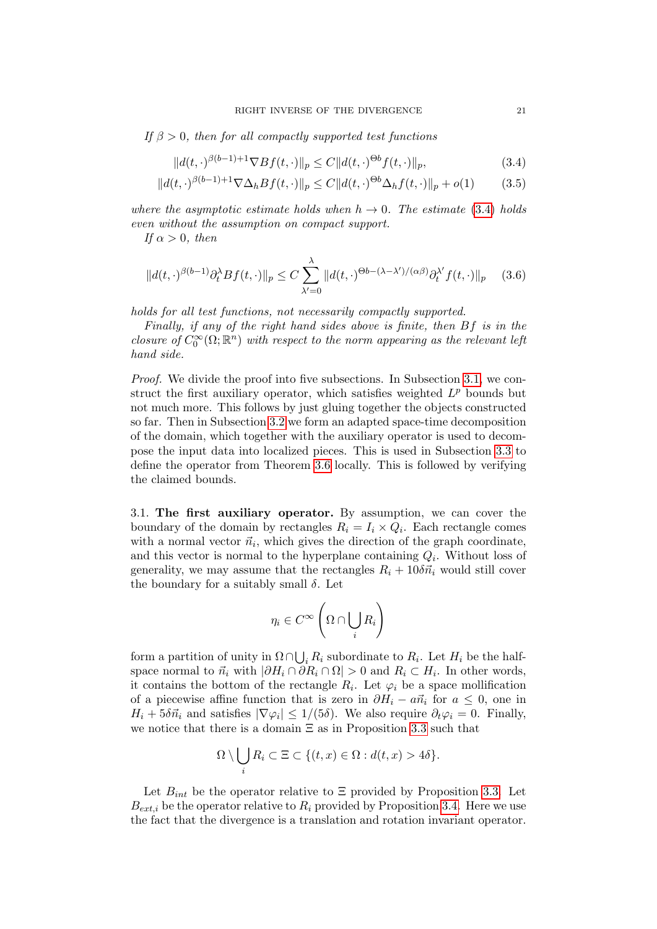If  $\beta > 0$ , then for all compactly supported test functions

<span id="page-20-3"></span><span id="page-20-2"></span><span id="page-20-0"></span>
$$
||d(t, \cdot)^{\beta(b-1)+1} \nabla Bf(t, \cdot)||_p \le C ||d(t, \cdot)^{\Theta b} f(t, \cdot)||_p,
$$
\n(3.4)

$$
||d(t,\cdot)^{\beta(b-1)+1}\nabla\Delta_h Bf(t,\cdot)||_p \le C||d(t,\cdot)^{\Theta b}\Delta_h f(t,\cdot)||_p + o(1)
$$
 (3.5)

where the asymptotic estimate holds when  $h \to 0$ . The estimate [\(3.4\)](#page-20-0) holds even without the assumption on compact support.

If  $\alpha > 0$ , then

$$
||d(t,\cdot)^{\beta(b-1)}\partial_t^{\lambda}Bf(t,\cdot)||_p \le C\sum_{\lambda'=0}^{\lambda}||d(t,\cdot)^{\Theta b-(\lambda-\lambda')/(\alpha\beta)}\partial_t^{\lambda'}f(t,\cdot)||_p \quad (3.6)
$$

holds for all test functions, not necessarily compactly supported.

Finally, if any of the right hand sides above is finite, then Bf is in the closure of  $C_0^{\infty}(\Omega;\mathbb{R}^n)$  with respect to the norm appearing as the relevant left hand side.

Proof. We divide the proof into five subsections. In Subsection [3.1,](#page-20-1) we construct the first auxiliary operator, which satisfies weighted  $L^p$  bounds but not much more. This follows by just gluing together the objects constructed so far. Then in Subsection [3.2](#page-22-0) we form an adapted space-time decomposition of the domain, which together with the auxiliary operator is used to decompose the input data into localized pieces. This is used in Subsection [3.3](#page-23-0) to define the operator from Theorem [3.6](#page-19-0) locally. This is followed by verifying the claimed bounds.

<span id="page-20-1"></span>3.1. The first auxiliary operator. By assumption, we can cover the boundary of the domain by rectangles  $R_i = I_i \times Q_i$ . Each rectangle comes with a normal vector  $\vec{n}_i$ , which gives the direction of the graph coordinate, and this vector is normal to the hyperplane containing  $Q_i$ . Without loss of generality, we may assume that the rectangles  $R_i + 10\delta\vec{n}_i$  would still cover the boundary for a suitably small  $\delta$ . Let

$$
\eta_i \in C^\infty\left(\Omega \cap \bigcup_i R_i\right)
$$

form a partition of unity in  $\Omega \cap \bigcup_i R_i$  subordinate to  $R_i$ . Let  $H_i$  be the halfspace normal to  $\vec{n}_i$  with  $|\partial H_i \cap \partial R_i \cap \Omega| > 0$  and  $R_i \subset H_i$ . In other words, it contains the bottom of the rectangle  $R_i$ . Let  $\varphi_i$  be a space mollification of a piecewise affine function that is zero in  $\partial H_i - a\vec{n}_i$  for  $a \leq 0$ , one in  $H_i + 5\delta\vec{n}_i$  and satisfies  $|\nabla\varphi_i| \leq 1/(5\delta)$ . We also require  $\partial_t\varphi_i = 0$ . Finally, we notice that there is a domain  $\Xi$  as in Proposition [3.3](#page-16-0) such that

$$
\Omega \setminus \bigcup_i R_i \subset \Xi \subset \{(t,x) \in \Omega : d(t,x) > 4\delta\}.
$$

Let  $B_{int}$  be the operator relative to  $\Xi$  provided by Proposition [3.3.](#page-16-0) Let  $B_{ext,i}$  be the operator relative to  $R_i$  provided by Proposition [3.4.](#page-17-0) Here we use the fact that the divergence is a translation and rotation invariant operator.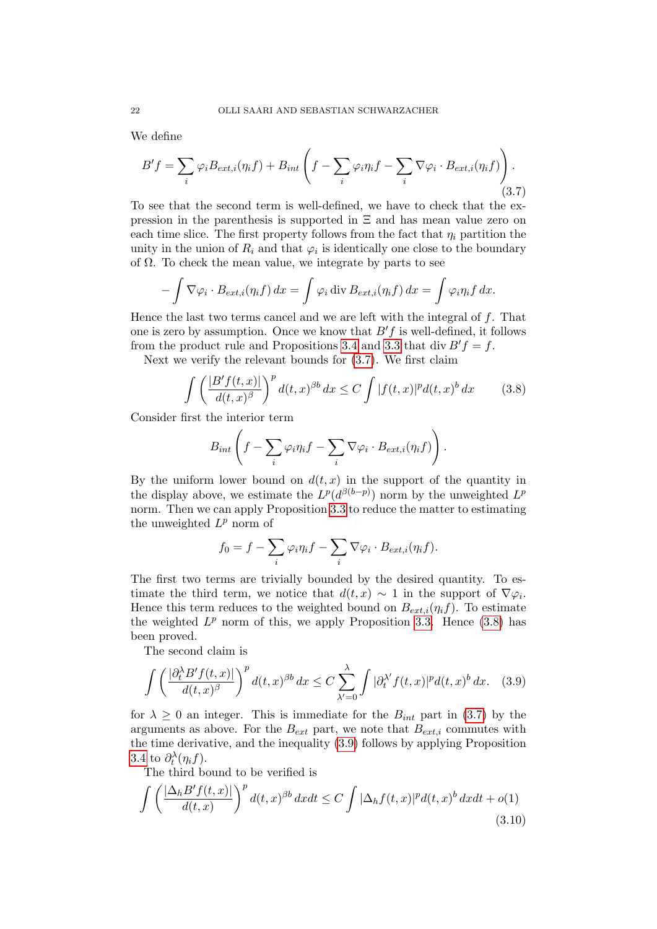We define

<span id="page-21-0"></span>
$$
B'f = \sum_{i} \varphi_{i} B_{ext,i}(\eta_{i}f) + B_{int} \left( f - \sum_{i} \varphi_{i} \eta_{i}f - \sum_{i} \nabla \varphi_{i} \cdot B_{ext,i}(\eta_{i}f) \right). \tag{3.7}
$$

To see that the second term is well-defined, we have to check that the expression in the parenthesis is supported in Ξ and has mean value zero on each time slice. The first property follows from the fact that  $\eta_i$  partition the unity in the union of  $R_i$  and that  $\varphi_i$  is identically one close to the boundary of  $\Omega$ . To check the mean value, we integrate by parts to see

$$
-\int \nabla \varphi_i \cdot B_{ext,i}(\eta_i f) dx = \int \varphi_i \operatorname{div} B_{ext,i}(\eta_i f) dx = \int \varphi_i \eta_i f dx.
$$

Hence the last two terms cancel and we are left with the integral of  $f$ . That one is zero by assumption. Once we know that  $B'f$  is well-defined, it follows from the product rule and Propositions [3.4](#page-17-0) and [3.3](#page-16-0) that div  $B' f = f$ .

Next we verify the relevant bounds for [\(3.7\)](#page-21-0). We first claim

<span id="page-21-1"></span>
$$
\int \left(\frac{|B'f(t,x)|}{d(t,x)^{\beta}}\right)^{p} d(t,x)^{\beta b} dx \leq C \int |f(t,x)|^{p} d(t,x)^{b} dx \qquad (3.8)
$$

Consider first the interior term

$$
B_{int}\left(f-\sum_{i}\varphi_{i}\eta_{i}f-\sum_{i}\nabla\varphi_{i}\cdot B_{ext,i}(\eta_{i}f)\right).
$$

By the uniform lower bound on  $d(t, x)$  in the support of the quantity in the display above, we estimate the  $L^p(d^{\beta(b-p)})$  norm by the unweighted  $L^p$ norm. Then we can apply Proposition [3.3](#page-16-0) to reduce the matter to estimating the unweighted  $L^p$  norm of

$$
f_0 = f - \sum_i \varphi_i \eta_i f - \sum_i \nabla \varphi_i \cdot B_{ext,i}(\eta_i f).
$$

The first two terms are trivially bounded by the desired quantity. To estimate the third term, we notice that  $d(t, x) \sim 1$  in the support of  $\nabla \varphi_i$ . Hence this term reduces to the weighted bound on  $B_{ext,i}(\eta_i f)$ . To estimate the weighted  $L^p$  norm of this, we apply Proposition [3.3.](#page-16-0) Hence [\(3.8\)](#page-21-1) has been proved.

The second claim is

<span id="page-21-2"></span>
$$
\int \left(\frac{|\partial_t^{\lambda} B' f(t,x)|}{d(t,x)^{\beta}}\right)^p d(t,x)^{\beta b} dx \le C \sum_{\lambda'=0}^{\lambda} \int |\partial_t^{\lambda'} f(t,x)|^p d(t,x)^b dx. \quad (3.9)
$$

for  $\lambda \geq 0$  an integer. This is immediate for the  $B_{int}$  part in [\(3.7\)](#page-21-0) by the arguments as above. For the  $B_{ext}$  part, we note that  $B_{ext,i}$  commutes with the time derivative, and the inequality [\(3.9\)](#page-21-2) follows by applying Proposition [3.4](#page-17-0) to  $\partial_t^{\lambda}(\eta_i f)$ .

The third bound to be verified is

<span id="page-21-3"></span>
$$
\int \left(\frac{|\Delta_h B' f(t,x)|}{d(t,x)}\right)^p d(t,x)^{\beta b} dx dt \le C \int |\Delta_h f(t,x)|^p d(t,x)^b dx dt + o(1)
$$
\n(3.10)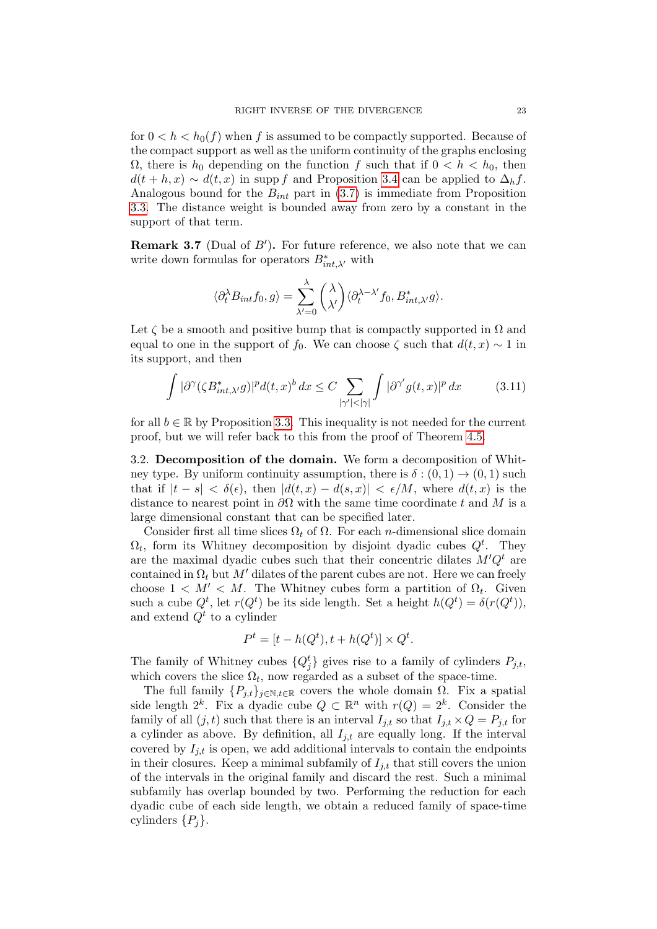for  $0 < h < h_0(f)$  when f is assumed to be compactly supported. Because of the compact support as well as the uniform continuity of the graphs enclosing  $Ω$ , there is  $h_0$  depending on the function f such that if  $0 < h < h_0$ , then  $d(t + h, x) \sim d(t, x)$  in supp f and Proposition [3.4](#page-17-0) can be applied to  $\Delta_h f$ . Analogous bound for the  $B_{int}$  part in [\(3.7\)](#page-21-0) is immediate from Proposition [3.3.](#page-16-0) The distance weight is bounded away from zero by a constant in the support of that term.

<span id="page-22-1"></span>**Remark 3.7** (Dual of  $B'$ ). For future reference, we also note that we can write down formulas for operators  $B_{int,\lambda'}^*$  with

$$
\langle \partial_t^{\lambda} B_{int} f_0, g \rangle = \sum_{\lambda'=0}^{\lambda} {\lambda \choose \lambda'} \langle \partial_t^{\lambda-\lambda'} f_0, B_{int, \lambda'}^* g \rangle.
$$

Let  $\zeta$  be a smooth and positive bump that is compactly supported in  $\Omega$  and equal to one in the support of f<sub>0</sub>. We can choose  $\zeta$  such that  $d(t, x) \sim 1$  in its support, and then

<span id="page-22-2"></span>
$$
\int |\partial^{\gamma}(\zeta B^{*}_{int,\lambda'} g)|^{p} d(t,x)^{b} dx \leq C \sum_{|\gamma'|<|\gamma|} \int |\partial^{\gamma'} g(t,x)|^{p} dx \qquad (3.11)
$$

for all  $b \in \mathbb{R}$  by Proposition [3.3.](#page-16-0) This inequality is not needed for the current proof, but we will refer back to this from the proof of Theorem [4.5.](#page-29-0)

<span id="page-22-0"></span>3.2. Decomposition of the domain. We form a decomposition of Whitney type. By uniform continuity assumption, there is  $\delta : (0,1) \to (0,1)$  such that if  $|t - s| < \delta(\epsilon)$ , then  $|d(t, x) - d(s, x)| < \epsilon/M$ , where  $d(t, x)$  is the distance to nearest point in  $\partial\Omega$  with the same time coordinate t and M is a large dimensional constant that can be specified later.

Consider first all time slices  $\Omega_t$  of  $\Omega$ . For each *n*-dimensional slice domain  $\Omega_t$ , form its Whitney decomposition by disjoint dyadic cubes  $Q^t$ . They are the maximal dyadic cubes such that their concentric dilates  $M'Q^t$  are contained in  $\Omega_t$  but M' dilates of the parent cubes are not. Here we can freely choose  $1 < M' < M$ . The Whitney cubes form a partition of  $\Omega_t$ . Given such a cube  $Q^t$ , let  $r(Q^t)$  be its side length. Set a height  $h(Q^t) = \delta(r(Q^t)),$ and extend  $Q^t$  to a cylinder

$$
P^t = [t - h(Q^t), t + h(Q^t)] \times Q^t.
$$

The family of Whitney cubes  $\{Q_j^t\}$  gives rise to a family of cylinders  $P_{j,t}$ , which covers the slice  $\Omega_t$ , now regarded as a subset of the space-time.

The full family  $\{P_{j,t}\}_{j\in\mathbb{N},t\in\mathbb{R}}$  covers the whole domain  $\Omega$ . Fix a spatial side length  $2^k$ . Fix a dyadic cube  $Q \subset \mathbb{R}^n$  with  $r(Q) = 2^k$ . Consider the family of all  $(j, t)$  such that there is an interval  $I_{i,t}$  so that  $I_{i,t} \times Q = P_{i,t}$  for a cylinder as above. By definition, all  $I_{j,t}$  are equally long. If the interval covered by  $I_{i,t}$  is open, we add additional intervals to contain the endpoints in their closures. Keep a minimal subfamily of  $I_{j,t}$  that still covers the union of the intervals in the original family and discard the rest. Such a minimal subfamily has overlap bounded by two. Performing the reduction for each dyadic cube of each side length, we obtain a reduced family of space-time cylinders  $\{P_i\}$ .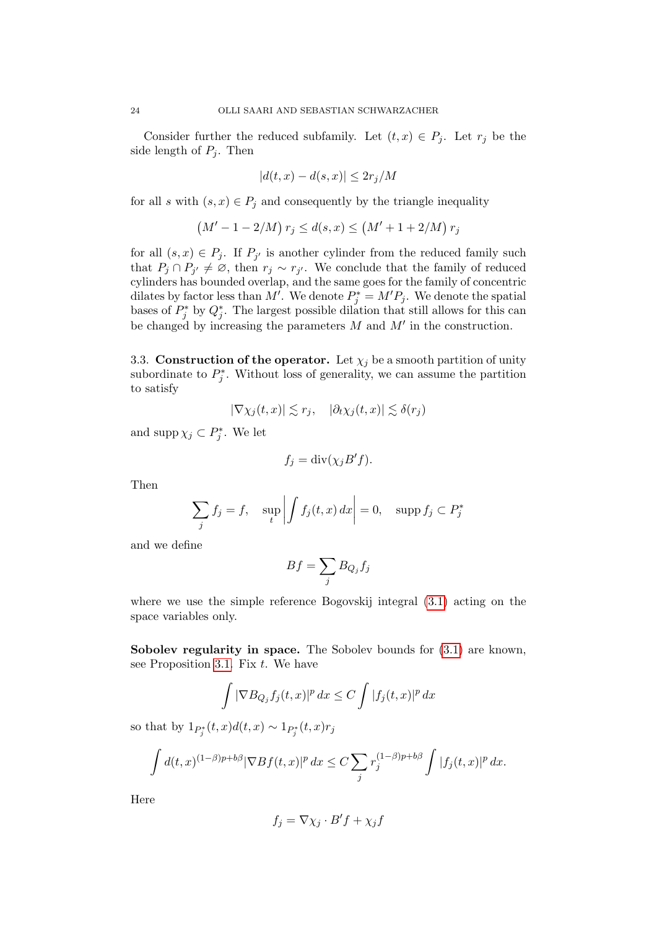Consider further the reduced subfamily. Let  $(t, x) \in P_j$ . Let  $r_j$  be the side length of  $P_i$ . Then

$$
|d(t, x) - d(s, x)| \le 2r_j/M
$$

for all s with  $(s, x) \in P_j$  and consequently by the triangle inequality

$$
(M' - 1 - 2/M) r_j \le d(s, x) \le (M' + 1 + 2/M) r_j
$$

for all  $(s, x) \in P_j$ . If  $P_{j'}$  is another cylinder from the reduced family such that  $P_j \cap P_{j'} \neq \emptyset$ , then  $r_j \sim r_{j'}$ . We conclude that the family of reduced cylinders has bounded overlap, and the same goes for the family of concentric dilates by factor less than M'. We denote  $P_j^* = M'P_j$ . We denote the spatial bases of  $P_j^*$  by  $Q_j^*$ . The largest possible dilation that still allows for this can be changed by increasing the parameters  $M$  and  $M'$  in the construction.

<span id="page-23-0"></span>3.3. Construction of the operator. Let  $\chi_j$  be a smooth partition of unity subordinate to  $P_j^*$ . Without loss of generality, we can assume the partition to satisfy

$$
|\nabla \chi_j(t,x)| \lesssim r_j, \quad |\partial_t \chi_j(t,x)| \lesssim \delta(r_j)
$$

and supp  $\chi_j \subset P_j^*$ . We let

$$
f_j = \operatorname{div}(\chi_j B' f).
$$

Then

$$
\sum_{j} f_j = f, \quad \sup_{t} \left| \int f_j(t, x) \, dx \right| = 0, \quad \text{supp} \, f_j \subset P_j^*
$$

and we define

$$
Bf = \sum_j B_{Q_j} f_j
$$

where we use the simple reference Bogovskij integral [\(3.1\)](#page-14-2) acting on the space variables only.

Sobolev regularity in space. The Sobolev bounds for  $(3.1)$  are known, see Proposition [3.1.](#page-14-0) Fix  $t$ . We have

$$
\int |\nabla B_{Q_j} f_j(t,x)|^p dx \le C \int |f_j(t,x)|^p dx
$$

so that by  $1_{P_j^*}(t, x)d(t, x) \sim 1_{P_j^*}(t, x)r_j$ 

$$
\int d(t,x)^{(1-\beta)p+b\beta} |\nabla Bf(t,x)|^p dx \leq C \sum_j r_j^{(1-\beta)p+b\beta} \int |f_j(t,x)|^p dx.
$$

Here

$$
f_j = \nabla \chi_j \cdot B' f + \chi_j f
$$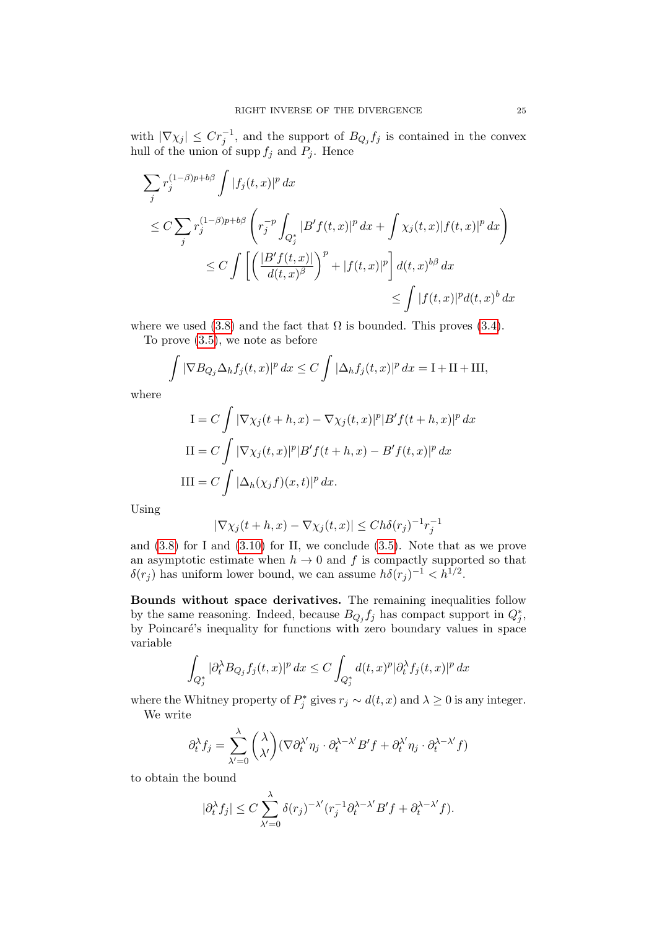with  $|\nabla \chi_j| \leq Cr_j^{-1}$ , and the support of  $B_{Q_j} f_j$  is contained in the convex hull of the union of supp  $f_j$  and  $P_j$ . Hence

$$
\sum_{j} r_{j}^{(1-\beta)p+b\beta} \int |f_{j}(t,x)|^{p} dx
$$
\n
$$
\leq C \sum_{j} r_{j}^{(1-\beta)p+b\beta} \left( r_{j}^{-p} \int_{Q_{j}^{*}} |B' f(t,x)|^{p} dx + \int \chi_{j}(t,x) |f(t,x)|^{p} dx \right)
$$
\n
$$
\leq C \int \left[ \left( \frac{|B' f(t,x)|}{d(t,x)^{\beta}} \right)^{p} + |f(t,x)|^{p} \right] d(t,x)^{b\beta} dx
$$
\n
$$
\leq \int |f(t,x)|^{p} d(t,x)^{b} dx
$$

where we used [\(3.8\)](#page-21-1) and the fact that  $\Omega$  is bounded. This proves [\(3.4\)](#page-20-0).

To prove [\(3.5\)](#page-20-2), we note as before

$$
\int |\nabla B_{Q_j} \Delta_h f_j(t, x)|^p dx \le C \int |\Delta_h f_j(t, x)|^p dx = I + II + III,
$$

where

$$
I = C \int |\nabla \chi_j(t+h, x) - \nabla \chi_j(t, x)|^p |B' f(t+h, x)|^p dx
$$
  
\n
$$
II = C \int |\nabla \chi_j(t, x)|^p |B' f(t+h, x) - B' f(t, x)|^p dx
$$
  
\n
$$
III = C \int |\Delta_h(\chi_j f)(x, t)|^p dx.
$$

Using

$$
|\nabla \chi_j(t+h,x) - \nabla \chi_j(t,x)| \le Ch \delta(r_j)^{-1} r_j^{-1}
$$

and [\(3.8\)](#page-21-1) for I and [\(3.10\)](#page-21-3) for II, we conclude [\(3.5\)](#page-20-2). Note that as we prove an asymptotic estimate when  $h \to 0$  and f is compactly supported so that  $\delta(r_j)$  has uniform lower bound, we can assume  $h\delta(r_j)^{-1} < h^{1/2}$ .

Bounds without space derivatives. The remaining inequalities follow by the same reasoning. Indeed, because  $B_{Q_j} f_j$  has compact support in  $Q_j^*$ , by Poincaré's inequality for functions with zero boundary values in space variable

$$
\int_{Q_j^*} |\partial_t^{\lambda} B_{Q_j} f_j(t,x)|^p dx \le C \int_{Q_j^*} d(t,x)^p |\partial_t^{\lambda} f_j(t,x)|^p dx
$$

where the Whitney property of  $P_j^*$  gives  $r_j \sim d(t, x)$  and  $\lambda \geq 0$  is any integer. We write

$$
\partial_t^{\lambda} f_j = \sum_{\lambda'=0}^{\lambda} {\lambda \choose \lambda'} (\nabla \partial_t^{\lambda'} \eta_j \cdot \partial_t^{\lambda-\lambda'} B' f + \partial_t^{\lambda'} \eta_j \cdot \partial_t^{\lambda-\lambda'} f)
$$

to obtain the bound

$$
|\partial_t^{\lambda} f_j| \le C \sum_{\lambda'=0}^{\lambda} \delta(r_j)^{-\lambda'} (r_j^{-1} \partial_t^{\lambda-\lambda'} B' f + \partial_t^{\lambda-\lambda'} f).
$$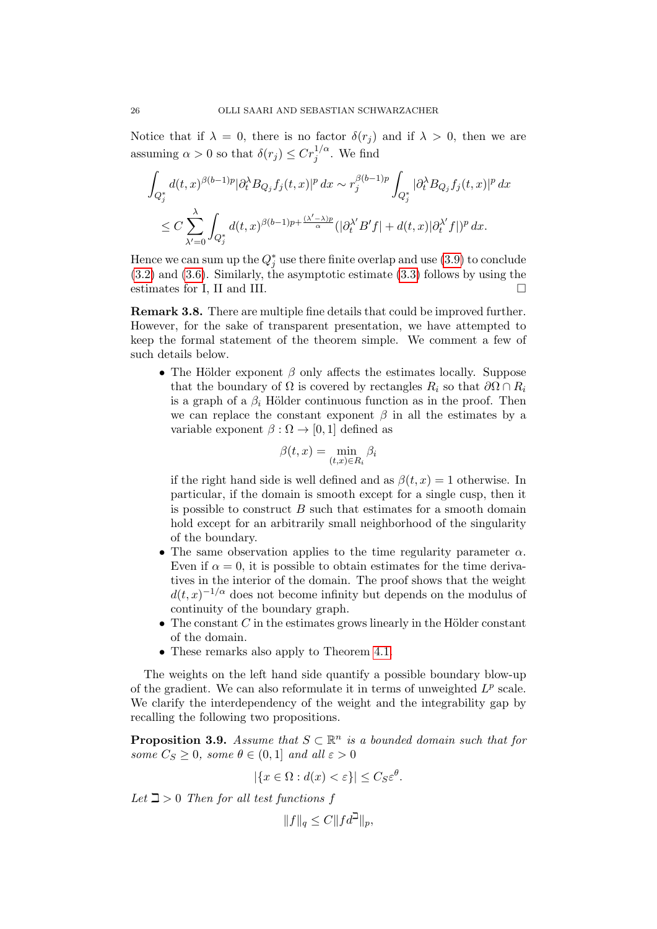Notice that if  $\lambda = 0$ , there is no factor  $\delta(r_i)$  and if  $\lambda > 0$ , then we are assuming  $\alpha > 0$  so that  $\delta(r_j) \leq C r_j^{1/\alpha}$ . We find

$$
\begin{aligned} &\int_{Q_j^*} d(t,x)^{\beta(b-1)p}|\partial_t^\lambda B_{Q_j}f_j(t,x)|^p\,dx \sim r_j^{\beta(b-1)p}\int_{Q_j^*} |\partial_t^\lambda B_{Q_j}f_j(t,x)|^p\,dx\\ &\leq C\sum_{\lambda'=0}^{\lambda}\int_{Q_j^*} d(t,x)^{\beta(b-1)p+\frac{(\lambda'-\lambda)p}{\alpha}}(|\partial_t^\lambda B'f|+d(t,x)|\partial_t^{\lambda'}f|)^p\,dx. \end{aligned}
$$

Hence we can sum up the  $Q_j^*$  use there finite overlap and use  $(3.9)$  to conclude [\(3.2\)](#page-19-1) and [\(3.6\)](#page-20-3). Similarly, the asymptotic estimate [\(3.3\)](#page-19-2) follows by using the estimates for I, II and III.  $\Box$ 

Remark 3.8. There are multiple fine details that could be improved further. However, for the sake of transparent presentation, we have attempted to keep the formal statement of the theorem simple. We comment a few of such details below.

• The Hölder exponent  $\beta$  only affects the estimates locally. Suppose that the boundary of  $\Omega$  is covered by rectangles  $R_i$  so that  $\partial \Omega \cap R_i$ is a graph of a  $\beta_i$  Hölder continuous function as in the proof. Then we can replace the constant exponent  $\beta$  in all the estimates by a variable exponent  $\beta : \Omega \to [0, 1]$  defined as

$$
\beta(t,x) = \min_{(t,x)\in R_i} \beta_i
$$

if the right hand side is well defined and as  $\beta(t, x) = 1$  otherwise. In particular, if the domain is smooth except for a single cusp, then it is possible to construct  $B$  such that estimates for a smooth domain hold except for an arbitrarily small neighborhood of the singularity of the boundary.

- The same observation applies to the time regularity parameter  $\alpha$ . Even if  $\alpha = 0$ , it is possible to obtain estimates for the time derivatives in the interior of the domain. The proof shows that the weight  $d(t,x)^{-1/\alpha}$  does not become infinity but depends on the modulus of continuity of the boundary graph.
- The constant  $C$  in the estimates grows linearly in the Hölder constant of the domain.
- These remarks also apply to Theorem [4.1.](#page-27-0)

The weights on the left hand side quantify a possible boundary blow-up of the gradient. We can also reformulate it in terms of unweighted  $L^p$  scale. We clarify the interdependency of the weight and the integrability gap by recalling the following two propositions.

<span id="page-25-0"></span>**Proposition 3.9.** Assume that  $S \subset \mathbb{R}^n$  is a bounded domain such that for some  $C_S \geq 0$ , some  $\theta \in (0,1]$  and all  $\varepsilon > 0$ 

$$
|\{x \in \Omega : d(x) < \varepsilon\}| \leq C_S \varepsilon^{\theta}.
$$

Let  $\beth > 0$  Then for all test functions f

$$
||f||_q \le C ||fd^{\beth}||_p,
$$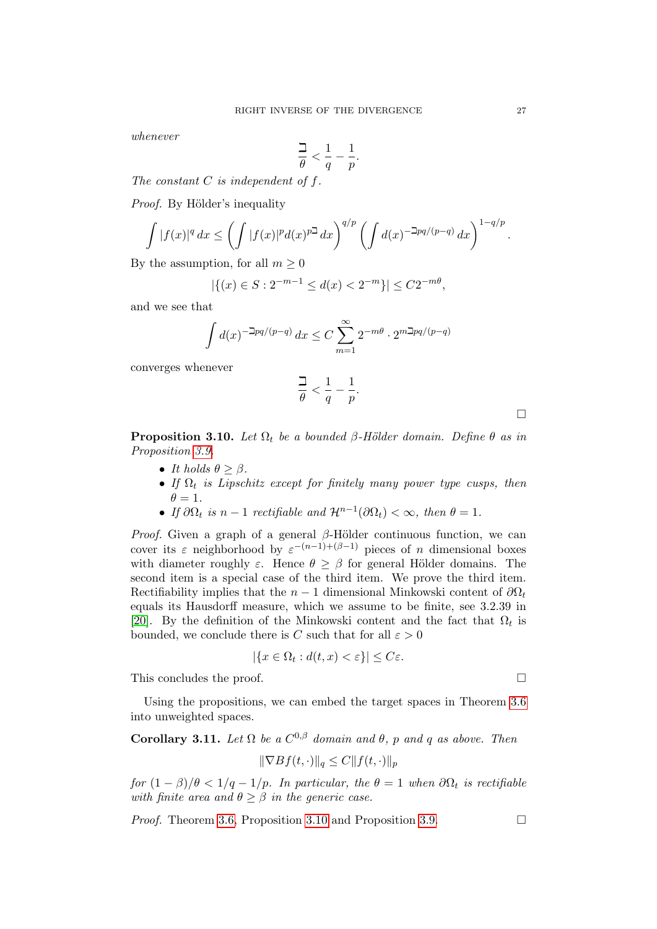whenever

$$
\frac{\beth}{\theta} < \frac{1}{q} - \frac{1}{p}.
$$

The constant  $C$  is independent of  $f$ .

*Proof.* By Hölder's inequality

$$
\int |f(x)|^q dx \le \left(\int |f(x)|^p d(x)^{p\Delta} dx\right)^{q/p} \left(\int d(x)^{-\Delta pq/(p-q)} dx\right)^{1-q/p}
$$

By the assumption, for all  $m \geq 0$ 

$$
|\{(x) \in S : 2^{-m-1} \le d(x) < 2^{-m}\}| \le C2^{-m\theta},
$$

and we see that

$$
\int d(x)^{-\ln q/(p-q)} dx \le C \sum_{m=1}^{\infty} 2^{-m\theta} \cdot 2^{m\ln q/(p-q)}
$$

converges whenever

$$
\frac{\beth}{\theta} < \frac{1}{q} - \frac{1}{p}.
$$

 $\Box$ 

<span id="page-26-1"></span>**Proposition 3.10.** Let  $\Omega_t$  be a bounded  $\beta$ -Hölder domain. Define  $\theta$  as in Proposition [3.9.](#page-25-0)

- It holds  $\theta \geq \beta$ .
- If  $\Omega_t$  is Lipschitz except for finitely many power type cusps, then  $\theta = 1$ .
- If  $\partial \Omega_t$  is  $n-1$  rectifiable and  $\mathcal{H}^{n-1}(\partial \Omega_t) < \infty$ , then  $\theta = 1$ .

*Proof.* Given a graph of a general  $\beta$ -Hölder continuous function, we can cover its  $\varepsilon$  neighborhood by  $\varepsilon^{-(n-1)+(\beta-1)}$  pieces of n dimensional boxes with diameter roughly  $\varepsilon$ . Hence  $\theta \geq \beta$  for general Hölder domains. The second item is a special case of the third item. We prove the third item. Rectifiability implies that the  $n-1$  dimensional Minkowski content of  $\partial\Omega_t$ equals its Hausdorff measure, which we assume to be finite, see 3.2.39 in [\[20\]](#page-42-21). By the definition of the Minkowski content and the fact that  $\Omega_t$  is bounded, we conclude there is C such that for all  $\varepsilon > 0$ 

$$
|\{x \in \Omega_t : d(t, x) < \varepsilon\}| \le C\varepsilon.
$$

This concludes the proof.

Using the propositions, we can embed the target spaces in Theorem [3.6](#page-19-0) into unweighted spaces.

<span id="page-26-0"></span>**Corollary 3.11.** Let  $\Omega$  be a  $C^{0,\beta}$  domain and  $\theta$ , p and q as above. Then

$$
\|\nabla Bf(t,\cdot)\|_{q} \le C \|f(t,\cdot)\|_{p}
$$

for  $(1 - \beta)/\theta < 1/q - 1/p$ . In particular, the  $\theta = 1$  when  $\partial \Omega_t$  is rectifiable with finite area and  $\theta \geq \beta$  in the generic case.

*Proof.* Theorem [3.6,](#page-19-0) Proposition [3.10](#page-26-1) and Proposition [3.9.](#page-25-0)

.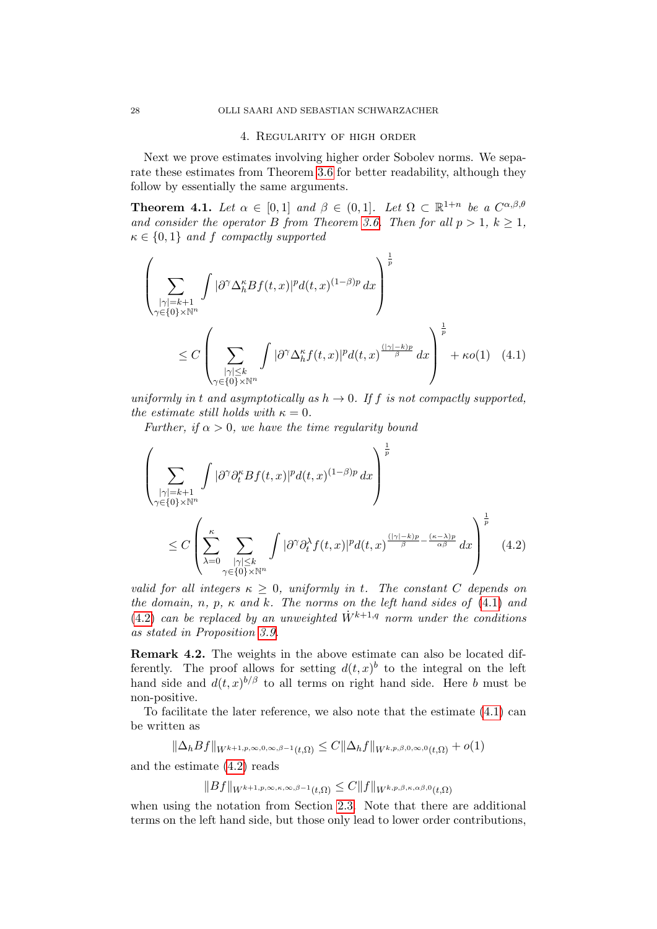### <span id="page-27-1"></span>4. Regularity of high order

Next we prove estimates involving higher order Sobolev norms. We separate these estimates from Theorem [3.6](#page-19-0) for better readability, although they follow by essentially the same arguments.

<span id="page-27-0"></span>**Theorem 4.1.** Let  $\alpha \in [0,1]$  and  $\beta \in (0,1]$ . Let  $\Omega \subset \mathbb{R}^{1+n}$  be a  $C^{\alpha,\beta,\theta}$ and consider the operator B from Theorem [3.6.](#page-19-0) Then for all  $p > 1$ ,  $k \ge 1$ ,  $\kappa \in \{0,1\}$  and f compactly supported

$$
\left(\sum_{\substack{|\gamma|=k+1\\ \gamma \in \{0\}\times\mathbb{N}^n}} \int |\partial^\gamma \Delta_h^\kappa Bf(t,x)|^p d(t,x)^{(1-\beta)p} dx \right)^{\frac{1}{p}}\n\leq C \left(\sum_{\substack{|\gamma| \leq k\\ \gamma \in \{0\}\times\mathbb{N}^n}} \int |\partial^\gamma \Delta_h^\kappa f(t,x)|^p d(t,x)^{\frac{(|\gamma|-k)p}{\beta}} dx \right)^{\frac{1}{p}} + \kappa o(1) \quad (4.1)
$$

uniformly in t and asymptotically as  $h \to 0$ . If f is not compactly supported, the estimate still holds with  $\kappa = 0$ .

Further, if  $\alpha > 0$ , we have the time regularity bound

<span id="page-27-2"></span>
$$
\left(\sum_{\substack{|\gamma|=k+1\\ \gamma\in\{0\}\times\mathbb{N}^n}}\int |\partial^{\gamma}\partial_t^{\kappa}Bf(t,x)|^p d(t,x)^{(1-\beta)p} dx\right)^{\frac{1}{p}}\n\leq C\left(\sum_{\lambda=0}^{\kappa}\sum_{\substack{|\gamma|\leq k\\ \gamma\in\{0\}\times\mathbb{N}^n}}\int |\partial^{\gamma}\partial_t^{\lambda}f(t,x)|^p d(t,x)^{\frac{(|\gamma|-k)p}{\beta}-\frac{(\kappa-\lambda)p}{\alpha\beta}} dx\right)^{\frac{1}{p}}\n\tag{4.2}
$$

valid for all integers  $\kappa \geq 0$ , uniformly in t. The constant C depends on the domain, n, p,  $\kappa$  and  $k$ . The norms on the left hand sides of [\(4.1\)](#page-27-1) and [\(4.2\)](#page-27-2) can be replaced by an unweighted  $\dot{W}^{k+1,q}$  norm under the conditions as stated in Proposition [3.9.](#page-25-0)

Remark 4.2. The weights in the above estimate can also be located differently. The proof allows for setting  $d(t, x)$ <sup>b</sup> to the integral on the left hand side and  $d(t, x)^{b/\beta}$  to all terms on right hand side. Here b must be non-positive.

To facilitate the later reference, we also note that the estimate [\(4.1\)](#page-27-1) can be written as

$$
\|\Delta_h Bf\|_{W^{k+1,p,\infty,0,\infty,\beta-1}(t,\Omega)} \leq C \|\Delta_h f\|_{W^{k,p,\beta,0,\infty,0}(t,\Omega)} + o(1)
$$

and the estimate [\(4.2\)](#page-27-2) reads

$$
||Bf||_{W^{k+1,p,\infty,\kappa,\infty,\beta-1}(t,\Omega)} \leq C||f||_{W^{k,p,\beta,\kappa,\alpha\beta,0}(t,\Omega)}
$$

when using the notation from Section [2.3.](#page-11-0) Note that there are additional terms on the left hand side, but those only lead to lower order contributions,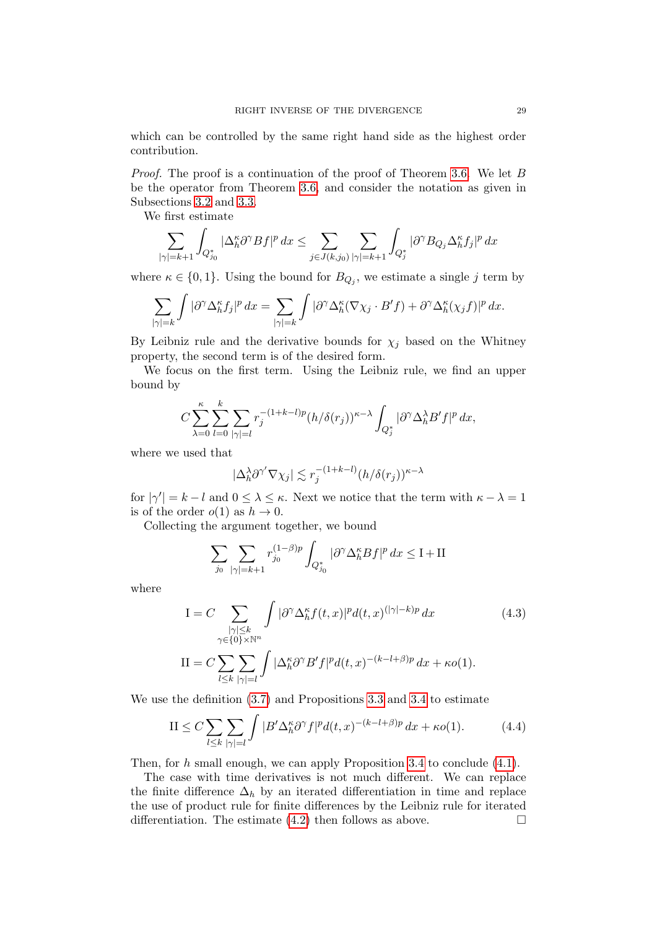which can be controlled by the same right hand side as the highest order contribution.

Proof. The proof is a continuation of the proof of Theorem [3.6.](#page-19-0) We let B be the operator from Theorem [3.6,](#page-19-0) and consider the notation as given in Subsections [3.2](#page-22-0) and [3.3.](#page-23-0)

We first estimate

$$
\sum_{|\gamma|=k+1}\int_{Q_{j_0}^*}|\Delta_h^{\kappa}\partial^{\gamma}Bf|^p\,dx\leq \sum_{j\in J(k,j_0)}\sum_{|\gamma|=k+1}\int_{Q_j^*}|\partial^{\gamma}B_{Q_j}\Delta_h^{\kappa}f_j|^p\,dx
$$

where  $\kappa \in \{0,1\}$ . Using the bound for  $B_{Q_j}$ , we estimate a single j term by

$$
\sum_{|\gamma|=k} \int |\partial^{\gamma} \Delta_h^{\kappa} f_j|^p dx = \sum_{|\gamma|=k} \int |\partial^{\gamma} \Delta_h^{\kappa} (\nabla \chi_j \cdot B' f) + \partial^{\gamma} \Delta_h^{\kappa} (\chi_j f)|^p dx.
$$

By Leibniz rule and the derivative bounds for  $\chi_j$  based on the Whitney property, the second term is of the desired form.

We focus on the first term. Using the Leibniz rule, we find an upper bound by

$$
C\sum_{\lambda=0}^{\kappa}\sum_{l=0}^{k}\sum_{|\gamma|=l}r_j^{-(1+k-l)p}(h/\delta(r_j))^{\kappa-\lambda}\int_{Q_j^*}|\partial^{\gamma}\Delta_h^{\lambda}B'f|^p\,dx,
$$

where we used that

$$
|\Delta_h^{\lambda} \partial^{\gamma'} \nabla \chi_j| \lesssim r_j^{-(1+k-l)} (h/\delta(r_j))^{\kappa-\lambda}
$$

for  $|\gamma'| = k - l$  and  $0 \leq \lambda \leq \kappa$ . Next we notice that the term with  $\kappa - \lambda = 1$ is of the order  $o(1)$  as  $h \to 0$ .

Collecting the argument together, we bound

<span id="page-28-0"></span>
$$
\sum_{j_0} \sum_{|\gamma|=k+1} r_{j_0}^{(1-\beta)p} \int_{Q_{j_0}^*} |\partial^\gamma \Delta_h^\kappa Bf|^p \, dx \le I + II
$$

where

$$
I = C \sum_{\substack{|\gamma| \le k \\ \gamma \in \{0\} \times \mathbb{N}^n}} \int |\partial^\gamma \Delta_h^\kappa f(t, x)|^p d(t, x)^{(|\gamma| - k)p} dx
$$
\n
$$
II = C \sum_{l \le k} \sum_{|\gamma| = l} \int |\Delta_h^\kappa \partial^\gamma B' f|^p d(t, x)^{-(k - l + \beta)p} dx + \kappa o(1).
$$
\n(4.3)

We use the definition [\(3.7\)](#page-21-0) and Propositions [3.3](#page-16-0) and [3.4](#page-17-0) to estimate

<span id="page-28-1"></span>
$$
\text{II} \le C \sum_{l \le k} \sum_{|\gamma|=l} \int |B' \Delta_h^{\kappa} \partial^{\gamma} f|^p d(t, x)^{-(k-l+\beta)p} dx + \kappa o(1). \tag{4.4}
$$

Then, for h small enough, we can apply Proposition [3.4](#page-17-0) to conclude  $(4.1)$ .

The case with time derivatives is not much different. We can replace the finite difference  $\Delta_h$  by an iterated differentiation in time and replace the use of product rule for finite differences by the Leibniz rule for iterated differentiation. The estimate  $(4.2)$  then follows as above.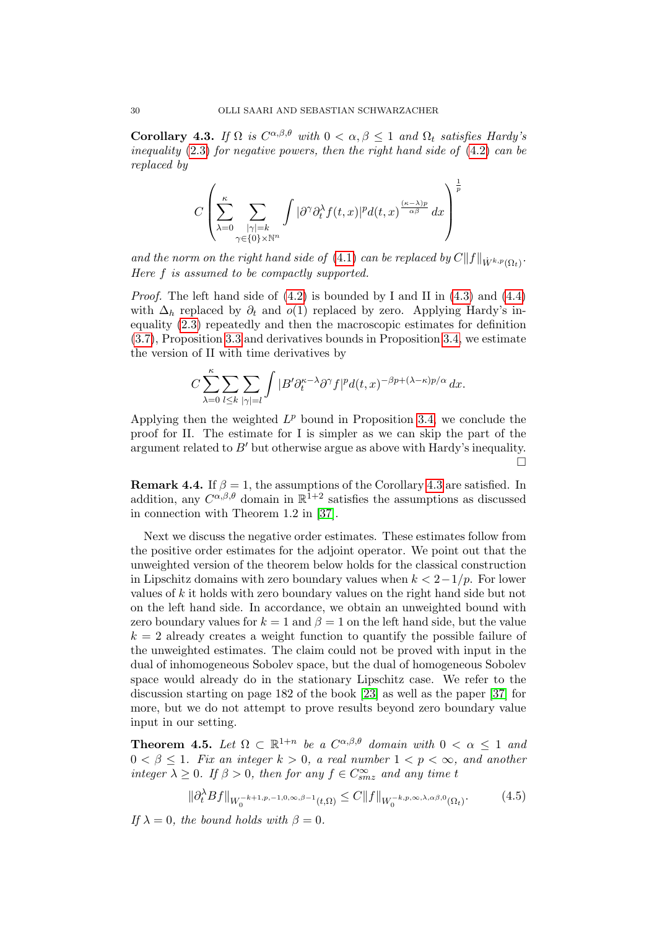<span id="page-29-1"></span>**Corollary 4.3.** If  $\Omega$  is  $C^{\alpha,\beta,\theta}$  with  $0 < \alpha, \beta \leq 1$  and  $\Omega_t$  satisfies Hardy's inequality [\(2.3\)](#page-13-0) for negative powers, then the right hand side of [\(4.2\)](#page-27-2) can be replaced by

$$
C\left(\sum_{\lambda=0}^{\kappa}\sum_{\substack{|\gamma|=k\\ \gamma\in\{0\}\times\mathbb{N}^n}}\int|\partial^\gamma\partial_t^\lambda f(t,x)|^p d(t,x)^{\frac{(\kappa-\lambda)p}{\alpha\beta}}\,dx\right)^{\frac{1}{p}}
$$

and the norm on the right hand side of [\(4.1\)](#page-27-1) can be replaced by  $C||f||_{\dot{W}^{k,p}(\Omega_t)}$ . Here f is assumed to be compactly supported.

*Proof.* The left hand side of  $(4.2)$  is bounded by I and II in  $(4.3)$  and  $(4.4)$ with  $\Delta_h$  replaced by  $\partial_t$  and  $o(1)$  replaced by zero. Applying Hardy's inequality [\(2.3\)](#page-13-0) repeatedly and then the macroscopic estimates for definition [\(3.7\)](#page-21-0), Proposition [3.3](#page-16-0) and derivatives bounds in Proposition [3.4,](#page-17-0) we estimate the version of II with time derivatives by

$$
C\sum_{\lambda=0}^{\kappa}\sum_{l\leq k}\sum_{|\gamma|=l}\int|B'\partial_t^{\kappa-\lambda}\partial^\gamma f|^pd(t,x)^{-\beta p+(\lambda-\kappa)p/\alpha}\,dx.
$$

Applying then the weighted  $L^p$  bound in Proposition [3.4,](#page-17-0) we conclude the proof for II. The estimate for I is simpler as we can skip the part of the argument related to  $B'$  but otherwise argue as above with Hardy's inequality.  $\Box$ 

**Remark 4.4.** If  $\beta = 1$ , the assumptions of the Corollary [4.3](#page-29-1) are satisfied. In addition, any  $C^{\alpha,\beta,\theta}$  domain in  $\mathbb{R}^{\bar{1}+2}$  satisfies the assumptions as discussed in connection with Theorem 1.2 in [\[37\]](#page-43-18).

Next we discuss the negative order estimates. These estimates follow from the positive order estimates for the adjoint operator. We point out that the unweighted version of the theorem below holds for the classical construction in Lipschitz domains with zero boundary values when  $k < 2-1/p$ . For lower values of k it holds with zero boundary values on the right hand side but not on the left hand side. In accordance, we obtain an unweighted bound with zero boundary values for  $k = 1$  and  $\beta = 1$  on the left hand side, but the value  $k = 2$  already creates a weight function to quantify the possible failure of the unweighted estimates. The claim could not be proved with input in the dual of inhomogeneous Sobolev space, but the dual of homogeneous Sobolev space would already do in the stationary Lipschitz case. We refer to the discussion starting on page 182 of the book [\[23\]](#page-42-0) as well as the paper [\[37\]](#page-43-18) for more, but we do not attempt to prove results beyond zero boundary value input in our setting.

<span id="page-29-0"></span>**Theorem 4.5.** Let  $\Omega \subset \mathbb{R}^{1+n}$  be a  $C^{\alpha,\beta,\theta}$  domain with  $0 < \alpha \leq 1$  and  $0 < \beta \leq 1$ . Fix an integer  $k > 0$ , a real number  $1 < p < \infty$ , and another integer  $\lambda \geq 0$ . If  $\beta > 0$ , then for any  $f \in C^{\infty}_{smz}$  and any time t

<span id="page-29-2"></span>
$$
\|\partial_t^{\lambda} Bf\|_{W_0^{-k+1,p,-1,0,\infty,\beta-1}(t,\Omega)} \leq C \|f\|_{W_0^{-k,p,\infty,\lambda,\alpha\beta,0}(\Omega_t)}.\tag{4.5}
$$

If  $\lambda = 0$ , the bound holds with  $\beta = 0$ .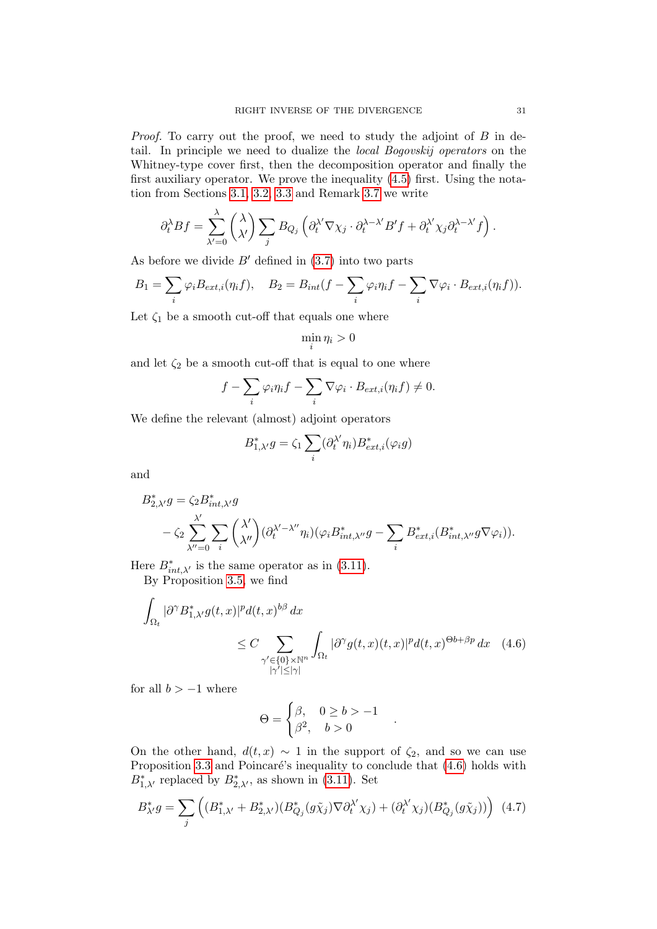Proof. To carry out the proof, we need to study the adjoint of B in detail. In principle we need to dualize the local Bogovskij operators on the Whitney-type cover first, then the decomposition operator and finally the first auxiliary operator. We prove the inequality [\(4.5\)](#page-29-2) first. Using the notation from Sections [3.1,](#page-20-1) [3.2,](#page-22-0) [3.3](#page-23-0) and Remark [3.7](#page-22-1) we write

$$
\partial_t^{\lambda} Bf = \sum_{\lambda'=0}^{\lambda} {\lambda \choose \lambda'} \sum_j B_{Q_j} {\left(\partial_t^{\lambda'} \nabla \chi_j \cdot \partial_t^{\lambda-\lambda'} B' f + \partial_t^{\lambda'} \chi_j \partial_t^{\lambda-\lambda'} f\right)}.
$$

As before we divide  $B'$  defined in  $(3.7)$  into two parts

$$
B_1 = \sum_i \varphi_i B_{ext,i}(\eta_i f), \quad B_2 = B_{int}(f - \sum_i \varphi_i \eta_i f - \sum_i \nabla \varphi_i \cdot B_{ext,i}(\eta_i f)).
$$

Let  $\zeta_1$  be a smooth cut-off that equals one where

$$
\min_i \eta_i > 0
$$

and let  $\zeta_2$  be a smooth cut-off that is equal to one where

$$
f - \sum_{i} \varphi_i \eta_i f - \sum_{i} \nabla \varphi_i \cdot B_{ext,i}(\eta_i f) \neq 0.
$$

We define the relevant (almost) adjoint operators

$$
B_{1,\lambda'}^*g = \zeta_1 \sum_i (\partial_t^{\lambda'} \eta_i) B_{ext,i}^*(\varphi_i g)
$$

and

$$
\begin{split} B_{2,\lambda'}^*g&=\zeta_2B_{int,\lambda'}^*g\\ &\quad-\zeta_2\sum_{\lambda''=0}^{\lambda'}\sum_i\binom{\lambda'}{\lambda''}\big(\partial_t^{\lambda'-\lambda''}\eta_i\big)\big(\varphi_iB_{int,\lambda''}^*g-\sum_iB_{ext,i}^*(B_{int,\lambda''}^*g\nabla\varphi_i)\big). \end{split}
$$

Here  $B_{int,\lambda'}^*$  is the same operator as in [\(3.11\)](#page-22-2). By Proposition [3.5,](#page-18-0) we find

$$
\int_{\Omega_t} |\partial^{\gamma} B_{1,\lambda'}^* g(t,x)|^p d(t,x)^{b\beta} dx
$$
\n
$$
\leq C \sum_{\substack{\gamma' \in \{0\} \times \mathbb{N}^n \\ |\gamma'| \leq |\gamma|}} \int_{\Omega_t} |\partial^{\gamma} g(t,x)(t,x)|^p d(t,x)^{\Theta b + \beta p} dx \quad (4.6)
$$

for all  $b > -1$  where

$$
\Theta = \begin{cases} \beta, & 0 \ge b > -1 \\ \beta^2, & b > 0 \end{cases}
$$

<span id="page-30-0"></span>.

On the other hand,  $d(t, x) \sim 1$  in the support of  $\zeta_2$ , and so we can use Proposition [3.3](#page-16-0) and Poincaré's inequality to conclude that  $(4.6)$  holds with  $B_{1,\lambda'}^*$  replaced by  $B_{2,\lambda'}^*$ , as shown in [\(3.11\)](#page-22-2). Set

<span id="page-30-1"></span>
$$
B_{\lambda'}^* g = \sum_j \left( (B_{1,\lambda'}^* + B_{2,\lambda'}^*) (B_{Q_j}^* (g\tilde{\chi}_j) \nabla \partial_t^{\lambda'} \chi_j) + (\partial_t^{\lambda'} \chi_j) (B_{Q_j}^* (g\tilde{\chi}_j)) \right) (4.7)
$$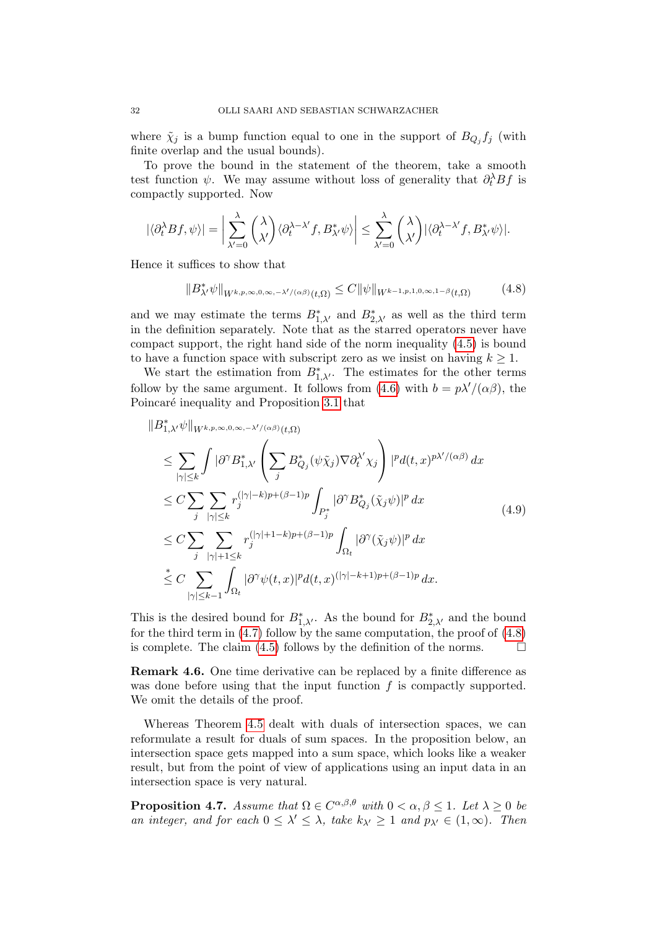where  $\tilde{\chi}_j$  is a bump function equal to one in the support of  $B_{Q_j} f_j$  (with finite overlap and the usual bounds).

To prove the bound in the statement of the theorem, take a smooth test function  $\psi$ . We may assume without loss of generality that  $\partial_t^{\lambda} Bf$  is compactly supported. Now

$$
|\langle \partial_t^{\lambda} Bf, \psi \rangle| = \bigg| \sum_{\lambda'=0}^{\lambda} {\lambda \choose \lambda'} \langle \partial_t^{\lambda-\lambda'} f, B_{\lambda'}^* \psi \rangle \bigg| \leq \sum_{\lambda'=0}^{\lambda} {\lambda \choose \lambda'} |\langle \partial_t^{\lambda-\lambda'} f, B_{\lambda'}^* \psi \rangle|.
$$

Hence it suffices to show that

<span id="page-31-1"></span>
$$
||B_{\lambda'}^*\psi||_{W^{k,p,\infty,0,\infty,-\lambda'/(\alpha\beta)}(t,\Omega)} \leq C ||\psi||_{W^{k-1,p,1,0,\infty,1-\beta}(t,\Omega)} \tag{4.8}
$$

and we may estimate the terms  $B_{1,\lambda'}^*$  and  $B_{2,\lambda'}^*$  as well as the third term in the definition separately. Note that as the starred operators never have compact support, the right hand side of the norm inequality [\(4.5\)](#page-29-2) is bound to have a function space with subscript zero as we insist on having  $k \geq 1$ .

We start the estimation from  $B_{1,\lambda}^*$ . The estimates for the other terms follow by the same argument. It follows from [\(4.6\)](#page-30-0) with  $b = p\lambda'/(\alpha\beta)$ , the Poincaré inequality and Proposition [3.1](#page-14-0) that

<span id="page-31-2"></span>
$$
\|B_{1,\lambda'}^{*}\psi\|_{W^{k,p,\infty,0,\infty,-\lambda'/(\alpha\beta)}(t,\Omega)
$$
\n
$$
\leq \sum_{|\gamma|\leq k} \int |\partial^{\gamma}B_{1,\lambda'}^{*} \left(\sum_{j} B_{Q_{j}}^{*}(\psi \tilde{\chi}_{j}) \nabla \partial_{t}^{\lambda'} \chi_{j}\right) |^{p} d(t,x)^{p\lambda'/(\alpha\beta)} dx
$$
\n
$$
\leq C \sum_{j} \sum_{|\gamma|\leq k} r_{j}^{(|\gamma|-k)p+(\beta-1)p} \int_{P_{j}^{*}} |\partial^{\gamma}B_{Q_{j}}^{*}(\tilde{\chi}_{j}\psi)|^{p} dx
$$
\n
$$
\leq C \sum_{j} \sum_{|\gamma|+1\leq k} r_{j}^{(|\gamma|+1-k)p+(\beta-1)p} \int_{\Omega_{t}} |\partial^{\gamma}(\tilde{\chi}_{j}\psi)|^{p} dx
$$
\n
$$
\leq C \sum_{|\gamma|\leq k-1} \int_{\Omega_{t}} |\partial^{\gamma}\psi(t,x)|^{p} d(t,x)^{(|\gamma|-k+1)p+(\beta-1)p} dx.
$$
\n(4.9)

This is the desired bound for  $B_{1,\lambda'}^*$ . As the bound for  $B_{2,\lambda'}^*$  and the bound for the third term in  $(4.7)$  follow by the same computation, the proof of  $(4.8)$ is complete. The claim [\(4.5\)](#page-29-2) follows by the definition of the norms.  $\Box$ 

Remark 4.6. One time derivative can be replaced by a finite difference as was done before using that the input function  $f$  is compactly supported. We omit the details of the proof.

Whereas Theorem [4.5](#page-29-0) dealt with duals of intersection spaces, we can reformulate a result for duals of sum spaces. In the proposition below, an intersection space gets mapped into a sum space, which looks like a weaker result, but from the point of view of applications using an input data in an intersection space is very natural.

<span id="page-31-0"></span>**Proposition 4.7.** Assume that  $\Omega \in C^{\alpha,\beta,\theta}$  with  $0 < \alpha, \beta \leq 1$ . Let  $\lambda \geq 0$  be an integer, and for each  $0 \leq \lambda' \leq \lambda$ , take  $k_{\lambda'} \geq 1$  and  $p_{\lambda'} \in (1, \infty)$ . Then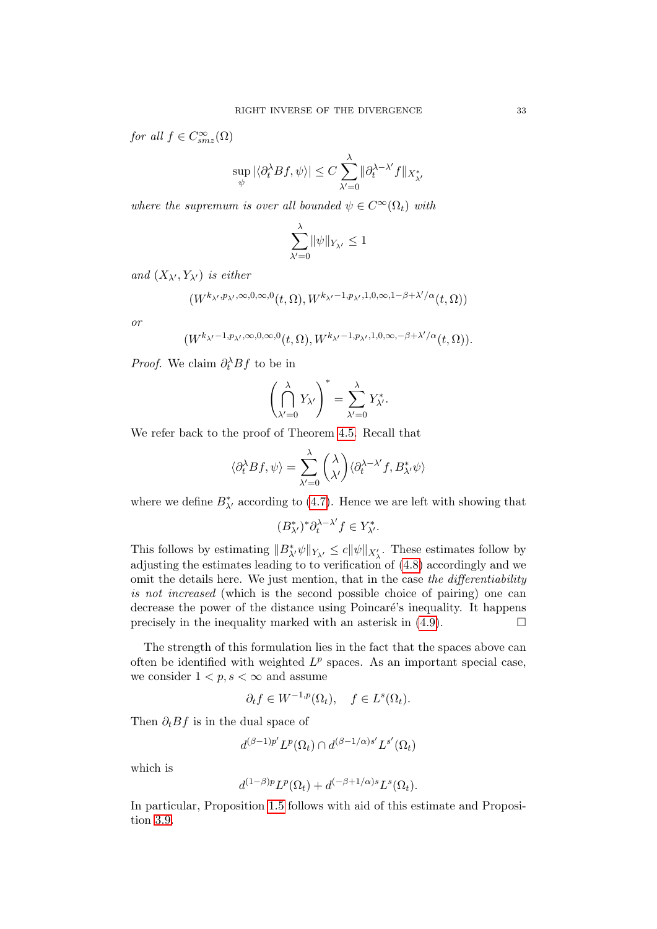for all  $f \in C_{smz}^{\infty}(\Omega)$ 

$$
\sup_{\psi} |\langle \partial_t^{\lambda} B f, \psi \rangle| \leq C \sum_{\lambda'=0}^{\lambda} ||\partial_t^{\lambda-\lambda'} f||_{X_{\lambda'}^*}
$$

where the supremum is over all bounded  $\psi \in C^{\infty}(\Omega_t)$  with

$$
\sum_{\lambda'=0}^{\lambda}\lVert\psi\rVert_{Y_{\lambda'}}\leq 1
$$

and  $(X_{\lambda}, Y_{\lambda})$  is either

$$
(W^{k_{\lambda'},p_{\lambda'},\infty,0,\infty,0}(t,\Omega),W^{k_{\lambda'}-1,p_{\lambda'},1,0,\infty,1-\beta+\lambda'/\alpha}(t,\Omega))
$$

or

$$
(W^{k_{\lambda'}-1,p_{\lambda'},\infty,0,\infty,0}(t,\Omega),W^{k_{\lambda'}-1,p_{\lambda'},1,0,\infty,-\beta+\lambda'/\alpha}(t,\Omega)).
$$

*Proof.* We claim  $\partial_t^{\lambda} Bf$  to be in

$$
\left(\bigcap_{\lambda'=0}^{\lambda} Y_{\lambda'}\right)^* = \sum_{\lambda'=0}^{\lambda} Y_{\lambda'}^*.
$$

We refer back to the proof of Theorem [4.5.](#page-29-0) Recall that

$$
\langle \partial_t^{\lambda} Bf, \psi \rangle = \sum_{\lambda'=0}^{\lambda} {\lambda \choose \lambda'} \langle \partial_t^{\lambda-\lambda'} f, B_{\lambda'}^* \psi \rangle
$$

where we define  $B_{\lambda'}^*$  according to [\(4.7\)](#page-30-1). Hence we are left with showing that

$$
(B_{\lambda'}^*)^*\partial_t^{\lambda-\lambda'}f\in Y_{\lambda'}^*.
$$

This follows by estimating  $||B_{\lambda'}^*\psi||_{Y_{\lambda'}} \leq c||\psi||_{X'_{\lambda}}$ . These estimates follow by adjusting the estimates leading to to verification of [\(4.8\)](#page-31-1) accordingly and we omit the details here. We just mention, that in the case the differentiability is not increased (which is the second possible choice of pairing) one can decrease the power of the distance using Poincaré's inequality. It happens precisely in the inequality marked with an asterisk in  $(4.9)$ .

The strength of this formulation lies in the fact that the spaces above can often be identified with weighted  $L^p$  spaces. As an important special case, we consider  $1 < p, s < \infty$  and assume

$$
\partial_t f \in W^{-1,p}(\Omega_t), \quad f \in L^s(\Omega_t).
$$

Then  $\partial_t B f$  is in the dual space of

$$
d^{(\beta-1)p'}L^p(\Omega_t)\cap d^{(\beta-1/\alpha)s'}L^{s'}(\Omega_t)
$$

which is

$$
d^{(1-\beta)p}L^p(\Omega_t) + d^{(-\beta+1/\alpha)s}L^s(\Omega_t).
$$

In particular, Proposition [1.5](#page-5-1) follows with aid of this estimate and Proposition [3.9.](#page-25-0)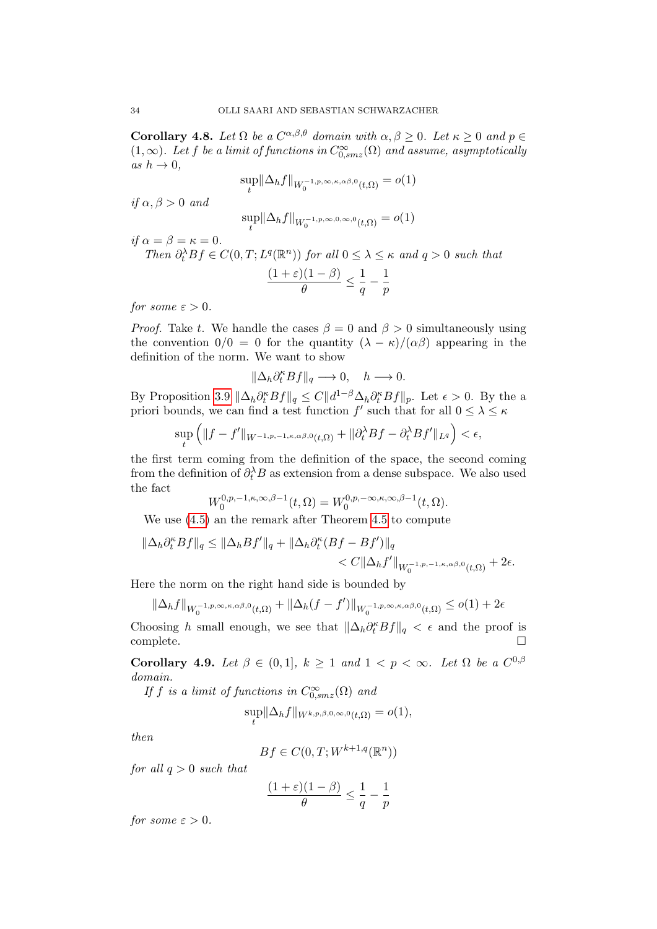<span id="page-33-0"></span>**Corollary 4.8.** Let  $\Omega$  be a  $C^{\alpha,\beta,\theta}$  domain with  $\alpha, \beta \geq 0$ . Let  $\kappa \geq 0$  and  $p \in$  $(1, \infty)$ . Let f be a limit of functions in  $C^{\infty}_{0, smz}(\Omega)$  and assume, asymptotically as  $h \to 0$ .

$$
\sup_{t} \|\Delta_h f\|_{W_0^{-1,p,\infty,\kappa,\alpha\beta,0}(t,\Omega)} = o(1)
$$

if  $\alpha, \beta > 0$  and

$$
\sup_t \|\Delta_h f\|_{W_0^{-1,p,\infty,0,\infty,0}(t,\Omega)} = o(1)
$$

if  $\alpha = \beta = \kappa = 0$ .

Then  $\partial_t^{\lambda} Bf \in C(0,T; L^q(\mathbb{R}^n))$  for all  $0 \leq \lambda \leq \kappa$  and  $q > 0$  such that  $(1+\varepsilon)(1-\beta)$  $\frac{\partial (1-\beta)}{\partial} \leq \frac{1}{q}$  $\frac{1}{q}-\frac{1}{p}$ p

for some  $\varepsilon > 0$ .

*Proof.* Take t. We handle the cases  $\beta = 0$  and  $\beta > 0$  simultaneously using the convention  $0/0 = 0$  for the quantity  $(\lambda - \kappa)/(\alpha \beta)$  appearing in the definition of the norm. We want to show

$$
\|\Delta_h\partial_t^\kappa Bf\|_q\longrightarrow 0,\quad h\longrightarrow 0.
$$

By Proposition [3.9](#page-25-0)  $\|\Delta_h \partial_t^{\kappa} Bf\|_q \leq C \|d^{1-\beta}\Delta_h \partial_t^{\kappa} Bf\|_p$ . Let  $\epsilon > 0$ . By the a priori bounds, we can find a test function  $f'$  such that for all  $0 \leq \lambda \leq \kappa$ 

$$
\sup_{t} \left( \|f - f'\|_{W^{-1,p,-1,\kappa,\alpha\beta,0}(t,\Omega)} + \|\partial_t^{\lambda} Bf - \partial_t^{\lambda} Bf'\|_{L^q} \right) < \epsilon,
$$

the first term coming from the definition of the space, the second coming from the definition of  $\partial_t^{\lambda} B$  as extension from a dense subspace. We also used the fact

$$
W_0^{0,p,-1,\kappa,\infty,\beta-1}(t,\Omega) = W_0^{0,p,-\infty,\kappa,\infty,\beta-1}(t,\Omega).
$$

We use [\(4.5\)](#page-29-2) an the remark after Theorem [4.5](#page-29-0) to compute

$$
\|\Delta_h \partial_t^{\kappa} Bf\|_q \le \|\Delta_h Bf'\|_q + \|\Delta_h \partial_t^{\kappa} (Bf - Bf')\|_q
$$
  
< 
$$
< C \|\Delta_h f'\|_{W_0^{-1,p,-1,\kappa,\alpha\beta,0}(t,\Omega)} + 2\epsilon.
$$

Here the norm on the right hand side is bounded by

$$
\|\Delta_h f\|_{W_0^{-1,p,\infty,\kappa,\alpha\beta,0}(t,\Omega)}+\|\Delta_h(f-f')\|_{W_0^{-1,p,\infty,\kappa,\alpha\beta,0}(t,\Omega)}\leq o(1)+2\epsilon
$$

Choosing h small enough, we see that  $\|\Delta_h \partial_t^{\kappa} Bf\|_q < \epsilon$  and the proof is  $\Box$ complete.

Corollary 4.9. Let  $\beta \in (0,1], k \geq 1$  and  $1 < p < \infty$ . Let  $\Omega$  be a  $C^{0,\beta}$ domain.

If f is a limit of functions in  $C_{0,smz}^{\infty}(\Omega)$  and

$$
\sup_t \|\Delta_h f\|_{W^{k,p,\beta,0,\infty,0}(t,\Omega)} = o(1),
$$

then

$$
Bf \in C(0, T; W^{k+1,q}(\mathbb{R}^n))
$$

for all  $q > 0$  such that

$$
\frac{(1+\varepsilon)(1-\beta)}{\theta} \le \frac{1}{q} - \frac{1}{p}
$$

for some  $\varepsilon > 0$ .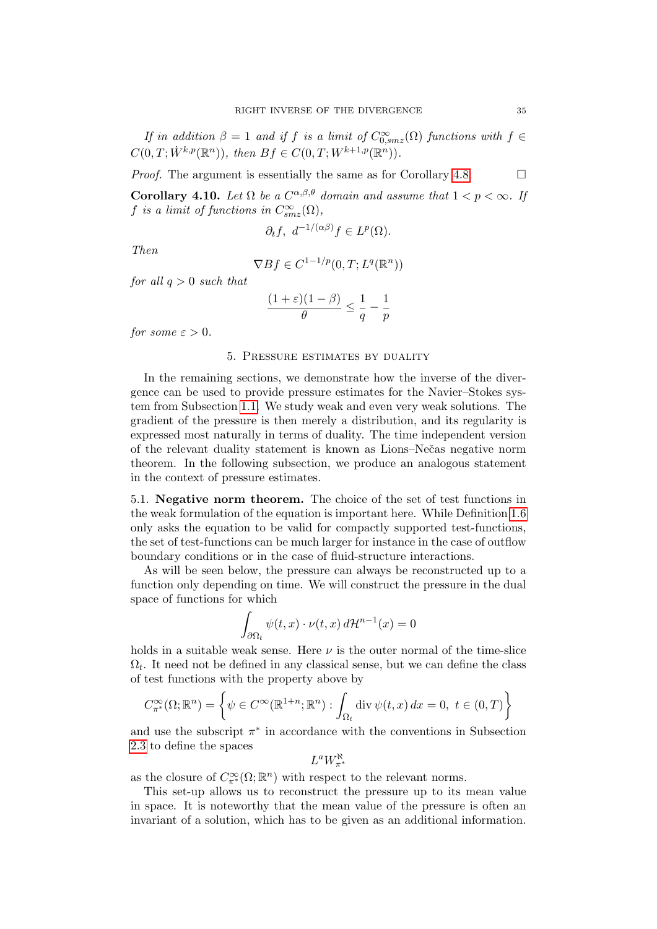If in addition  $\beta = 1$  and if f is a limit of  $C_{0,smz}^{\infty}(\Omega)$  functions with  $f \in$  $C(0, T; \dot{W}^{k, p}(\mathbb{R}^n)), \text{ then } Bf \in C(0, T; W^{k+1, p}(\mathbb{R}^n)).$ 

*Proof.* The argument is essentially the same as for Corollary [4.8.](#page-33-0)  $\Box$ 

**Corollary 4.10.** Let  $\Omega$  be a  $C^{\alpha,\beta,\theta}$  domain and assume that  $1 < p < \infty$ . If f is a limit of functions in  $C_{smz}^{\infty}(\Omega)$ ,

$$
\partial_t f, \ d^{-1/(\alpha\beta)} f \in L^p(\Omega).
$$

Then

$$
\nabla Bf \in C^{1-1/p}(0,T;L^q(\mathbb{R}^n))
$$

for all  $q > 0$  such that

$$
\frac{(1+\varepsilon)(1-\beta)}{\theta} \leq \frac{1}{q} - \frac{1}{p}
$$

for some  $\varepsilon > 0$ .

## 5. Pressure estimates by duality

In the remaining sections, we demonstrate how the inverse of the divergence can be used to provide pressure estimates for the Navier–Stokes system from Subsection [1.1.](#page-5-0) We study weak and even very weak solutions. The gradient of the pressure is then merely a distribution, and its regularity is expressed most naturally in terms of duality. The time independent version of the relevant duality statement is known as Lions–Neˇcas negative norm theorem. In the following subsection, we produce an analogous statement in the context of pressure estimates.

5.1. Negative norm theorem. The choice of the set of test functions in the weak formulation of the equation is important here. While Definition [1.6](#page-6-0) only asks the equation to be valid for compactly supported test-functions, the set of test-functions can be much larger for instance in the case of outflow boundary conditions or in the case of fluid-structure interactions.

As will be seen below, the pressure can always be reconstructed up to a function only depending on time. We will construct the pressure in the dual space of functions for which

$$
\int_{\partial\Omega_t} \psi(t,x) \cdot \nu(t,x) d\mathcal{H}^{n-1}(x) = 0
$$

holds in a suitable weak sense. Here  $\nu$  is the outer normal of the time-slice  $\Omega_t$ . It need not be defined in any classical sense, but we can define the class of test functions with the property above by

$$
C_{\pi^*}^{\infty}(\Omega; \mathbb{R}^n) = \left\{ \psi \in C^{\infty}(\mathbb{R}^{1+n}; \mathbb{R}^n) : \int_{\Omega_t} \operatorname{div} \psi(t, x) dx = 0, \ t \in (0, T) \right\}
$$

and use the subscript  $\pi^*$  in accordance with the conventions in Subsection [2.3](#page-11-0) to define the spaces

$$
L^aW^{\aleph}_{\pi^*}
$$

as the closure of  $C^{\infty}_{\pi^*}(\Omega;\mathbb{R}^n)$  with respect to the relevant norms.

This set-up allows us to reconstruct the pressure up to its mean value in space. It is noteworthy that the mean value of the pressure is often an invariant of a solution, which has to be given as an additional information.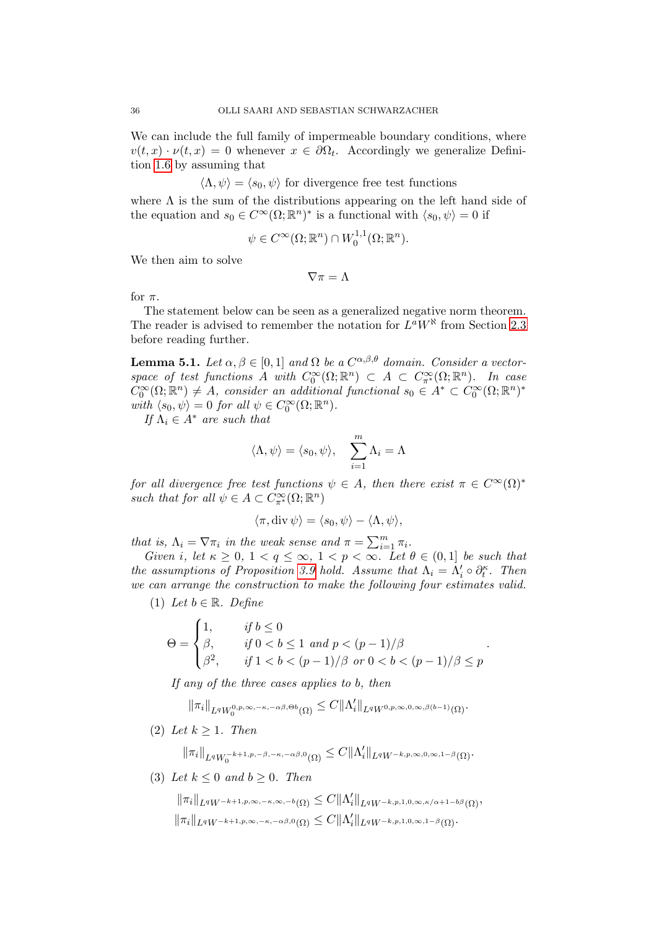We can include the full family of impermeable boundary conditions, where  $v(t,x) \cdot \nu(t,x) = 0$  whenever  $x \in \partial \Omega_t$ . Accordingly we generalize Definition [1.6](#page-6-0) by assuming that

 $\langle \Lambda, \psi \rangle = \langle s_0, \psi \rangle$  for divergence free test functions

where  $\Lambda$  is the sum of the distributions appearing on the left hand side of the equation and  $s_0 \in C^{\infty}(\Omega; \mathbb{R}^n)^*$  is a functional with  $\langle s_0, \psi \rangle = 0$  if

$$
\psi \in C^{\infty}(\Omega; \mathbb{R}^n) \cap W_0^{1,1}(\Omega; \mathbb{R}^n).
$$

We then aim to solve

 $\nabla \pi = \Lambda$ 

for  $\pi$ .

The statement below can be seen as a generalized negative norm theorem. The reader is advised to remember the notation for  $L^a W^{\aleph}$  from Section [2.3](#page-11-0) before reading further.

<span id="page-35-0"></span>**Lemma 5.1.** Let  $\alpha, \beta \in [0,1]$  and  $\Omega$  be a  $C^{\alpha,\beta,\theta}$  domain. Consider a vectorspace of test functions A with  $C_0^{\infty}(\Omega;\mathbb{R}^n) \subset A \subset C_{\pi^*}^{\infty}(\Omega;\mathbb{R}^n)$ . In case  $C_0^{\infty}(\Omega;\mathbb{R}^n) \neq A$ , consider an additional functional  $s_0 \in A^* \subset C_0^{\infty}(\Omega;\mathbb{R}^n)^*$ with  $\langle s_0, \psi \rangle = 0$  for all  $\psi \in C_0^{\infty}(\Omega; \mathbb{R}^n)$ .

If  $\Lambda_i \in A^*$  are such that

$$
\langle \Lambda, \psi \rangle = \langle s_0, \psi \rangle, \quad \sum_{i=1}^m \Lambda_i = \Lambda
$$

for all divergence free test functions  $\psi \in A$ , then there exist  $\pi \in C^{\infty}(\Omega)^*$ such that for all  $\psi \in A \subset C^{\infty}_{\pi^*}(\Omega; \mathbb{R}^n)$ 

$$
\langle \pi, \text{div} \, \psi \rangle = \langle s_0, \psi \rangle - \langle \Lambda, \psi \rangle,
$$

that is,  $\Lambda_i = \nabla \pi_i$  in the weak sense and  $\pi = \sum_{i=1}^m \pi_i$ .

Given i, let  $\kappa \geq 0$ ,  $1 < q \leq \infty$ ,  $1 < p < \infty$ . Let  $\theta \in (0,1]$  be such that the assumptions of Proposition [3.9](#page-25-0) hold. Assume that  $\Lambda_i = \Lambda_i' \circ \partial_t^{\kappa}$ . Then we can arrange the construction to make the following four estimates valid.

(1) Let  $b \in \mathbb{R}$ . Define

$$
\Theta = \begin{cases} 1, & \text{if } b \le 0 \\ \beta, & \text{if } 0 < b \le 1 \text{ and } p < (p-1)/\beta \\ \beta^2, & \text{if } 1 < b < (p-1)/\beta \text{ or } 0 < b < (p-1)/\beta \le p \end{cases}.
$$

If any of the three cases applies to b, then

 $\|\pi_i\|_{L^q W_0^{0,p,\infty,-\kappa,-\alpha\beta,\Theta b}(\Omega)} \leq C \|\Lambda_i'\|_{L^q W^{0,p,\infty,0,\infty,\beta(b-1)}(\Omega)}.$ 

(2) Let  $k > 1$ . Then

 $\|\pi_i\|_{L^q W_0^{-k+1, p, -\beta, -\kappa, -\alpha\beta, 0}(\Omega)} \leq C \|\Lambda_i'\|_{L^q W^{-k, p, \infty, 0, \infty, 1-\beta}(\Omega)}.$ 

(3) Let  $k \leq 0$  and  $b \geq 0$ . Then

 $\|\pi_i\|_{L^q W^{-k+1,p,\infty,-\kappa,\infty,-b}(\Omega)} \leq C \|\Lambda_i'\|_{L^q W^{-k,p,1,0,\infty,\kappa/\alpha+1-b\beta}(\Omega)},$  $\|\pi_i\|_{L^q W^{-k+1,p,\infty,-\kappa,-\alpha\beta,0}(\Omega)} \leq C \|\Lambda_i'\|_{L^q W^{-k,p,1,0,\infty,1-\beta}(\Omega)}.$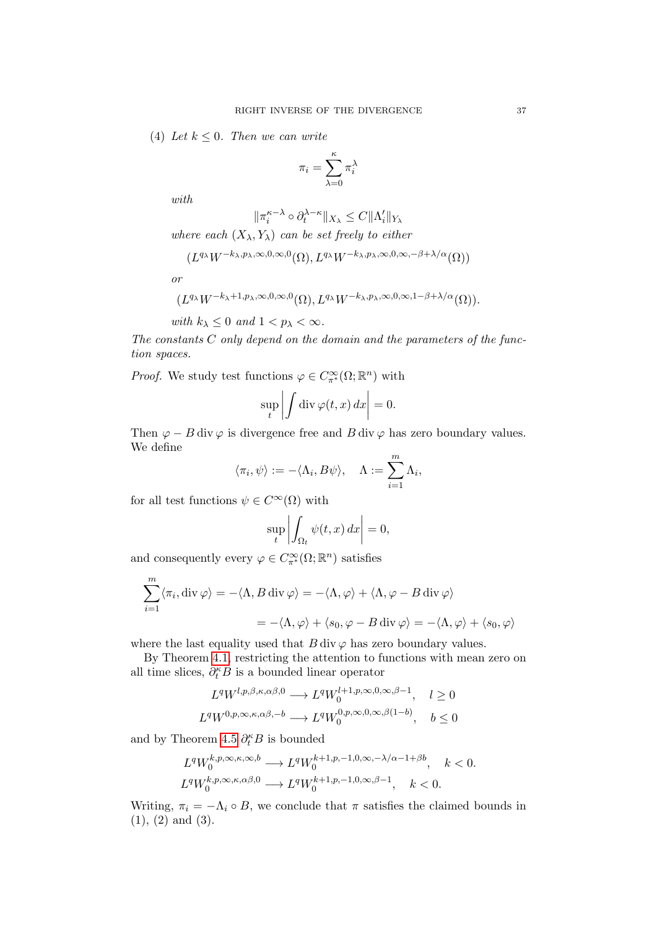(4) Let  $k \leq 0$ . Then we can write

$$
\pi_i = \sum_{\lambda=0}^\kappa \pi_i^\lambda
$$

with

$$
\|\pi_i^{\kappa-\lambda}\circ\partial_t^{\lambda-\kappa}\|_{X_\lambda}\leq C\|\Lambda_i'\|_{Y_\lambda}
$$

where each  $(X_{\lambda}, Y_{\lambda})$  can be set freely to either

$$
(L^{q_{\lambda}}W^{-k_{\lambda},p_{\lambda},\infty,0,\infty,0}(\Omega),L^{q_{\lambda}}W^{-k_{\lambda},p_{\lambda},\infty,0,\infty,-\beta+\lambda/\alpha}(\Omega))
$$

or

$$
(L^{q_{\lambda}}W^{-k_{\lambda}+1,p_{\lambda},\infty,0,\infty,0}(\Omega),L^{q_{\lambda}}W^{-k_{\lambda},p_{\lambda},\infty,0,\infty,1-\beta+\lambda/\alpha}(\Omega)).
$$

with  $k_{\lambda} \leq 0$  and  $1 < p_{\lambda} < \infty$ .

The constants  $C$  only depend on the domain and the parameters of the function spaces.

*Proof.* We study test functions  $\varphi \in C^{\infty}_{\pi^{*}}(\Omega;\mathbb{R}^{n})$  with

$$
\sup_{t} \left| \int \operatorname{div} \varphi(t, x) \, dx \right| = 0.
$$

Then  $\varphi - B$  div  $\varphi$  is divergence free and B div  $\varphi$  has zero boundary values. We define

$$
\langle \pi_i, \psi \rangle := -\langle \Lambda_i, B\psi \rangle, \quad \Lambda := \sum_{i=1}^m \Lambda_i,
$$

for all test functions  $\psi \in C^\infty(\Omega)$  with

$$
\sup_{t} \left| \int_{\Omega_t} \psi(t, x) \, dx \right| = 0,
$$

and consequently every  $\varphi \in C^{\infty}_{\pi^*}(\Omega;\mathbb{R}^n)$  satisfies

$$
\sum_{i=1}^{m} \langle \pi_i, \text{div}\,\varphi \rangle = -\langle \Lambda, B \,\text{div}\,\varphi \rangle = -\langle \Lambda, \varphi \rangle + \langle \Lambda, \varphi - B \,\text{div}\,\varphi \rangle
$$

$$
= -\langle \Lambda, \varphi \rangle + \langle s_0, \varphi - B \,\text{div}\,\varphi \rangle = -\langle \Lambda, \varphi \rangle + \langle s_0, \varphi \rangle
$$

where the last equality used that  $B \, \text{div} \varphi$  has zero boundary values.

By Theorem [4.1,](#page-27-0) restricting the attention to functions with mean zero on all time slices,  $\partial_t^{\kappa} B$  is a bounded linear operator

$$
L^{q}W^{l,p,\beta,\kappa,\alpha\beta,0} \longrightarrow L^{q}W_0^{l+1,p,\infty,0,\infty,\beta-1}, \quad l \ge 0
$$
  

$$
L^{q}W^{0,p,\infty,\kappa,\alpha\beta,-b} \longrightarrow L^{q}W_0^{0,p,\infty,0,\infty,\beta(1-b)}, \quad b \le 0
$$

and by Theorem [4.5](#page-29-0)  $\partial_t^{\kappa}B$  is bounded

$$
\begin{split} &L^qW_0^{k,p,\infty,\kappa,\infty,b}\longrightarrow L^qW_0^{k+1,p,-1,0,\infty,-\lambda/\alpha-1+\beta b},\quad k<0.\\ &L^qW_0^{k,p,\infty,\kappa,\alpha\beta,0}\longrightarrow L^qW_0^{k+1,p,-1,0,\infty,\beta-1},\quad k<0. \end{split}
$$

Writing,  $\pi_i = -\Lambda_i \circ B$ , we conclude that  $\pi$  satisfies the claimed bounds in (1), (2) and (3).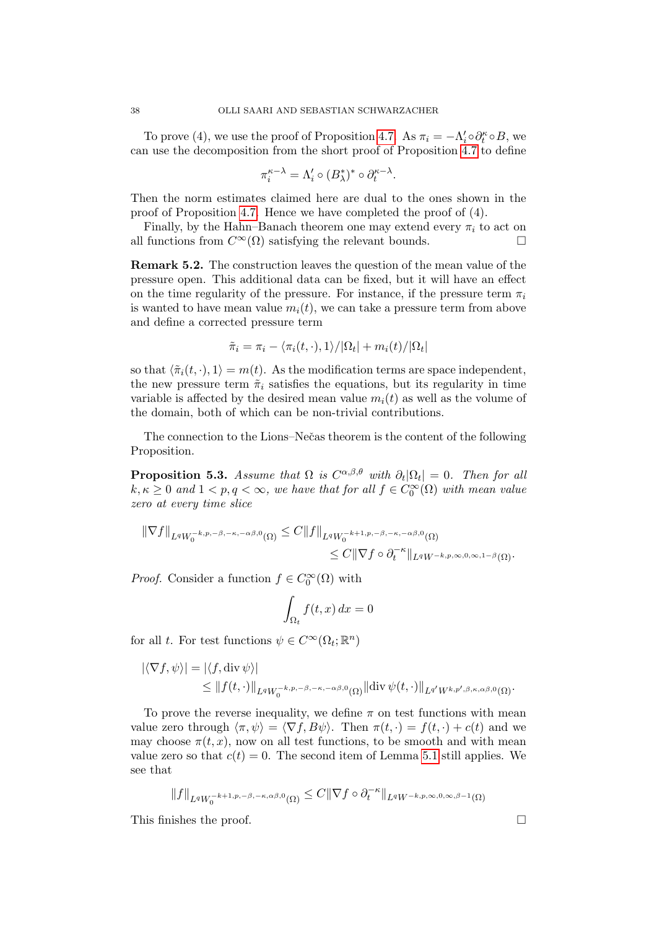To prove (4), we use the proof of Proposition [4.7.](#page-31-0) As  $\pi_i = -\Lambda_i' \circ \partial_t^{\kappa} \circ B$ , we can use the decomposition from the short proof of Proposition [4.7](#page-31-0) to define

$$
\pi_i^{\kappa-\lambda} = \Lambda_i' \circ (B_\lambda^*)^* \circ \partial_t^{\kappa-\lambda}
$$

.

Then the norm estimates claimed here are dual to the ones shown in the proof of Proposition [4.7.](#page-31-0) Hence we have completed the proof of (4).

Finally, by the Hahn–Banach theorem one may extend every  $\pi_i$  to act on all functions from  $C^{\infty}(\Omega)$  satisfying the relevant bounds.

Remark 5.2. The construction leaves the question of the mean value of the pressure open. This additional data can be fixed, but it will have an effect on the time regularity of the pressure. For instance, if the pressure term  $\pi_i$ is wanted to have mean value  $m_i(t)$ , we can take a pressure term from above and define a corrected pressure term

$$
\tilde{\pi}_i = \pi_i - \langle \pi_i(t, \cdot), 1 \rangle / |\Omega_t| + m_i(t) / |\Omega_t|
$$

so that  $\langle \tilde{\pi}_i(t, \cdot), 1 \rangle = m(t)$ . As the modification terms are space independent, the new pressure term  $\tilde{\pi}_i$  satisfies the equations, but its regularity in time variable is affected by the desired mean value  $m_i(t)$  as well as the volume of the domain, both of which can be non-trivial contributions.

The connection to the Lions–Nečas theorem is the content of the following Proposition.

**Proposition 5.3.** Assume that  $\Omega$  is  $C^{\alpha,\beta,\theta}$  with  $\partial_t|\Omega_t| = 0$ . Then for all  $k, \kappa \geq 0$  and  $1 < p, q < \infty$ , we have that for all  $f \in C_0^{\infty}(\Omega)$  with mean value zero at every time slice

$$
\|\nabla f\|_{L^q W_0^{-k, p, -\beta, -\kappa, -\alpha\beta, 0}(\Omega)} \leq C \|f\|_{L^q W_0^{-k+1, p, -\beta, -\kappa, -\alpha\beta, 0}(\Omega)}
$$
  

$$
\leq C \|\nabla f \circ \partial_t^{-\kappa}\|_{L^q W^{-k, p, \infty, 0, \infty, 1-\beta}(\Omega)}.
$$

*Proof.* Consider a function  $f \in C_0^{\infty}(\Omega)$  with

$$
\int_{\Omega_t} f(t, x) \, dx = 0
$$

for all t. For test functions  $\psi \in C^{\infty}(\Omega_t; \mathbb{R}^n)$ 

$$
\begin{aligned} |\langle \nabla f, \psi \rangle| &= |\langle f, \operatorname{div} \psi \rangle| \\ &\leq \|f(t, \cdot)\|_{L^q W_0^{-k, p, -\beta, -\kappa, -\alpha\beta, 0}(\Omega)} \|\operatorname{div} \psi(t, \cdot)\|_{L^{q'} W^{k, p', \beta, \kappa, \alpha\beta, 0}(\Omega)} .\end{aligned}
$$

To prove the reverse inequality, we define  $\pi$  on test functions with mean value zero through  $\langle \pi, \psi \rangle = \langle \nabla f, B\psi \rangle$ . Then  $\pi(t, \cdot) = f(t, \cdot) + c(t)$  and we may choose  $\pi(t, x)$ , now on all test functions, to be smooth and with mean value zero so that  $c(t) = 0$ . The second item of Lemma [5.1](#page-35-0) still applies. We see that

$$
\|f\|_{L^q W_0^{-k+1, p, -\beta, -\kappa, \alpha\beta, 0}(\Omega)}\leq C \|\nabla f\circ \partial_t^{-\kappa}\|_{L^q W^{-k, p, \infty, 0, \infty, \beta-1}(\Omega)}
$$

This finishes the proof.  $\Box$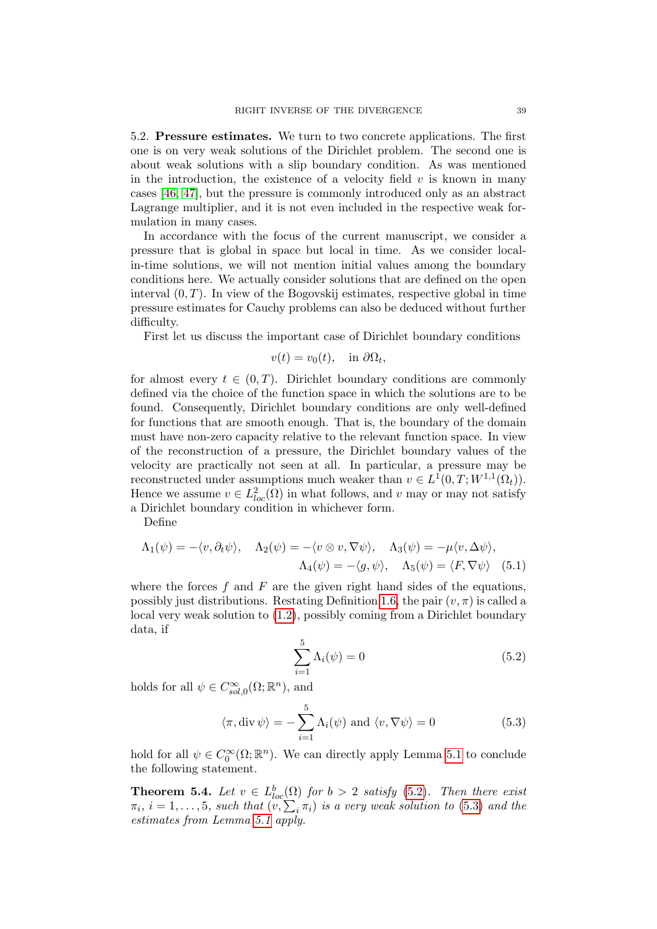<span id="page-38-1"></span>5.2. Pressure estimates. We turn to two concrete applications. The first one is on very weak solutions of the Dirichlet problem. The second one is about weak solutions with a slip boundary condition. As was mentioned in the introduction, the existence of a velocity field  $v$  is known in many cases [\[46,](#page-43-5) [47\]](#page-43-6), but the pressure is commonly introduced only as an abstract Lagrange multiplier, and it is not even included in the respective weak formulation in many cases.

In accordance with the focus of the current manuscript, we consider a pressure that is global in space but local in time. As we consider localin-time solutions, we will not mention initial values among the boundary conditions here. We actually consider solutions that are defined on the open interval  $(0, T)$ . In view of the Bogovskij estimates, respective global in time pressure estimates for Cauchy problems can also be deduced without further difficulty.

First let us discuss the important case of Dirichlet boundary conditions

$$
v(t) = v_0(t), \quad \text{in } \partial \Omega_t,
$$

for almost every  $t \in (0, T)$ . Dirichlet boundary conditions are commonly defined via the choice of the function space in which the solutions are to be found. Consequently, Dirichlet boundary conditions are only well-defined for functions that are smooth enough. That is, the boundary of the domain must have non-zero capacity relative to the relevant function space. In view of the reconstruction of a pressure, the Dirichlet boundary values of the velocity are practically not seen at all. In particular, a pressure may be reconstructed under assumptions much weaker than  $v \in L^1(0,T;W^{1,1}(\Omega_t)).$ Hence we assume  $v \in L^2_{loc}(\Omega)$  in what follows, and v may or may not satisfy a Dirichlet boundary condition in whichever form.

Define

$$
\Lambda_1(\psi) = -\langle v, \partial_t \psi \rangle, \quad \Lambda_2(\psi) = -\langle v \otimes v, \nabla \psi \rangle, \quad \Lambda_3(\psi) = -\mu \langle v, \Delta \psi \rangle, \Lambda_4(\psi) = -\langle g, \psi \rangle, \quad \Lambda_5(\psi) = \langle F, \nabla \psi \rangle \quad (5.1)
$$

where the forces  $f$  and  $F$  are the given right hand sides of the equations, possibly just distributions. Restating Definition [1.6,](#page-6-0) the pair  $(v, \pi)$  is called a local very weak solution to [\(1.2\)](#page-5-2), possibly coming from a Dirichlet boundary data, if

<span id="page-38-4"></span><span id="page-38-3"></span><span id="page-38-2"></span>
$$
\sum_{i=1}^{5} \Lambda_i(\psi) = 0
$$
\n(5.2)

holds for all  $\psi \in C^{\infty}_{sol,0}(\Omega;\mathbb{R}^n)$ , and

$$
\langle \pi, \text{div } \psi \rangle = -\sum_{i=1}^{5} \Lambda_i(\psi) \text{ and } \langle v, \nabla \psi \rangle = 0
$$
 (5.3)

hold for all  $\psi \in C_0^{\infty}(\Omega;\mathbb{R}^n)$ . We can directly apply Lemma [5.1](#page-35-0) to conclude the following statement.

<span id="page-38-0"></span>**Theorem 5.4.** Let  $v \in L^b_{loc}(\Omega)$  for  $b > 2$  satisfy [\(5.2\)](#page-38-2). Then there exist  $\pi_i$ ,  $i = 1, \ldots, 5$ , such that  $(v, \sum_i \pi_i)$  is a very weak solution to [\(5.3\)](#page-38-3) and the estimates from Lemma [5.1](#page-35-0) apply.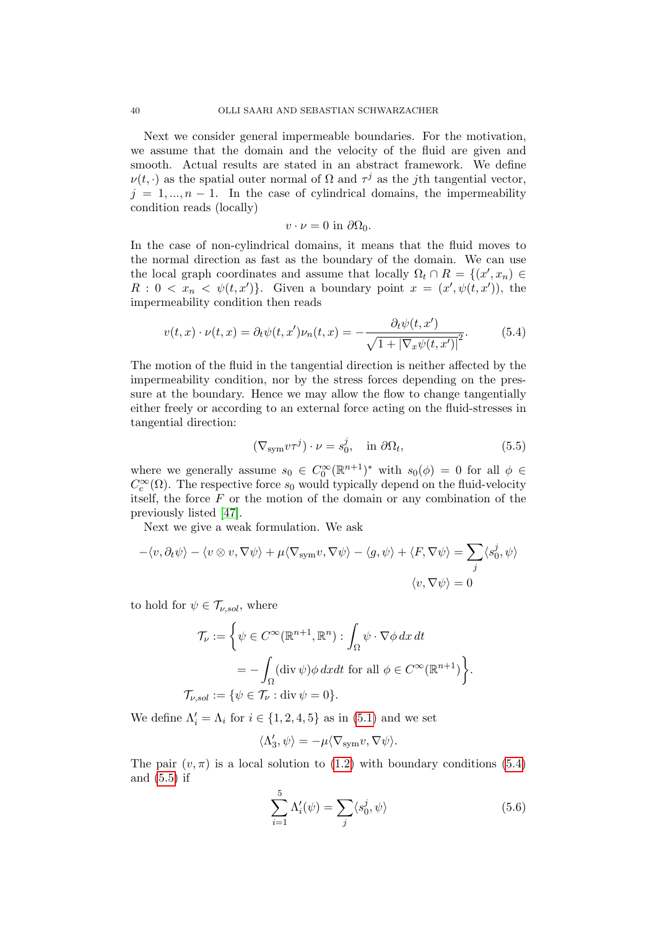Next we consider general impermeable boundaries. For the motivation, we assume that the domain and the velocity of the fluid are given and smooth. Actual results are stated in an abstract framework. We define  $\nu(t, \cdot)$  as the spatial outer normal of  $\Omega$  and  $\tau^j$  as the *j*th tangential vector,  $j = 1, ..., n - 1$ . In the case of cylindrical domains, the impermeability condition reads (locally)

<span id="page-39-0"></span>
$$
v\cdot\nu=0\,\,\mathrm{in}\,\,\partial\Omega_0.
$$

In the case of non-cylindrical domains, it means that the fluid moves to the normal direction as fast as the boundary of the domain. We can use the local graph coordinates and assume that locally  $\Omega_t \cap R = \{(x', x_n) \in$  $R: 0 < x_n < \psi(t, x')\}.$  Given a boundary point  $x = (x', \psi(t, x'))$ , the impermeability condition then reads

$$
v(t,x)\cdot \nu(t,x) = \partial_t \psi(t,x')\nu_n(t,x) = -\frac{\partial_t \psi(t,x')}{\sqrt{1+|\nabla_x \psi(t,x')|^2}}.
$$
(5.4)

The motion of the fluid in the tangential direction is neither affected by the impermeability condition, nor by the stress forces depending on the pressure at the boundary. Hence we may allow the flow to change tangentially either freely or according to an external force acting on the fluid-stresses in tangential direction:

<span id="page-39-1"></span>
$$
(\nabla_{\text{sym}} v \tau^j) \cdot \nu = s_0^j, \quad \text{in } \partial \Omega_t,
$$
\n(5.5)

where we generally assume  $s_0 \in C_0^{\infty}(\mathbb{R}^{n+1})^*$  with  $s_0(\phi) = 0$  for all  $\phi \in$  $C_c^{\infty}(\Omega)$ . The respective force  $s_0$  would typically depend on the fluid-velocity itself, the force  $F$  or the motion of the domain or any combination of the previously listed [\[47\]](#page-43-6).

Next we give a weak formulation. We ask

$$
-\langle v, \partial_t \psi \rangle - \langle v \otimes v, \nabla \psi \rangle + \mu \langle \nabla_{\text{sym}} v, \nabla \psi \rangle - \langle g, \psi \rangle + \langle F, \nabla \psi \rangle = \sum_j \langle s_0^j, \psi \rangle
$$

$$
\langle v, \nabla \psi \rangle = 0
$$

to hold for  $\psi \in \mathcal{T}_{\nu, sol}$ , where

$$
\mathcal{T}_{\nu} := \left\{ \psi \in C^{\infty}(\mathbb{R}^{n+1}, \mathbb{R}^n) : \int_{\Omega} \psi \cdot \nabla \phi \, dx \, dt \right\}
$$

$$
= -\int_{\Omega} (\text{div } \psi) \phi \, dxdt \text{ for all } \phi \in C^{\infty}(\mathbb{R}^{n+1}) \right\}.
$$

$$
\mathcal{T}_{\nu, sol} := \{ \psi \in \mathcal{T}_{\nu} : \text{div } \psi = 0 \}.
$$

We define  $\Lambda'_i = \Lambda_i$  for  $i \in \{1, 2, 4, 5\}$  as in  $(5.1)$  and we set

$$
\langle \Lambda'_3, \psi \rangle = -\mu \langle \nabla_{\rm sym} v, \nabla \psi \rangle.
$$

The pair  $(v, \pi)$  is a local solution to  $(1.2)$  with boundary conditions  $(5.4)$ and [\(5.5\)](#page-39-1) if

<span id="page-39-2"></span>
$$
\sum_{i=1}^{5} \Lambda_i'(\psi) = \sum_j \langle s_0^j, \psi \rangle \tag{5.6}
$$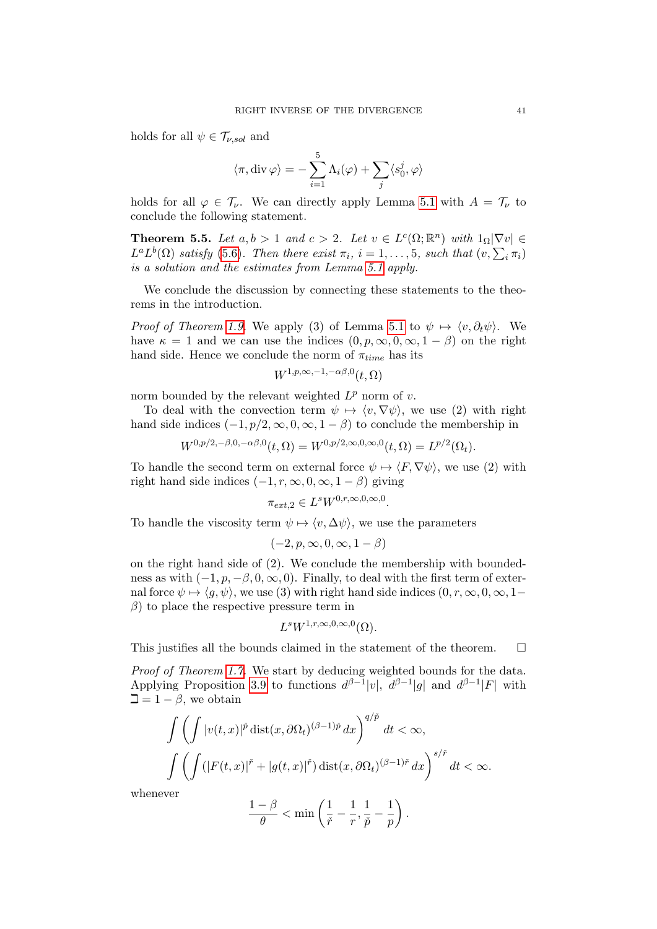holds for all  $\psi \in \mathcal{T}_{\nu, sol}$  and

$$
\langle \pi, \text{div}\,\varphi \rangle = -\sum_{i=1}^{5} \Lambda_i(\varphi) + \sum_j \langle s_0^j, \varphi \rangle
$$

holds for all  $\varphi \in \mathcal{T}_{\nu}$ . We can directly apply Lemma [5.1](#page-35-0) with  $A = \mathcal{T}_{\nu}$  to conclude the following statement.

**Theorem 5.5.** Let  $a, b > 1$  and  $c > 2$ . Let  $v \in L^c(\Omega; \mathbb{R}^n)$  with  $1_{\Omega} |\nabla v| \in$  $L^a L^b(\Omega)$  satisfy [\(5.6\)](#page-39-2). Then there exist  $\pi_i$ ,  $i = 1, \ldots, 5$ , such that  $(v, \sum_i \pi_i)$ is a solution and the estimates from Lemma [5.1](#page-35-0) apply.

We conclude the discussion by connecting these statements to the theorems in the introduction.

*Proof of Theorem [1.9.](#page-7-0)* We apply (3) of Lemma [5.1](#page-35-0) to  $\psi \mapsto \langle v, \partial_t \psi \rangle$ . We have  $\kappa = 1$  and we can use the indices  $(0, p, \infty, 0, \infty, 1 - \beta)$  on the right hand side. Hence we conclude the norm of  $\pi_{time}$  has its

$$
W^{1,p,\infty,-1,-\alpha\beta,0}(t,\Omega)
$$

norm bounded by the relevant weighted  $L^p$  norm of v.

To deal with the convection term  $\psi \mapsto \langle v, \nabla \psi \rangle$ , we use (2) with right hand side indices  $(-1, p/2, \infty, 0, \infty, 1 - \beta)$  to conclude the membership in

$$
W^{0,p/2,-\beta,0,-\alpha\beta,0}(t,\Omega) = W^{0,p/2,\infty,0,\infty,0}(t,\Omega) = L^{p/2}(\Omega_t).
$$

To handle the second term on external force  $\psi \mapsto \langle F, \nabla \psi \rangle$ , we use (2) with right hand side indices  $(-1, r, \infty, 0, \infty, 1 - \beta)$  giving

$$
\pi_{ext,2} \in L^s W^{0,r,\infty,0,\infty,0}.
$$

To handle the viscosity term  $\psi \mapsto \langle v, \Delta \psi \rangle$ , we use the parameters

$$
(-2, p, \infty, 0, \infty, 1 - \beta)
$$

on the right hand side of (2). We conclude the membership with boundedness as with  $(-1, p, -\beta, 0, \infty, 0)$ . Finally, to deal with the first term of external force  $\psi \mapsto \langle g, \psi \rangle$ , we use (3) with right hand side indices  $(0, r, \infty, 0, \infty, 1-\mathbb{R})$  $\beta$ ) to place the respective pressure term in

$$
L^s W^{1,r,\infty,0,\infty,0}(\Omega).
$$

This justifies all the bounds claimed in the statement of the theorem.  $\Box$ 

Proof of Theorem [1.7.](#page-6-1) We start by deducing weighted bounds for the data. Applying Proposition [3.9](#page-25-0) to functions  $d^{\beta-1}|v|$ ,  $d^{\beta-1}|g|$  and  $d^{\beta-1}|F|$  with  $\Box = 1 - \beta$ , we obtain

$$
\int \left( \int |v(t,x)|^{\tilde{p}} \operatorname{dist}(x, \partial \Omega_t)^{(\beta - 1)\tilde{p}} dx \right)^{q/\tilde{p}} dt < \infty,
$$
  

$$
\int \left( \int (|F(t,x)|^{\tilde{r}} + |g(t,x)|^{\tilde{r}}) \operatorname{dist}(x, \partial \Omega_t)^{(\beta - 1)\tilde{r}} dx \right)^{s/\tilde{r}} dt < \infty.
$$

whenever

$$
\frac{1-\beta}{\theta}<\min\left(\frac{1}{\check{r}}-\frac{1}{r},\frac{1}{\check{p}}-\frac{1}{p}\right).
$$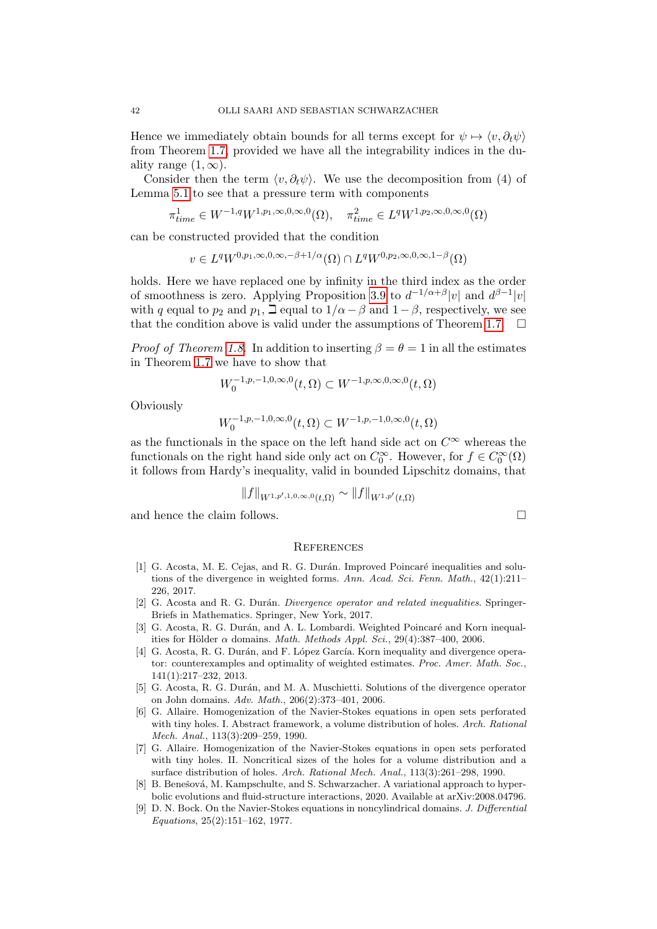Hence we immediately obtain bounds for all terms except for  $\psi \mapsto \langle v, \partial_t \psi \rangle$ from Theorem [1.7,](#page-6-1) provided we have all the integrability indices in the duality range  $(1, \infty)$ .

Consider then the term  $\langle v, \partial_t \psi \rangle$ . We use the decomposition from (4) of Lemma [5.1](#page-35-0) to see that a pressure term with components

$$
\pi_{time}^1 \in W^{-1,q}W^{1,p_1,\infty,0,\infty,0}(\Omega), \quad \pi_{time}^2 \in L^qW^{1,p_2,\infty,0,\infty,0}(\Omega)
$$

can be constructed provided that the condition

$$
v \in L^{q}W^{0,p_1,\infty,0,\infty,-\beta+1/\alpha}(\Omega) \cap L^{q}W^{0,p_2,\infty,0,\infty,1-\beta}(\Omega)
$$

holds. Here we have replaced one by infinity in the third index as the order of smoothness is zero. Applying Proposition [3.9](#page-25-0) to  $d^{-1/\alpha+\beta}|v|$  and  $d^{\beta-1}|v|$ with q equal to  $p_2$  and  $p_1$ ,  $\Box$  equal to  $1/\alpha - \beta$  and  $1-\beta$ , respectively, we see that the condition above is valid under the assumptions of Theorem [1.7.](#page-6-1)  $\Box$ 

*Proof of Theorem [1.8.](#page-7-1)* In addition to inserting  $\beta = \theta = 1$  in all the estimates in Theorem [1.7](#page-6-1) we have to show that

$$
W_0^{-1,p,-1,0,\infty,0}(t,\Omega) \subset W^{-1,p,\infty,0,\infty,0}(t,\Omega)
$$

Obviously

$$
W_0^{-1,p,-1,0,\infty,0}(t,\Omega) \subset W^{-1,p,-1,0,\infty,0}(t,\Omega)
$$

as the functionals in the space on the left hand side act on  $C^\infty$  whereas the functionals on the right hand side only act on  $C_0^{\infty}$ . However, for  $f \in C_0^{\infty}(\Omega)$ it follows from Hardy's inequality, valid in bounded Lipschitz domains, that

$$
||f||_{W^{1,p',1,0,\infty,0}(t,\Omega)} \sim ||f||_{W^{1,p'}(t,\Omega)}
$$

and hence the claim follows.

### **REFERENCES**

- <span id="page-41-7"></span>[1] G. Acosta, M. E. Cejas, and R. G. Durán. Improved Poincaré inequalities and solutions of the divergence in weighted forms. Ann. Acad. Sci. Fenn. Math., 42(1):211– 226, 2017.
- <span id="page-41-0"></span>[2] G. Acosta and R. G. Durán. Divergence operator and related inequalities. Springer-Briefs in Mathematics. Springer, New York, 2017.
- <span id="page-41-1"></span>[3] G. Acosta, R. G. Durán, and A. L. Lombardi. Weighted Poincaré and Korn inequalities for Hölder  $\alpha$  domains. *Math. Methods Appl. Sci.*, 29(4):387-400, 2006.
- <span id="page-41-8"></span>[4] G. Acosta, R. G. Durán, and F. López García. Korn inequality and divergence operator: counterexamples and optimality of weighted estimates. Proc. Amer. Math. Soc., 141(1):217–232, 2013.
- <span id="page-41-2"></span>[5] G. Acosta, R. G. Durán, and M. A. Muschietti. Solutions of the divergence operator on John domains. Adv. Math., 206(2):373–401, 2006.
- <span id="page-41-5"></span>[6] G. Allaire. Homogenization of the Navier-Stokes equations in open sets perforated with tiny holes. I. Abstract framework, a volume distribution of holes. Arch. Rational Mech. Anal., 113(3):209–259, 1990.
- <span id="page-41-6"></span>[7] G. Allaire. Homogenization of the Navier-Stokes equations in open sets perforated with tiny holes. II. Noncritical sizes of the holes for a volume distribution and a surface distribution of holes. Arch. Rational Mech. Anal., 113(3):261–298, 1990.
- <span id="page-41-4"></span>[8] B. Benešová, M. Kampschulte, and S. Schwarzacher. A variational approach to hyperbolic evolutions and fluid-structure interactions, 2020. Available at arXiv:2008.04796.
- <span id="page-41-3"></span>[9] D. N. Bock. On the Navier-Stokes equations in noncylindrical domains. J. Differential Equations, 25(2):151–162, 1977.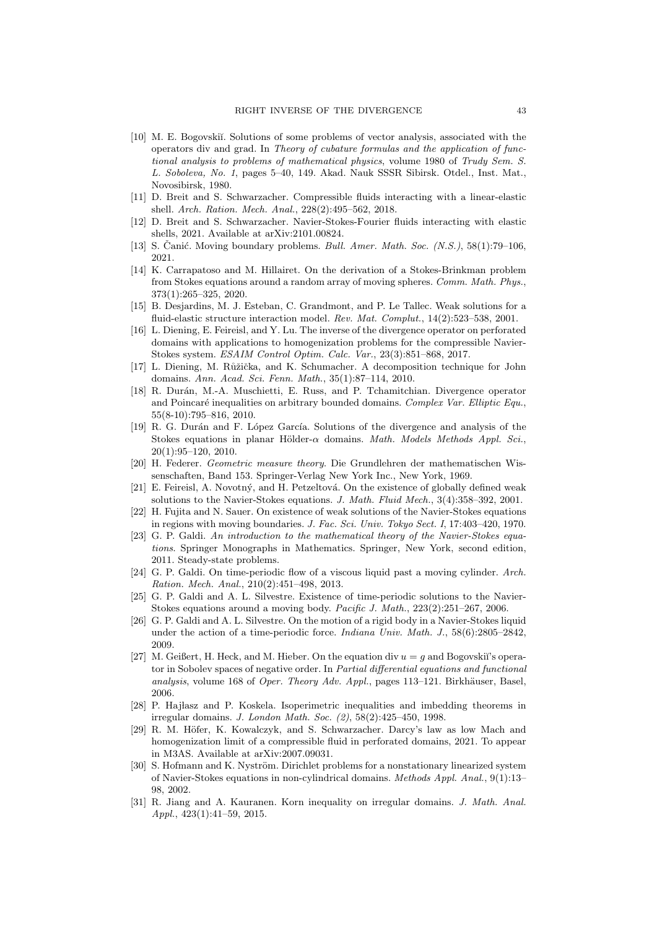- <span id="page-42-6"></span>[10] M. E. Bogovski˘ı. Solutions of some problems of vector analysis, associated with the operators div and grad. In Theory of cubature formulas and the application of functional analysis to problems of mathematical physics, volume 1980 of Trudy Sem. S. L. Soboleva, No. 1, pages 5–40, 149. Akad. Nauk SSSR Sibirsk. Otdel., Inst. Mat., Novosibirsk, 1980.
- <span id="page-42-13"></span>[11] D. Breit and S. Schwarzacher. Compressible fluids interacting with a linear-elastic shell. Arch. Ration. Mech. Anal., 228(2):495–562, 2018.
- <span id="page-42-14"></span>[12] D. Breit and S. Schwarzacher. Navier-Stokes-Fourier fluids interacting with elastic shells, 2021. Available at arXiv:2101.00824.
- <span id="page-42-2"></span>[13] S. Čanić. Moving boundary problems. Bull. Amer. Math. Soc.  $(N.S.)$ , 58(1):79–106, 2021.
- <span id="page-42-17"></span>[14] K. Carrapatoso and M. Hillairet. On the derivation of a Stokes-Brinkman problem from Stokes equations around a random array of moving spheres. Comm. Math. Phys., 373(1):265–325, 2020.
- <span id="page-42-12"></span>[15] B. Desjardins, M. J. Esteban, C. Grandmont, and P. Le Tallec. Weak solutions for a fluid-elastic structure interaction model. Rev. Mat. Complut., 14(2):523–538, 2001.
- <span id="page-42-15"></span>[16] L. Diening, E. Feireisl, and Y. Lu. The inverse of the divergence operator on perforated domains with applications to homogenization problems for the compressible Navier-Stokes system. ESAIM Control Optim. Calc. Var., 23(3):851–868, 2017.
- <span id="page-42-5"></span>[17] L. Diening, M. Růžička, and K. Schumacher. A decomposition technique for John domains. Ann. Acad. Sci. Fenn. Math., 35(1):87–114, 2010.
- <span id="page-42-3"></span>[18] R. Durán, M.-A. Muschietti, E. Russ, and P. Tchamitchian. Divergence operator and Poincaré inequalities on arbitrary bounded domains. Complex Var. Elliptic Equ., 55(8-10):795–816, 2010.
- <span id="page-42-18"></span>[19] R. G. Durán and F. López García. Solutions of the divergence and analysis of the Stokes equations in planar Hölder- $\alpha$  domains. Math. Models Methods Appl. Sci., 20(1):95–120, 2010.
- <span id="page-42-21"></span>[20] H. Federer. Geometric measure theory. Die Grundlehren der mathematischen Wissenschaften, Band 153. Springer-Verlag New York Inc., New York, 1969.
- <span id="page-42-1"></span>[21] E. Feireisl, A. Novotný, and H. Petzeltová. On the existence of globally defined weak solutions to the Navier-Stokes equations. J. Math. Fluid Mech., 3(4):358–392, 2001.
- <span id="page-42-8"></span>[22] H. Fujita and N. Sauer. On existence of weak solutions of the Navier-Stokes equations in regions with moving boundaries. J. Fac. Sci. Univ. Tokyo Sect. I, 17:403–420, 1970.
- <span id="page-42-0"></span>[23] G. P. Galdi. An introduction to the mathematical theory of the Navier-Stokes equations. Springer Monographs in Mathematics. Springer, New York, second edition, 2011. Steady-state problems.
- <span id="page-42-11"></span>[24] G. P. Galdi. On time-periodic flow of a viscous liquid past a moving cylinder. Arch. Ration. Mech. Anal., 210(2):451–498, 2013.
- <span id="page-42-9"></span>[25] G. P. Galdi and A. L. Silvestre. Existence of time-periodic solutions to the Navier-Stokes equations around a moving body. Pacific J. Math., 223(2):251–267, 2006.
- <span id="page-42-10"></span>[26] G. P. Galdi and A. L. Silvestre. On the motion of a rigid body in a Navier-Stokes liquid under the action of a time-periodic force. Indiana Univ. Math. J., 58(6):2805–2842, 2009.
- <span id="page-42-20"></span>[27] M. Geißert, H. Heck, and M. Hieber. On the equation div  $u = g$  and Bogovskiı's operator in Sobolev spaces of negative order. In Partial differential equations and functional analysis, volume 168 of Oper. Theory Adv. Appl., pages 113–121. Birkhäuser, Basel. 2006.
- <span id="page-42-19"></span>[28] P. Hajłasz and P. Koskela. Isoperimetric inequalities and imbedding theorems in irregular domains. J. London Math. Soc. (2), 58(2):425–450, 1998.
- <span id="page-42-16"></span>[29] R. M. Höfer, K. Kowalczyk, and S. Schwarzacher. Darcy's law as low Mach and homogenization limit of a compressible fluid in perforated domains, 2021. To appear in M3AS. Available at arXiv:2007.09031.
- <span id="page-42-7"></span>[30] S. Hofmann and K. Nyström. Dirichlet problems for a nonstationary linearized system of Navier-Stokes equations in non-cylindrical domains. Methods Appl. Anal., 9(1):13– 98, 2002.
- <span id="page-42-4"></span>[31] R. Jiang and A. Kauranen. Korn inequality on irregular domains. J. Math. Anal. Appl., 423(1):41–59, 2015.